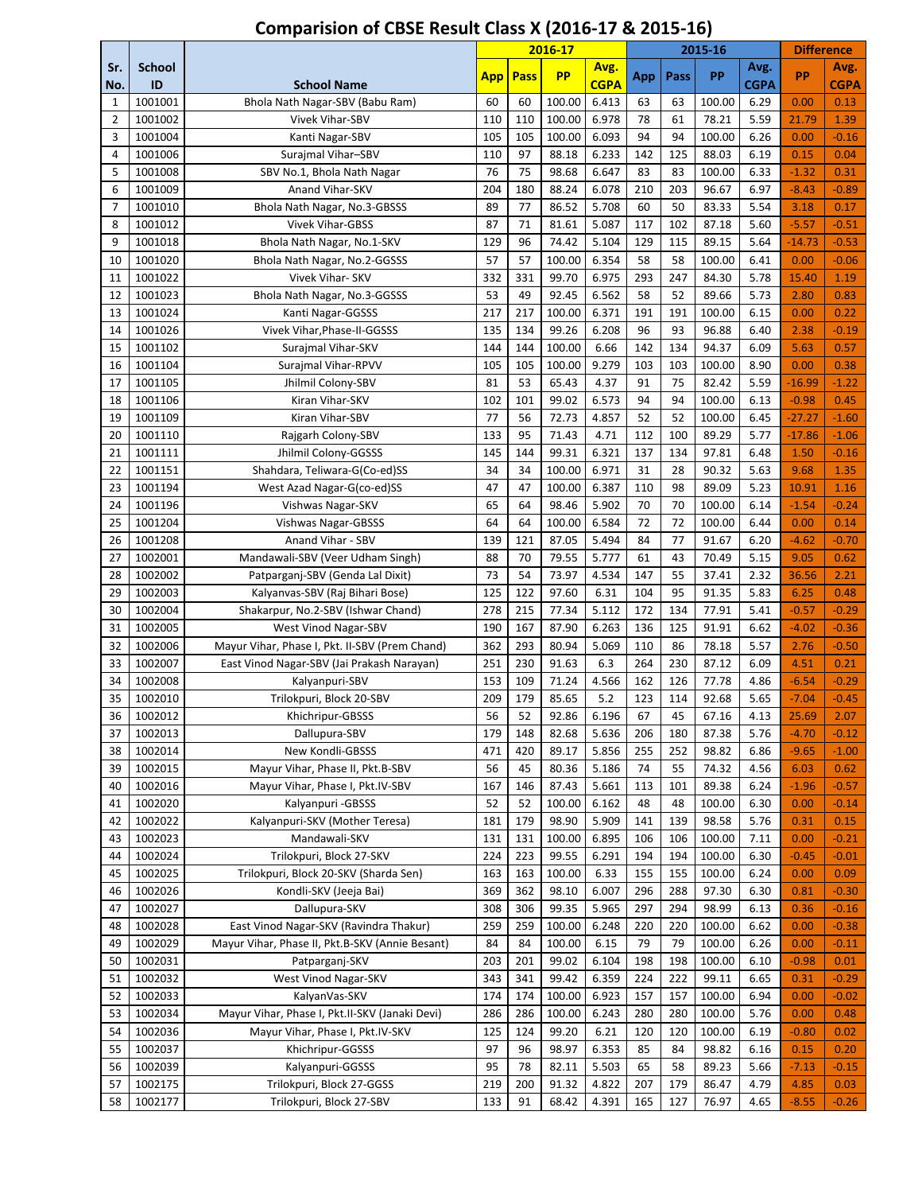|                |                     |                                                 |            |             | 2016-17   |                     |     |      | 2015-16 |                     | <b>Difference</b> |              |
|----------------|---------------------|-------------------------------------------------|------------|-------------|-----------|---------------------|-----|------|---------|---------------------|-------------------|--------------|
| Sr.<br>No.     | <b>School</b><br>ID | <b>School Name</b>                              | <b>App</b> | <b>Pass</b> | <b>PP</b> | Avg.<br><b>CGPA</b> | App | Pass | PP      | Avg.<br><b>CGPA</b> | <b>PP</b>         | Avg.<br>CGPA |
| 1              | 1001001             | Bhola Nath Nagar-SBV (Babu Ram)                 | 60         | 60          | 100.00    | 6.413               | 63  | 63   | 100.00  | 6.29                | 0.00              | 0.13         |
| $\overline{2}$ | 1001002             | <b>Vivek Vihar-SBV</b>                          | 110        | 110         | 100.00    | 6.978               | 78  | 61   | 78.21   | 5.59                | 21.79             | 1.39         |
| 3              | 1001004             | Kanti Nagar-SBV                                 | 105        | 105         | 100.00    | 6.093               | 94  | 94   | 100.00  | 6.26                | 0.00              | $-0.16$      |
| 4              | 1001006             | Surajmal Vihar-SBV                              | 110        | 97          | 88.18     | 6.233               | 142 | 125  | 88.03   | 6.19                | 0.15              | 0.04         |
| 5              | 1001008             | SBV No.1, Bhola Nath Nagar                      | 76         | 75          | 98.68     | 6.647               | 83  | 83   | 100.00  | 6.33                | $-1.32$           | 0.31         |
| 6              | 1001009             | Anand Vihar-SKV                                 | 204        | 180         | 88.24     | 6.078               | 210 | 203  | 96.67   | 6.97                | $-8.43$           | $-0.89$      |
| $\overline{7}$ | 1001010             | Bhola Nath Nagar, No.3-GBSSS                    | 89         | 77          | 86.52     | 5.708               | 60  | 50   | 83.33   | 5.54                | 3.18              | 0.17         |
| 8              | 1001012             | <b>Vivek Vihar-GBSS</b>                         | 87         | 71          | 81.61     | 5.087               | 117 | 102  | 87.18   | 5.60                | $-5.57$           | $-0.51$      |
| 9              | 1001018             | Bhola Nath Nagar, No.1-SKV                      | 129        | 96          | 74.42     | 5.104               | 129 | 115  | 89.15   | 5.64                | $-14.73$          | $-0.53$      |
| 10             | 1001020             | Bhola Nath Nagar, No.2-GGSSS                    | 57         | 57          | 100.00    | 6.354               | 58  | 58   | 100.00  | 6.41                | 0.00              | $-0.06$      |
| 11             | 1001022             | Vivek Vihar- SKV                                | 332        | 331         | 99.70     | 6.975               | 293 | 247  | 84.30   | 5.78                | 15.40             | 1.19         |
| 12             | 1001023             | Bhola Nath Nagar, No.3-GGSSS                    | 53         | 49          | 92.45     | 6.562               | 58  | 52   | 89.66   | 5.73                | 2.80              | 0.83         |
| 13             | 1001024             | Kanti Nagar-GGSSS                               | 217        | 217         | 100.00    | 6.371               | 191 | 191  | 100.00  | 6.15                | 0.00              | 0.22         |
| 14             | 1001026             | Vivek Vihar, Phase-II-GGSSS                     | 135        | 134         | 99.26     | 6.208               | 96  | 93   | 96.88   | 6.40                | 2.38              | $-0.19$      |
| 15             | 1001102             | Surajmal Vihar-SKV                              | 144        | 144         | 100.00    | 6.66                | 142 | 134  | 94.37   | 6.09                | 5.63              | 0.57         |
| 16             | 1001104             | Surajmal Vihar-RPVV                             | 105        | 105         | 100.00    | 9.279               | 103 | 103  | 100.00  | 8.90                | 0.00              | 0.38         |
| 17             | 1001105             | Jhilmil Colony-SBV                              | 81         | 53          | 65.43     | 4.37                | 91  | 75   | 82.42   | 5.59                | $-16.99$          | $-1.22$      |
| 18             | 1001106             | Kiran Vihar-SKV                                 | 102        | 101         | 99.02     | 6.573               | 94  | 94   | 100.00  | 6.13                | $-0.98$           | 0.45         |
| 19             | 1001109             | Kiran Vihar-SBV                                 | 77         | 56          | 72.73     | 4.857               | 52  | 52   | 100.00  | 6.45                | $-27.27$          | $-1.60$      |
| 20             | 1001110             | Rajgarh Colony-SBV                              | 133        | 95          | 71.43     | 4.71                | 112 | 100  | 89.29   | 5.77                | $-17.86$          | $-1.06$      |
| 21             | 1001111             | Jhilmil Colony-GGSSS                            | 145        | 144         | 99.31     | 6.321               | 137 | 134  | 97.81   | 6.48                | 1.50              | $-0.16$      |
| 22             | 1001151             | Shahdara, Teliwara-G(Co-ed)SS                   | 34         | 34          | 100.00    | 6.971               | 31  | 28   | 90.32   | 5.63                | 9.68              | 1.35         |
| 23             | 1001194             | West Azad Nagar-G(co-ed)SS                      | 47         | 47          | 100.00    | 6.387               | 110 | 98   | 89.09   | 5.23                | 10.91             | 1.16         |
| 24             | 1001196             | Vishwas Nagar-SKV                               | 65         | 64          | 98.46     | 5.902               | 70  | 70   | 100.00  | 6.14                | $-1.54$           | $-0.24$      |
| 25             | 1001204             | <b>Vishwas Nagar-GBSSS</b>                      | 64         | 64          | 100.00    | 6.584               | 72  | 72   | 100.00  | 6.44                | 0.00              | 0.14         |
| 26             | 1001208             | Anand Vihar - SBV                               | 139        | 121         | 87.05     | 5.494               | 84  | 77   | 91.67   | 6.20                | $-4.62$           | $-0.70$      |
| 27             | 1002001             | Mandawali-SBV (Veer Udham Singh)                | 88         | 70          | 79.55     | 5.777               | 61  | 43   | 70.49   | 5.15                | 9.05              | 0.62         |
| 28             | 1002002             | Patparganj-SBV (Genda Lal Dixit)                | 73         | 54          | 73.97     | 4.534               | 147 | 55   | 37.41   | 2.32                | 36.56             | 2.21         |
| 29             | 1002003             | Kalyanvas-SBV (Raj Bihari Bose)                 | 125        | 122         | 97.60     | 6.31                | 104 | 95   | 91.35   | 5.83                | 6.25              | 0.48         |
| 30             | 1002004             | Shakarpur, No.2-SBV (Ishwar Chand)              | 278        | 215         | 77.34     | 5.112               | 172 | 134  | 77.91   | 5.41                | $-0.57$           | $-0.29$      |
| 31             | 1002005             | West Vinod Nagar-SBV                            | 190        | 167         | 87.90     | 6.263               | 136 | 125  | 91.91   | 6.62                | $-4.02$           | $-0.36$      |
| 32             | 1002006             | Mayur Vihar, Phase I, Pkt. II-SBV (Prem Chand)  | 362        | 293         | 80.94     | 5.069               | 110 | 86   | 78.18   | 5.57                | 2.76              | $-0.50$      |
| 33             | 1002007             | East Vinod Nagar-SBV (Jai Prakash Narayan)      | 251        | 230         | 91.63     | 6.3                 | 264 | 230  | 87.12   | 6.09                | 4.51              | 0.21         |
| 34             | 1002008             | Kalyanpuri-SBV                                  | 153        | 109         | 71.24     | 4.566               | 162 | 126  | 77.78   | 4.86                | $-6.54$           | $-0.29$      |
| 35             | 1002010             | Trilokpuri, Block 20-SBV                        | 209        | 179         | 85.65     | 5.2                 | 123 | 114  | 92.68   | 5.65                | $-7.04$           | $-0.45$      |
| 36             | 1002012             | Khichripur-GBSSS                                | 56         | 52          | 92.86     | 6.196               | 67  | 45   | 67.16   | 4.13                | 25.69             | 2.07         |
| 37             | 1002013             | Dallupura-SBV                                   | 179        | 148         | 82.68     | 5.636               | 206 | 180  | 87.38   | 5.76                | $-4.70$           | $-0.12$      |
| 38             | 1002014             | New Kondli-GBSSS                                | 471        | 420         | 89.17     | 5.856               | 255 | 252  | 98.82   | 6.86                | $-9.65$           | $-1.00$      |
| 39             | 1002015             | Mayur Vihar, Phase II, Pkt.B-SBV                | 56         | 45          | 80.36     | 5.186               | 74  | 55   | 74.32   | 4.56                | 6.03              | 0.62         |
| 40             | 1002016             | Mayur Vihar, Phase I, Pkt.IV-SBV                | 167        | 146         | 87.43     | 5.661               | 113 | 101  | 89.38   | 6.24                | $-1.96$           | $-0.57$      |
| 41             | 1002020             | Kalyanpuri - GBSSS                              | 52         | 52          | 100.00    | 6.162               | 48  | 48   | 100.00  | 6.30                | 0.00              | $-0.14$      |
| 42             | 1002022             | Kalyanpuri-SKV (Mother Teresa)                  | 181        | 179         | 98.90     | 5.909               | 141 | 139  | 98.58   | 5.76                | 0.31              | 0.15         |
| 43             | 1002023             | Mandawali-SKV                                   | 131        | 131         | 100.00    | 6.895               | 106 | 106  | 100.00  | 7.11                | 0.00              | $-0.21$      |
| 44             | 1002024             | Trilokpuri, Block 27-SKV                        | 224        | 223         | 99.55     | 6.291               | 194 | 194  | 100.00  | 6.30                | $-0.45$           | $-0.01$      |
| 45             | 1002025             | Trilokpuri, Block 20-SKV (Sharda Sen)           | 163        | 163         | 100.00    | 6.33                | 155 | 155  | 100.00  | 6.24                | 0.00              | 0.09         |
| 46             | 1002026             | Kondli-SKV (Jeeja Bai)                          | 369        | 362         | 98.10     | 6.007               | 296 | 288  | 97.30   | 6.30                | 0.81              | $-0.30$      |
| 47             | 1002027             | Dallupura-SKV                                   | 308        | 306         | 99.35     | 5.965               | 297 | 294  | 98.99   | 6.13                | 0.36              | $-0.16$      |
| 48             | 1002028             | East Vinod Nagar-SKV (Ravindra Thakur)          | 259        | 259         | 100.00    | 6.248               | 220 | 220  | 100.00  | 6.62                | 0.00              | $-0.38$      |
| 49             | 1002029             | Mayur Vihar, Phase II, Pkt.B-SKV (Annie Besant) | 84         | 84          | 100.00    | 6.15                | 79  | 79   | 100.00  | 6.26                | 0.00              | $-0.11$      |
| 50             | 1002031             | Patparganj-SKV                                  | 203        | 201         | 99.02     | 6.104               | 198 | 198  | 100.00  | 6.10                | $-0.98$           | 0.01         |
| 51             | 1002032             | West Vinod Nagar-SKV                            | 343        | 341         | 99.42     | 6.359               | 224 | 222  | 99.11   | 6.65                | 0.31              | $-0.29$      |
| 52             | 1002033             | KalyanVas-SKV                                   | 174        | 174         | 100.00    | 6.923               | 157 | 157  | 100.00  | 6.94                | 0.00              | $-0.02$      |
| 53             | 1002034             | Mayur Vihar, Phase I, Pkt.II-SKV (Janaki Devi)  | 286        | 286         | 100.00    | 6.243               | 280 | 280  | 100.00  | 5.76                | 0.00              | 0.48         |
| 54             | 1002036             | Mayur Vihar, Phase I, Pkt.IV-SKV                | 125        | 124         | 99.20     | 6.21                | 120 | 120  | 100.00  | 6.19                | $-0.80$           | 0.02         |
| 55             | 1002037             | Khichripur-GGSSS                                | 97         | 96          | 98.97     | 6.353               | 85  | 84   | 98.82   | 6.16                | 0.15              | 0.20         |
| 56             | 1002039             | Kalyanpuri-GGSSS                                | 95         | 78          | 82.11     | 5.503               | 65  | 58   | 89.23   | 5.66                | $-7.13$           | $-0.15$      |
| 57             | 1002175             | Trilokpuri, Block 27-GGSS                       | 219        | 200         | 91.32     | 4.822               | 207 | 179  | 86.47   | 4.79                | 4.85              | 0.03         |
| 58             | 1002177             | Trilokpuri, Block 27-SBV                        | 133        | 91          | 68.42     | 4.391               | 165 | 127  | 76.97   | 4.65                | $-8.55$           | $-0.26$      |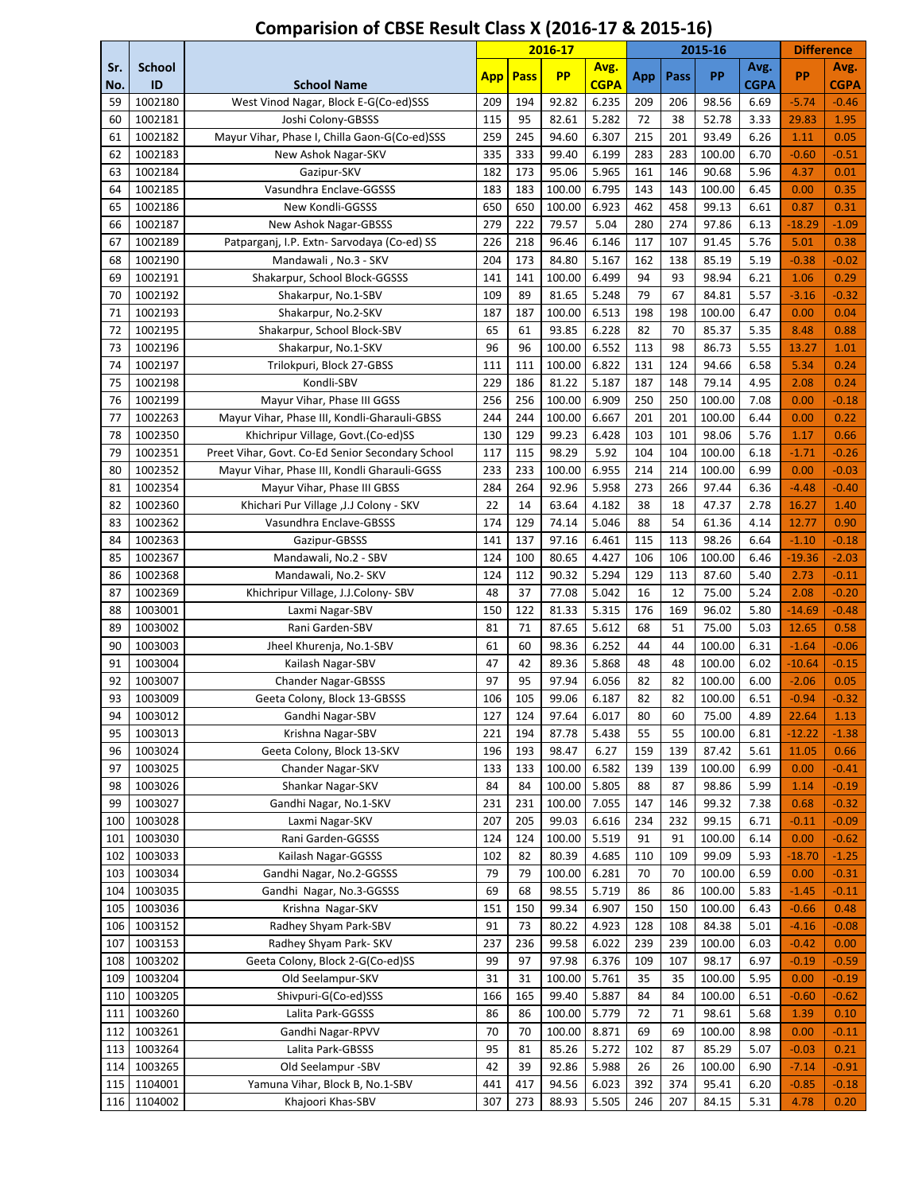|            |                     |                                                  |            |             | 2016-17        |                     |           |           | 2015-16        |                     | <b>Difference</b> |                    |
|------------|---------------------|--------------------------------------------------|------------|-------------|----------------|---------------------|-----------|-----------|----------------|---------------------|-------------------|--------------------|
| Sr.<br>No. | <b>School</b><br>ID | <b>School Name</b>                               | <b>App</b> | <b>Pass</b> | <b>PP</b>      | Avg.<br><b>CGPA</b> | App       | Pass      | <b>PP</b>      | Avg.<br><b>CGPA</b> | PP                | Avg.<br>CGPA       |
| 59         | 1002180             | West Vinod Nagar, Block E-G(Co-ed)SSS            | 209        | 194         | 92.82          | 6.235               | 209       | 206       | 98.56          | 6.69                | $-5.74$           | $-0.46$            |
| 60         | 1002181             | Joshi Colony-GBSSS                               | 115        | 95          | 82.61          | 5.282               | 72        | 38        | 52.78          | 3.33                | 29.83             | 1.95               |
| 61         | 1002182             | Mayur Vihar, Phase I, Chilla Gaon-G(Co-ed)SSS    | 259        | 245         | 94.60          | 6.307               | 215       | 201       | 93.49          | 6.26                | 1.11              | 0.05               |
| 62         | 1002183             | New Ashok Nagar-SKV                              | 335        | 333         | 99.40          | 6.199               | 283       | 283       | 100.00         | 6.70                | $-0.60$           | $-0.51$            |
| 63         | 1002184             | Gazipur-SKV                                      | 182        | 173         | 95.06          | 5.965               | 161       | 146       | 90.68          | 5.96                | 4.37              | 0.01               |
| 64         | 1002185             | Vasundhra Enclave-GGSSS                          | 183        | 183         | 100.00         | 6.795               | 143       | 143       | 100.00         | 6.45                | 0.00              | 0.35               |
| 65         | 1002186             | New Kondli-GGSSS                                 | 650        | 650         | 100.00         | 6.923               | 462       | 458       | 99.13          | 6.61                | 0.87              | 0.31               |
| 66         | 1002187             | New Ashok Nagar-GBSSS                            | 279        | 222         | 79.57          | 5.04                | 280       | 274       | 97.86          | 6.13                | $-18.29$          | $-1.09$            |
| 67         | 1002189             | Patparganj, I.P. Extn- Sarvodaya (Co-ed) SS      | 226        | 218         | 96.46          | 6.146               | 117       | 107       | 91.45          | 5.76                | 5.01              | 0.38               |
| 68         | 1002190             | Mandawali, No.3 - SKV                            | 204        | 173         | 84.80          | 5.167               | 162       | 138       | 85.19          | 5.19                | $-0.38$           | $-0.02$            |
| 69         | 1002191             | Shakarpur, School Block-GGSSS                    | 141        | 141         | 100.00         | 6.499               | 94        | 93        | 98.94          | 6.21                | 1.06              | 0.29               |
| 70         | 1002192             | Shakarpur, No.1-SBV                              | 109        | 89          | 81.65          | 5.248               | 79        | 67        | 84.81          | 5.57                | $-3.16$           | $-0.32$            |
| 71         | 1002193             | Shakarpur, No.2-SKV                              | 187        | 187         | 100.00         | 6.513               | 198       | 198       | 100.00         | 6.47                | 0.00              | 0.04               |
| 72         | 1002195             | Shakarpur, School Block-SBV                      | 65         | 61          | 93.85          | 6.228               | 82        | 70        | 85.37          | 5.35                | 8.48              | 0.88               |
| 73         | 1002196             | Shakarpur, No.1-SKV                              | 96         | 96          | 100.00         | 6.552               | 113       | 98        | 86.73          | 5.55                | 13.27             | 1.01               |
| 74         | 1002197             | Trilokpuri, Block 27-GBSS                        | 111        | 111         | 100.00         | 6.822               | 131       | 124       | 94.66          | 6.58                | 5.34              | 0.24               |
| 75         | 1002198             | Kondli-SBV                                       | 229        | 186         | 81.22          | 5.187               | 187       | 148       | 79.14          | 4.95                | 2.08              | 0.24               |
| 76         | 1002199             | Mayur Vihar, Phase III GGSS                      | 256        | 256         | 100.00         | 6.909               | 250       | 250       | 100.00         | 7.08                | 0.00              | $-0.18$            |
| 77         | 1002263             | Mayur Vihar, Phase III, Kondli-Gharauli-GBSS     | 244        | 244         | 100.00         | 6.667               | 201       | 201       | 100.00         | 6.44                | 0.00              | 0.22               |
| 78         | 1002350             | Khichripur Village, Govt.(Co-ed)SS               | 130        | 129         | 99.23          | 6.428               | 103       | 101       | 98.06          | 5.76                | 1.17              | 0.66               |
| 79         | 1002351             | Preet Vihar, Govt. Co-Ed Senior Secondary School | 117        | 115         | 98.29          | 5.92                | 104       | 104       | 100.00         | 6.18                | $-1.71$           | $-0.26$            |
| 80         | 1002352             | Mayur Vihar, Phase III, Kondli Gharauli-GGSS     | 233        | 233         | 100.00         | 6.955               | 214       | 214       | 100.00         | 6.99                | 0.00              | $-0.03$            |
| 81         | 1002354             | Mayur Vihar, Phase III GBSS                      | 284        | 264         | 92.96          | 5.958               | 273       | 266       | 97.44          | 6.36                | $-4.48$           | $-0.40$            |
| 82         | 1002360             | Khichari Pur Village , J.J Colony - SKV          | 22         | 14          | 63.64          | 4.182               | 38        | 18        | 47.37          | 2.78                | 16.27             | 1.40               |
| 83         | 1002362             | Vasundhra Enclave-GBSSS                          | 174        | 129         | 74.14          | 5.046               | 88        | 54        | 61.36          | 4.14                | 12.77             | 0.90               |
| 84         | 1002363             | Gazipur-GBSSS                                    | 141        | 137         | 97.16          | 6.461               | 115       | 113       | 98.26          | 6.64                | $-1.10$           | $-0.18$            |
| 85         | 1002367             | Mandawali, No.2 - SBV                            | 124        | 100         | 80.65          | 4.427               | 106       | 106       | 100.00         | 6.46                | $-19.36$          | $-2.03$            |
| 86         | 1002368             | Mandawali, No.2- SKV                             | 124        | 112         | 90.32          | 5.294               | 129       | 113       | 87.60          | 5.40                | 2.73              | $-0.11$            |
| 87         | 1002369             | Khichripur Village, J.J.Colony-SBV               | 48<br>150  | 37<br>122   | 77.08<br>81.33 | 5.042<br>5.315      | 16<br>176 | 12<br>169 | 75.00          | 5.24<br>5.80        | 2.08              | $-0.20$<br>$-0.48$ |
| 88         | 1003001<br>1003002  | Laxmi Nagar-SBV                                  | 81         | 71          | 87.65          | 5.612               | 68        | 51        | 96.02<br>75.00 | 5.03                | $-14.69$<br>12.65 | 0.58               |
| 89<br>90   | 1003003             | Rani Garden-SBV<br>Jheel Khurenja, No.1-SBV      | 61         | 60          | 98.36          | 6.252               | 44        | 44        | 100.00         | 6.31                | $-1.64$           | $-0.06$            |
| 91         | 1003004             |                                                  | 47         | 42          | 89.36          | 5.868               | 48        | 48        | 100.00         | 6.02                | $-10.64$          | $-0.15$            |
| 92         | 1003007             | Kailash Nagar-SBV<br><b>Chander Nagar-GBSSS</b>  | 97         | 95          | 97.94          | 6.056               | 82        | 82        | 100.00         | 6.00                | $-2.06$           | 0.05               |
| 93         | 1003009             | Geeta Colony, Block 13-GBSSS                     | 106        | 105         | 99.06          | 6.187               | 82        | 82        | 100.00         | 6.51                | $-0.94$           | $-0.32$            |
| 94         | 1003012             | Gandhi Nagar-SBV                                 | 127        | 124         | 97.64          | 6.017               | 80        | 60        | 75.00          | 4.89                | 22.64             | 1.13               |
| 95         | 1003013             | Krishna Nagar-SBV                                | 221        | 194         | 87.78          | 5.438               | 55        | 55        | 100.00         | 6.81                | -12.22            | $-1.38$            |
| 96         | 1003024             | Geeta Colony, Block 13-SKV                       | 196        | 193         | 98.47          | 6.27                | 159       | 139       | 87.42          | 5.61                | 11.05             | 0.66               |
| 97         | 1003025             | Chander Nagar-SKV                                | 133        | 133         | 100.00         | 6.582               | 139       | 139       | 100.00         | 6.99                | 0.00              | $-0.41$            |
| 98         | 1003026             | Shankar Nagar-SKV                                | 84         | 84          | 100.00         | 5.805               | 88        | 87        | 98.86          | 5.99                | 1.14              | $-0.19$            |
| 99         | 1003027             | Gandhi Nagar, No.1-SKV                           | 231        | 231         | 100.00         | 7.055               | 147       | 146       | 99.32          | 7.38                | 0.68              | $-0.32$            |
| 100        | 1003028             | Laxmi Nagar-SKV                                  | 207        | 205         | 99.03          | 6.616               | 234       | 232       | 99.15          | 6.71                | $-0.11$           | $-0.09$            |
| 101        | 1003030             | Rani Garden-GGSSS                                | 124        | 124         | 100.00         | 5.519               | 91        | 91        | 100.00         | 6.14                | 0.00              | $-0.62$            |
| 102        | 1003033             | Kailash Nagar-GGSSS                              | 102        | 82          | 80.39          | 4.685               | 110       | 109       | 99.09          | 5.93                | $-18.70$          | $-1.25$            |
| 103        | 1003034             | Gandhi Nagar, No.2-GGSSS                         | 79         | 79          | 100.00         | 6.281               | 70        | 70        | 100.00         | 6.59                | 0.00              | $-0.31$            |
| 104        | 1003035             | Gandhi Nagar, No.3-GGSSS                         | 69         | 68          | 98.55          | 5.719               | 86        | 86        | 100.00         | 5.83                | $-1.45$           | $-0.11$            |
| 105        | 1003036             | Krishna Nagar-SKV                                | 151        | 150         | 99.34          | 6.907               | 150       | 150       | 100.00         | 6.43                | $-0.66$           | 0.48               |
| 106        | 1003152             | Radhey Shyam Park-SBV                            | 91         | 73          | 80.22          | 4.923               | 128       | 108       | 84.38          | 5.01                | $-4.16$           | $-0.08$            |
| 107        | 1003153             | Radhey Shyam Park- SKV                           | 237        | 236         | 99.58          | 6.022               | 239       | 239       | 100.00         | 6.03                | $-0.42$           | 0.00               |
| 108        | 1003202             | Geeta Colony, Block 2-G(Co-ed)SS                 | 99         | 97          | 97.98          | 6.376               | 109       | 107       | 98.17          | 6.97                | $-0.19$           | $-0.59$            |
| 109        | 1003204             | Old Seelampur-SKV                                | 31         | 31          | 100.00         | 5.761               | 35        | 35        | 100.00         | 5.95                | 0.00              | $-0.19$            |
| 110        | 1003205             | Shivpuri-G(Co-ed)SSS                             | 166        | 165         | 99.40          | 5.887               | 84        | 84        | 100.00         | 6.51                | $-0.60$           | $-0.62$            |
| 111        | 1003260             | Lalita Park-GGSSS                                | 86         | 86          | 100.00         | 5.779               | 72        | 71        | 98.61          | 5.68                | 1.39              | 0.10               |
| 112        | 1003261             | Gandhi Nagar-RPVV                                | 70         | 70          | 100.00         | 8.871               | 69        | 69        | 100.00         | 8.98                | 0.00              | $-0.11$            |
| 113        | 1003264             | Lalita Park-GBSSS                                | 95         | 81          | 85.26          | 5.272               | 102       | 87        | 85.29          | 5.07                | $-0.03$           | 0.21               |
| 114        | 1003265             | Old Seelampur -SBV                               | 42         | 39          | 92.86          | 5.988               | 26        | 26        | 100.00         | 6.90                | $-7.14$           | $-0.91$            |
| 115        | 1104001             | Yamuna Vihar, Block B, No.1-SBV                  | 441        | 417         | 94.56          | 6.023               | 392       | 374       | 95.41          | 6.20                | $-0.85$           | $-0.18$            |
| 116        | 1104002             | Khajoori Khas-SBV                                | 307        | 273         | 88.93          | 5.505               | 246       | 207       | 84.15          | 5.31                | 4.78              | 0.20               |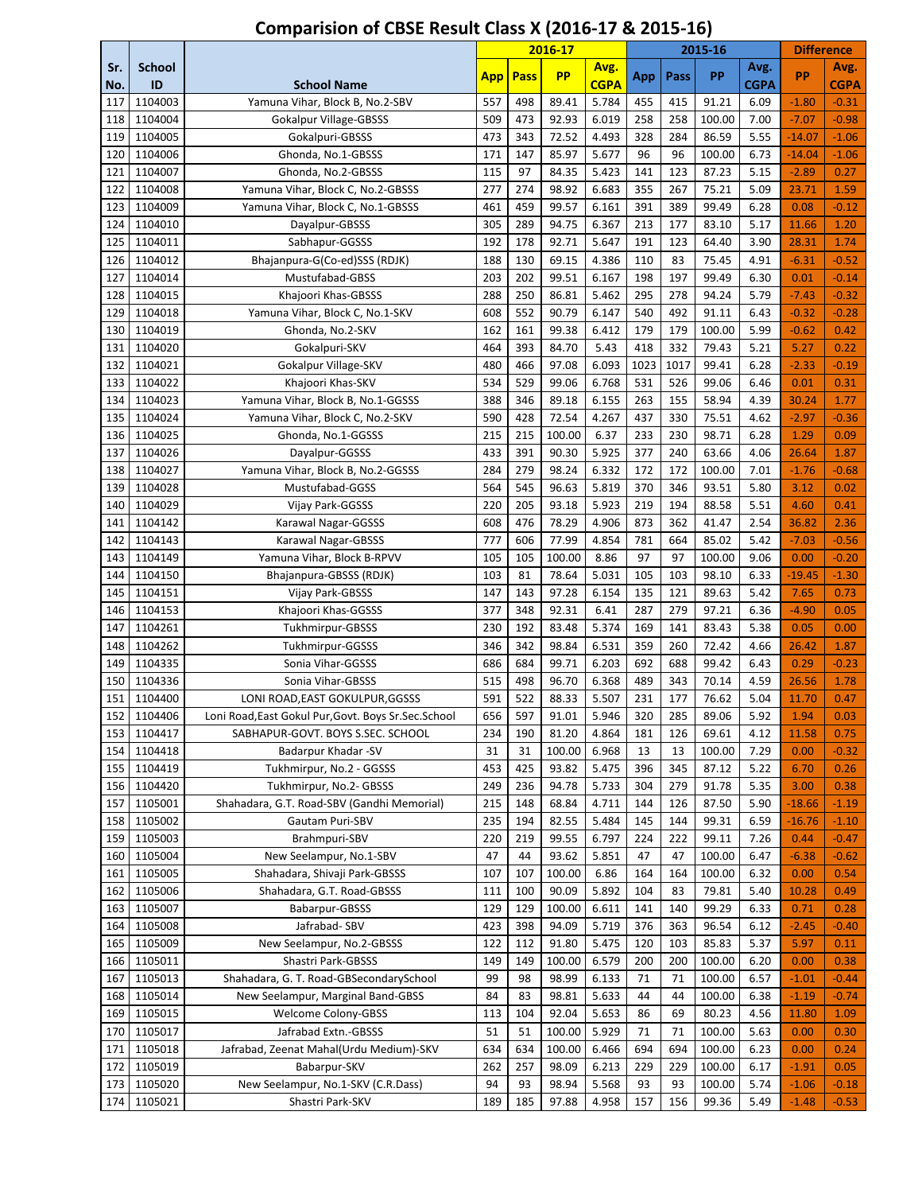|            |                     |                                                       |            |             | 2016-17   |                     |      |      | 2015-16 |                     | <b>Difference</b> |                     |
|------------|---------------------|-------------------------------------------------------|------------|-------------|-----------|---------------------|------|------|---------|---------------------|-------------------|---------------------|
| Sr.<br>No. | <b>School</b><br>ID | <b>School Name</b>                                    | <b>App</b> | <b>Pass</b> | <b>PP</b> | Avg.<br><b>CGPA</b> | App  | Pass | PP      | Avg.<br><b>CGPA</b> | <b>PP</b>         | Avg.<br><b>CGPA</b> |
| 117        | 1104003             | Yamuna Vihar, Block B, No.2-SBV                       | 557        | 498         | 89.41     | 5.784               | 455  | 415  | 91.21   | 6.09                | $-1.80$           | $-0.31$             |
| 118        | 1104004             | Gokalpur Village-GBSSS                                | 509        | 473         | 92.93     | 6.019               | 258  | 258  | 100.00  | 7.00                | $-7.07$           | $-0.98$             |
| 119        | 1104005             | Gokalpuri-GBSSS                                       | 473        | 343         | 72.52     | 4.493               | 328  | 284  | 86.59   | 5.55                | $-14.07$          | $-1.06$             |
| 120        | 1104006             | Ghonda, No.1-GBSSS                                    | 171        | 147         | 85.97     | 5.677               | 96   | 96   | 100.00  | 6.73                | $-14.04$          | $-1.06$             |
| 121        | 1104007             | Ghonda, No.2-GBSSS                                    | 115        | 97          | 84.35     | 5.423               | 141  | 123  | 87.23   | 5.15                | $-2.89$           | 0.27                |
| 122        | 1104008             | Yamuna Vihar, Block C, No.2-GBSSS                     | 277        | 274         | 98.92     | 6.683               | 355  | 267  | 75.21   | 5.09                | 23.71             | 1.59                |
| 123        | 1104009             | Yamuna Vihar, Block C, No.1-GBSSS                     | 461        | 459         | 99.57     | 6.161               | 391  | 389  | 99.49   | 6.28                | 0.08              | $-0.12$             |
| 124        | 1104010             | Dayalpur-GBSSS                                        | 305        | 289         | 94.75     | 6.367               | 213  | 177  | 83.10   | 5.17                | 11.66             | 1.20                |
| 125        | 1104011             | Sabhapur-GGSSS                                        | 192        | 178         | 92.71     | 5.647               | 191  | 123  | 64.40   | 3.90                | 28.31             | 1.74                |
| 126        | 1104012             | Bhajanpura-G(Co-ed)SSS (RDJK)                         | 188        | 130         | 69.15     | 4.386               | 110  | 83   | 75.45   | 4.91                | $-6.31$           | $-0.52$             |
| 127        | 1104014             | Mustufabad-GBSS                                       | 203        | 202         | 99.51     | 6.167               | 198  | 197  | 99.49   | 6.30                | 0.01              | $-0.14$             |
| 128        | 1104015             | Khajoori Khas-GBSSS                                   | 288        | 250         | 86.81     | 5.462               | 295  | 278  | 94.24   | 5.79                | $-7.43$           | $-0.32$             |
| 129        | 1104018             | Yamuna Vihar, Block C, No.1-SKV                       | 608        | 552         | 90.79     | 6.147               | 540  | 492  | 91.11   | 6.43                | $-0.32$           | $-0.28$             |
| 130        | 1104019             | Ghonda, No.2-SKV                                      | 162        | 161         | 99.38     | 6.412               | 179  | 179  | 100.00  | 5.99                | $-0.62$           | 0.42                |
| 131        | 1104020             | Gokalpuri-SKV                                         | 464        | 393         | 84.70     | 5.43                | 418  | 332  | 79.43   | 5.21                | 5.27              | 0.22                |
| 132        | 1104021             | Gokalpur Village-SKV                                  | 480        | 466         | 97.08     | 6.093               | 1023 | 1017 | 99.41   | 6.28                | $-2.33$           | $-0.19$             |
| 133        | 1104022             | Khajoori Khas-SKV                                     | 534        | 529         | 99.06     | 6.768               | 531  | 526  | 99.06   | 6.46                | 0.01              | 0.31                |
| 134        | 1104023             | Yamuna Vihar, Block B, No.1-GGSSS                     | 388        | 346         | 89.18     | 6.155               | 263  | 155  | 58.94   | 4.39                | 30.24             | 1.77                |
| 135        | 1104024             | Yamuna Vihar, Block C, No.2-SKV                       | 590        | 428         | 72.54     | 4.267               | 437  | 330  | 75.51   | 4.62                | $-2.97$           | $-0.36$             |
| 136        | 1104025             | Ghonda, No.1-GGSSS                                    | 215        | 215         | 100.00    | 6.37                | 233  | 230  | 98.71   | 6.28                | 1.29              | 0.09                |
| 137        | 1104026             | Dayalpur-GGSSS                                        | 433        | 391         | 90.30     | 5.925               | 377  | 240  | 63.66   | 4.06                | 26.64             | 1.87                |
| 138        | 1104027             | Yamuna Vihar, Block B, No.2-GGSSS                     | 284        | 279         | 98.24     | 6.332               | 172  | 172  | 100.00  | 7.01                | $-1.76$           | $-0.68$             |
| 139        | 1104028             | Mustufabad-GGSS                                       | 564        | 545         | 96.63     | 5.819               | 370  | 346  | 93.51   | 5.80                | 3.12              | 0.02                |
| 140        | 1104029             | Vijay Park-GGSSS                                      | 220        | 205         | 93.18     | 5.923               | 219  | 194  | 88.58   | 5.51                | 4.60              | 0.41                |
| 141        | 1104142             | Karawal Nagar-GGSSS                                   | 608        | 476         | 78.29     | 4.906               | 873  | 362  | 41.47   | 2.54                | 36.82             | 2.36                |
| 142        | 1104143             | Karawal Nagar-GBSSS                                   | 777        | 606         | 77.99     | 4.854               | 781  | 664  | 85.02   | 5.42                | $-7.03$           | $-0.56$             |
| 143        | 1104149             | Yamuna Vihar, Block B-RPVV                            | 105        | 105         | 100.00    | 8.86                | 97   | 97   | 100.00  | 9.06                | 0.00              | $-0.20$             |
| 144        | 1104150             | Bhajanpura-GBSSS (RDJK)                               | 103        | 81          | 78.64     | 5.031               | 105  | 103  | 98.10   | 6.33                | $-19.45$          | $-1.30$             |
| 145        | 1104151             | Vijay Park-GBSSS                                      | 147        | 143         | 97.28     | 6.154               | 135  | 121  | 89.63   | 5.42                | 7.65              | 0.73                |
| 146        | 1104153             | Khajoori Khas-GGSSS                                   | 377        | 348         | 92.31     | 6.41                | 287  | 279  | 97.21   | 6.36                | $-4.90$           | 0.05                |
| 147        | 1104261             | <b>Tukhmirpur-GBSSS</b>                               | 230        | 192         | 83.48     | 5.374               | 169  | 141  | 83.43   | 5.38                | 0.05              | 0.00                |
| 148        | 1104262             | Tukhmirpur-GGSSS                                      | 346        | 342         | 98.84     | 6.531               | 359  | 260  | 72.42   | 4.66                | 26.42             | 1.87                |
| 149        | 1104335             | Sonia Vihar-GGSSS                                     | 686        | 684         | 99.71     | 6.203               | 692  | 688  | 99.42   | 6.43                | 0.29              | $-0.23$             |
| 150        | 1104336             | Sonia Vihar-GBSSS                                     | 515        | 498         | 96.70     | 6.368               | 489  | 343  | 70.14   | 4.59                | 26.56             | 1.78                |
| 151        | 1104400             | LONI ROAD, EAST GOKULPUR, GGSSS                       | 591        | 522         | 88.33     | 5.507               | 231  | 177  | 76.62   | 5.04                | 11.70             | 0.47                |
| 152        | 1104406             | Loni Road, East Gokul Pur, Govt. Boys Sr. Sec. School | 656        | 597         | 91.01     | 5.946               | 320  | 285  | 89.06   | 5.92                | 1.94              | 0.03                |
| 153        | 1104417             | SABHAPUR-GOVT. BOYS S.SEC. SCHOOL                     | 234        | 190         | 81.20     | 4.864               | 181  | 126  | 69.61   | 4.12                | 11.58             | 0.75                |
| 154        | 1104418             | Badarpur Khadar -SV                                   | 31         | 31          | 100.00    | 6.968               | 13   | 13   | 100.00  | 7.29                | 0.00              | $-0.32$             |
| 155        | 1104419             | Tukhmirpur, No.2 - GGSSS                              | 453        | 425         | 93.82     | 5.475               | 396  | 345  | 87.12   | 5.22                | 6.70              | 0.26                |
| 156        | 1104420             | Tukhmirpur, No.2- GBSSS                               | 249        | 236         | 94.78     | 5.733               | 304  | 279  | 91.78   | 5.35                | 3.00              | 0.38                |
| 157        | 1105001             | Shahadara, G.T. Road-SBV (Gandhi Memorial)            | 215        | 148         | 68.84     | 4.711               | 144  | 126  | 87.50   | 5.90                | -18.66            | $-1.19$             |
| 158        | 1105002             | Gautam Puri-SBV                                       | 235        | 194         | 82.55     | 5.484               | 145  | 144  | 99.31   | 6.59                | -16.76            | $-1.10$             |
| 159        | 1105003             | Brahmpuri-SBV                                         | 220        | 219         | 99.55     | 6.797               | 224  | 222  | 99.11   | 7.26                | 0.44              | $-0.47$             |
| 160        | 1105004             | New Seelampur, No.1-SBV                               | 47         | 44          | 93.62     | 5.851               | 47   | 47   | 100.00  | 6.47                | $-6.38$           | $-0.62$             |
| 161        | 1105005             | Shahadara, Shivaji Park-GBSSS                         | 107        | 107         | 100.00    | 6.86                | 164  | 164  | 100.00  | 6.32                | 0.00              | 0.54                |
| 162        | 1105006             | Shahadara, G.T. Road-GBSSS                            | 111        | 100         | 90.09     | 5.892               | 104  | 83   | 79.81   | 5.40                | 10.28             | 0.49                |
| 163        | 1105007             | Babarpur-GBSSS                                        | 129        | 129         | 100.00    | 6.611               | 141  | 140  | 99.29   | 6.33                | 0.71              | 0.28                |
| 164        | 1105008             | Jafrabad-SBV                                          | 423        | 398         | 94.09     | 5.719               | 376  | 363  | 96.54   | 6.12                | $-2.45$           | $-0.40$             |
| 165        | 1105009             | New Seelampur, No.2-GBSSS                             | 122        | 112         | 91.80     | 5.475               | 120  | 103  | 85.83   | 5.37                | 5.97              | 0.11                |
| 166        | 1105011             | Shastri Park-GBSSS                                    | 149        | 149         | 100.00    | 6.579               | 200  | 200  | 100.00  | 6.20                | 0.00              | 0.38                |
| 167        | 1105013             | Shahadara, G. T. Road-GBSecondarySchool               | 99         | 98          | 98.99     | 6.133               | 71   | 71   | 100.00  | 6.57                | $-1.01$           | $-0.44$             |
| 168        | 1105014             | New Seelampur, Marginal Band-GBSS                     | 84         | 83          | 98.81     | 5.633               | 44   | 44   | 100.00  | 6.38                | $-1.19$           | $-0.74$             |
| 169        | 1105015             | Welcome Colony-GBSS                                   | 113        | 104         | 92.04     | 5.653               | 86   | 69   | 80.23   | 4.56                | 11.80             | 1.09                |
| 170        | 1105017             | Jafrabad Extn.-GBSSS                                  | 51         | 51          | 100.00    | 5.929               | 71   | 71   | 100.00  | 5.63                | 0.00              | 0.30                |
| 171        | 1105018             | Jafrabad, Zeenat Mahal(Urdu Medium)-SKV               | 634        | 634         | 100.00    | 6.466               | 694  | 694  | 100.00  | 6.23                | 0.00              | 0.24                |
| 172        | 1105019             | Babarpur-SKV                                          | 262        | 257         | 98.09     | 6.213               | 229  | 229  | 100.00  | 6.17                | $-1.91$           | 0.05                |
| 173        | 1105020             | New Seelampur, No.1-SKV (C.R.Dass)                    | 94         | 93          | 98.94     | 5.568               | 93   | 93   | 100.00  | 5.74                | $-1.06$           | $-0.18$             |
| 174        | 1105021             | Shastri Park-SKV                                      | 189        | 185         | 97.88     | 4.958               | 157  | 156  | 99.36   | 5.49                | $-1.48$           | $-0.53$             |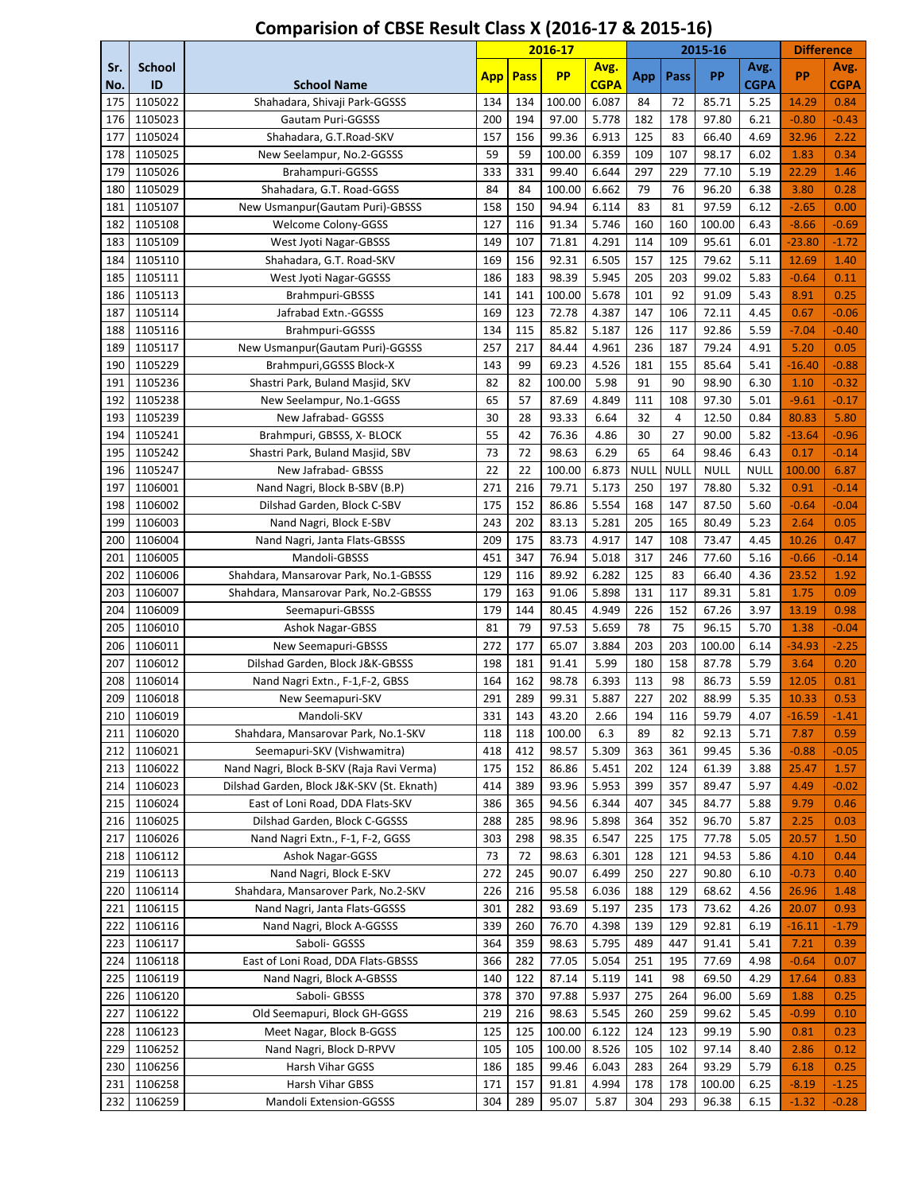|            |                     |                                            |            |             | 2016-17   |                     |             |      | 2015-16     |                     | <b>Difference</b> |                     |
|------------|---------------------|--------------------------------------------|------------|-------------|-----------|---------------------|-------------|------|-------------|---------------------|-------------------|---------------------|
| Sr.<br>No. | <b>School</b><br>ID | <b>School Name</b>                         | <b>App</b> | <b>Pass</b> | <b>PP</b> | Avg.<br><b>CGPA</b> | App         | Pass | PP          | Avg.<br><b>CGPA</b> | PP                | Avg.<br><b>CGPA</b> |
| 175        | 1105022             | Shahadara, Shivaji Park-GGSSS              | 134        | 134         | 100.00    | 6.087               | 84          | 72   | 85.71       | 5.25                | 14.29             | 0.84                |
| 176        | 1105023             | Gautam Puri-GGSSS                          | 200        | 194         | 97.00     | 5.778               | 182         | 178  | 97.80       | 6.21                | $-0.80$           | $-0.43$             |
| 177        | 1105024             | Shahadara, G.T.Road-SKV                    | 157        | 156         | 99.36     | 6.913               | 125         | 83   | 66.40       | 4.69                | 32.96             | 2.22                |
| 178        | 1105025             | New Seelampur, No.2-GGSSS                  | 59         | 59          | 100.00    | 6.359               | 109         | 107  | 98.17       | 6.02                | 1.83              | 0.34                |
| 179        | 1105026             | Brahampuri-GGSSS                           | 333        | 331         | 99.40     | 6.644               | 297         | 229  | 77.10       | 5.19                | 22.29             | 1.46                |
| 180        | 1105029             | Shahadara, G.T. Road-GGSS                  | 84         | 84          | 100.00    | 6.662               | 79          | 76   | 96.20       | 6.38                | 3.80              | 0.28                |
| 181        | 1105107             | New Usmanpur (Gautam Puri)-GBSSS           | 158        | 150         | 94.94     | 6.114               | 83          | 81   | 97.59       | 6.12                | $-2.65$           | 0.00                |
| 182        | 1105108             | Welcome Colony-GGSS                        | 127        | 116         | 91.34     | 5.746               | 160         | 160  | 100.00      | 6.43                | $-8.66$           | $-0.69$             |
| 183        | 1105109             | West Jyoti Nagar-GBSSS                     | 149        | 107         | 71.81     | 4.291               | 114         | 109  | 95.61       | 6.01                | $-23.80$          | $-1.72$             |
| 184        | 1105110             | Shahadara, G.T. Road-SKV                   | 169        | 156         | 92.31     | 6.505               | 157         | 125  | 79.62       | 5.11                | 12.69             | 1.40                |
| 185        | 1105111             | West Jyoti Nagar-GGSSS                     | 186        | 183         | 98.39     | 5.945               | 205         | 203  | 99.02       | 5.83                | $-0.64$           | 0.11                |
| 186        | 1105113             | Brahmpuri-GBSSS                            | 141        | 141         | 100.00    | 5.678               | 101         | 92   | 91.09       | 5.43                | 8.91              | 0.25                |
| 187        | 1105114             | Jafrabad Extn.-GGSSS                       | 169        | 123         | 72.78     | 4.387               | 147         | 106  | 72.11       | 4.45                | 0.67              | $-0.06$             |
| 188        | 1105116             | Brahmpuri-GGSSS                            | 134        | 115         | 85.82     | 5.187               | 126         | 117  | 92.86       | 5.59                | $-7.04$           | $-0.40$             |
| 189        | 1105117             | New Usmanpur (Gautam Puri)-GGSSS           | 257        | 217         | 84.44     | 4.961               | 236         | 187  | 79.24       | 4.91                | 5.20              | 0.05                |
| 190        | 1105229             | Brahmpuri, GGSSS Block-X                   | 143        | 99          | 69.23     | 4.526               | 181         | 155  | 85.64       | 5.41                | -16.40            | $-0.88$             |
| 191        | 1105236             | Shastri Park, Buland Masjid, SKV           | 82         | 82          | 100.00    | 5.98                | 91          | 90   | 98.90       | 6.30                | 1.10              | $-0.32$             |
| 192        | 1105238             | New Seelampur, No.1-GGSS                   | 65         | 57          | 87.69     | 4.849               | 111         | 108  | 97.30       | 5.01                | $-9.61$           | $-0.17$             |
| 193        | 1105239             | New Jafrabad- GGSSS                        | 30         | 28          | 93.33     | 6.64                | 32          | 4    | 12.50       | 0.84                | 80.83             | 5.80                |
| 194        | 1105241             | Brahmpuri, GBSSS, X- BLOCK                 | 55         | 42          | 76.36     | 4.86                | 30          | 27   | 90.00       | 5.82                | $-13.64$          | $-0.96$             |
| 195        | 1105242             | Shastri Park, Buland Masjid, SBV           | 73         | 72          | 98.63     | 6.29                | 65          | 64   | 98.46       | 6.43                | 0.17              | $-0.14$             |
| 196        | 1105247             | New Jafrabad- GBSSS                        | 22         | 22          | 100.00    | 6.873               | <b>NULL</b> | NULL | <b>NULL</b> | <b>NULL</b>         | 100.00            | 6.87                |
| 197        | 1106001             | Nand Nagri, Block B-SBV (B.P)              | 271        | 216         | 79.71     | 5.173               | 250         | 197  | 78.80       | 5.32                | 0.91              | $-0.14$             |
| 198        | 1106002             | Dilshad Garden, Block C-SBV                | 175        | 152         | 86.86     | 5.554               | 168         | 147  | 87.50       | 5.60                | $-0.64$           | $-0.04$             |
| 199        | 1106003             | Nand Nagri, Block E-SBV                    | 243        | 202         | 83.13     | 5.281               | 205         | 165  | 80.49       | 5.23                | 2.64              | 0.05                |
| 200        | 1106004             | Nand Nagri, Janta Flats-GBSSS              | 209        | 175         | 83.73     | 4.917               | 147         | 108  | 73.47       | 4.45                | 10.26             | 0.47                |
| 201        | 1106005             | Mandoli-GBSSS                              | 451        | 347         | 76.94     | 5.018               | 317         | 246  | 77.60       | 5.16                | $-0.66$           | $-0.14$             |
| 202        | 1106006             | Shahdara, Mansarovar Park, No.1-GBSSS      | 129        | 116         | 89.92     | 6.282               | 125         | 83   | 66.40       | 4.36                | 23.52             | 1.92                |
| 203        | 1106007             | Shahdara, Mansarovar Park, No.2-GBSSS      | 179        | 163         | 91.06     | 5.898               | 131         | 117  | 89.31       | 5.81                | 1.75              | 0.09                |
| 204        | 1106009             | Seemapuri-GBSSS                            | 179        | 144         | 80.45     | 4.949               | 226         | 152  | 67.26       | 3.97                | 13.19             | 0.98                |
| 205        | 1106010             | <b>Ashok Nagar-GBSS</b>                    | 81         | 79          | 97.53     | 5.659               | 78          | 75   | 96.15       | 5.70                | 1.38              | $-0.04$             |
| 206        | 1106011             | New Seemapuri-GBSSS                        | 272        | 177         | 65.07     | 3.884               | 203         | 203  | 100.00      | 6.14                | $-34.93$          | $-2.25$             |
| 207        | 1106012             | Dilshad Garden, Block J&K-GBSSS            | 198        | 181         | 91.41     | 5.99                | 180         | 158  | 87.78       | 5.79                | 3.64              | 0.20                |
| 208        | 1106014             | Nand Nagri Extn., F-1,F-2, GBSS            | 164        | 162         | 98.78     | 6.393               | 113         | 98   | 86.73       | 5.59                | 12.05             | 0.81                |
| 209        | 1106018             | New Seemapuri-SKV                          | 291        | 289         | 99.31     | 5.887               | 227         | 202  | 88.99       | 5.35                | 10.33             | 0.53                |
| 210        | 1106019             | Mandoli-SKV                                | 331        | 143         | 43.20     | 2.66                | 194         | 116  | 59.79       | 4.07                | $-16.59$          | $-1.41$             |
| 211        | 1106020             | Shahdara, Mansarovar Park, No.1-SKV        | 118        | 118         | 100.00    | 6.3                 | 89          | 82   | 92.13       | 5.71                | 7.87              | 0.59                |
| 212        | 1106021             | Seemapuri-SKV (Vishwamitra)                | 418        | 412         | 98.57     | 5.309               | 363         | 361  | 99.45       | 5.36                | $-0.88$           | $-0.05$             |
| 213        | 1106022             | Nand Nagri, Block B-SKV (Raja Ravi Verma)  | 175        | 152         | 86.86     | 5.451               | 202         | 124  | 61.39       | 3.88                | 25.47             | 1.57                |
| 214        | 1106023             | Dilshad Garden, Block J&K-SKV (St. Eknath) | 414        | 389         | 93.96     | 5.953               | 399         | 357  | 89.47       | 5.97                | 4.49              | $-0.02$             |
| 215        | 1106024             | East of Loni Road, DDA Flats-SKV           | 386        | 365         | 94.56     | 6.344               | 407         | 345  | 84.77       | 5.88                | 9.79              | 0.46                |
| 216        | 1106025             | Dilshad Garden, Block C-GGSSS              | 288        | 285         | 98.96     | 5.898               | 364         | 352  | 96.70       | 5.87                | 2.25              | 0.03                |
| 217        | 1106026             | Nand Nagri Extn., F-1, F-2, GGSS           | 303        | 298         | 98.35     | 6.547               | 225         | 175  | 77.78       | 5.05                | 20.57             | 1.50                |
| 218        | 1106112             | Ashok Nagar-GGSS                           | 73         | 72          | 98.63     | 6.301               | 128         | 121  | 94.53       | 5.86                | 4.10              | 0.44                |
| 219        | 1106113             | Nand Nagri, Block E-SKV                    | 272        | 245         | 90.07     | 6.499               | 250         | 227  | 90.80       | 6.10                | $-0.73$           | 0.40                |
| 220        | 1106114             | Shahdara, Mansarover Park, No.2-SKV        | 226        | 216         | 95.58     | 6.036               | 188         | 129  | 68.62       | 4.56                | 26.96             | 1.48                |
| 221        | 1106115             | Nand Nagri, Janta Flats-GGSSS              | 301        | 282         | 93.69     | 5.197               | 235         | 173  | 73.62       | 4.26                | 20.07             | 0.93                |
| 222        | 1106116             | Nand Nagri, Block A-GGSSS                  | 339        | 260         | 76.70     | 4.398               | 139         | 129  | 92.81       | 6.19                | -16.11            | $-1.79$             |
| 223        | 1106117             | Saboli- GGSSS                              | 364        | 359         | 98.63     | 5.795               | 489         | 447  | 91.41       | 5.41                | 7.21              | 0.39                |
| 224        | 1106118             | East of Loni Road, DDA Flats-GBSSS         | 366        | 282         | 77.05     | 5.054               | 251         | 195  | 77.69       | 4.98                | $-0.64$           | 0.07                |
| 225        | 1106119             | Nand Nagri, Block A-GBSSS                  | 140        | 122         | 87.14     | 5.119               | 141         | 98   | 69.50       | 4.29                | 17.64             | 0.83                |
| 226        | 1106120             | Saboli- GBSSS                              | 378        | 370         | 97.88     | 5.937               | 275         | 264  | 96.00       | 5.69                | 1.88              | 0.25                |
| 227        | 1106122             | Old Seemapuri, Block GH-GGSS               | 219        | 216         | 98.63     | 5.545               | 260         | 259  | 99.62       | 5.45                | $-0.99$           | 0.10                |
| 228        | 1106123             | Meet Nagar, Block B-GGSS                   | 125        | 125         | 100.00    | 6.122               | 124         | 123  | 99.19       | 5.90                | 0.81              | 0.23                |
| 229        | 1106252             | Nand Nagri, Block D-RPVV                   | 105        | 105         | 100.00    | 8.526               | 105         | 102  | 97.14       | 8.40                | 2.86              | 0.12                |
| 230        | 1106256             | Harsh Vihar GGSS                           | 186        | 185         | 99.46     | 6.043               | 283         | 264  | 93.29       | 5.79                | 6.18              | 0.25                |
| 231        | 1106258             | Harsh Vihar GBSS                           | 171        | 157         | 91.81     | 4.994               | 178         | 178  | 100.00      | 6.25                | $-8.19$           | $-1.25$             |
| 232        | 1106259             | Mandoli Extension-GGSSS                    | 304        | 289         | 95.07     | 5.87                | 304         | 293  | 96.38       | 6.15                | $-1.32$           | $-0.28$             |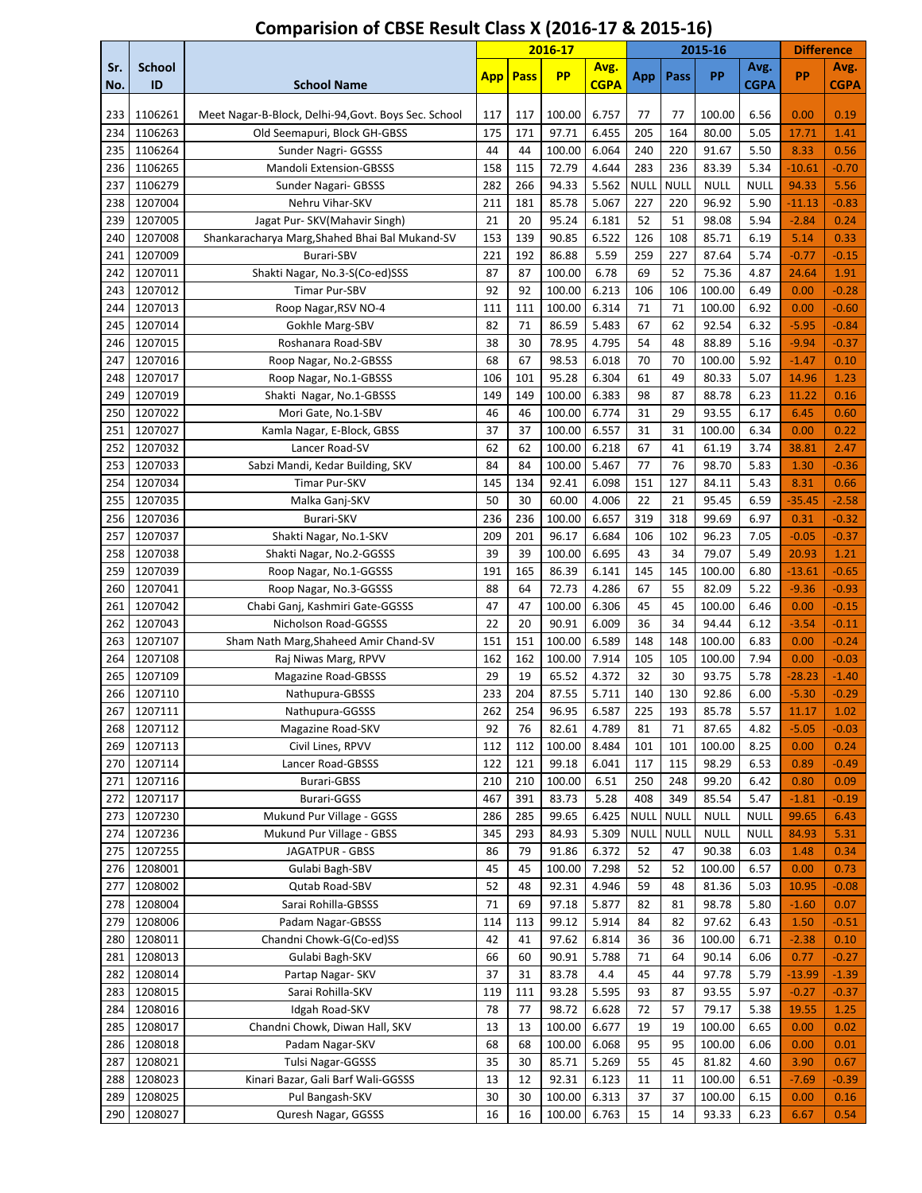|            |                     |                                                      |            |             | 2016-17         |                     |             |             | 2015-16        |                     | <b>Difference</b> |                     |
|------------|---------------------|------------------------------------------------------|------------|-------------|-----------------|---------------------|-------------|-------------|----------------|---------------------|-------------------|---------------------|
| Sr.<br>No. | <b>School</b><br>ID | <b>School Name</b>                                   | <b>App</b> | <b>Pass</b> | <b>PP</b>       | Avg.<br><b>CGPA</b> | App         | Pass        | PP             | Avg.<br><b>CGPA</b> | PP                | Avg.<br><b>CGPA</b> |
| 233        | 1106261             | Meet Nagar-B-Block, Delhi-94, Govt. Boys Sec. School | 117        | 117         | 100.00          | 6.757               | 77          | 77          | 100.00         | 6.56                | 0.00              | 0.19                |
| 234        | 1106263             | Old Seemapuri, Block GH-GBSS                         | 175        | 171         | 97.71           | 6.455               | 205         | 164         | 80.00          | 5.05                | 17.71             | 1.41                |
| 235        | 1106264             | Sunder Nagri- GGSSS                                  | 44         | 44          | 100.00          | 6.064               | 240         | 220         | 91.67          | 5.50                | 8.33              | 0.56                |
| 236        | 1106265             | <b>Mandoli Extension-GBSSS</b>                       | 158        | 115         | 72.79           | 4.644               | 283         | 236         | 83.39          | 5.34                | $-10.61$          | $-0.70$             |
| 237        | 1106279             | Sunder Nagari- GBSSS                                 | 282        | 266         | 94.33           | 5.562               | <b>NULL</b> | <b>NULL</b> | <b>NULL</b>    | <b>NULL</b>         | 94.33             | 5.56                |
| 238        | 1207004             | Nehru Vihar-SKV                                      | 211        | 181         | 85.78           | 5.067               | 227         | 220         | 96.92          | 5.90                | $-11.13$          | $-0.83$             |
| 239        | 1207005             | Jagat Pur- SKV(Mahavir Singh)                        | 21         | 20          | 95.24           | 6.181               | 52          | 51          | 98.08          | 5.94                | $-2.84$           | 0.24                |
| 240        | 1207008             | Shankaracharya Marg, Shahed Bhai Bal Mukand-SV       | 153        | 139         | 90.85           | 6.522               | 126         | 108         | 85.71          | 6.19                | 5.14              | 0.33                |
| 241        | 1207009             | Burari-SBV                                           | 221        | 192         | 86.88           | 5.59                | 259         | 227         | 87.64          | 5.74                | $-0.77$           | $-0.15$             |
| 242        | 1207011             | Shakti Nagar, No.3-S(Co-ed)SSS                       | 87         | 87          | 100.00          | 6.78                | 69          | 52          | 75.36          | 4.87                | 24.64             | 1.91                |
| 243        | 1207012             | Timar Pur-SBV                                        | 92         | 92          | 100.00          | 6.213               | 106         | 106         | 100.00         | 6.49                | 0.00              | $-0.28$             |
| 244        | 1207013             | Roop Nagar, RSV NO-4                                 | 111        | 111         | 100.00          | 6.314               | 71          | 71          | 100.00         | 6.92                | 0.00              | $-0.60$             |
| 245        | 1207014             | Gokhle Marg-SBV                                      | 82         | 71          | 86.59           | 5.483               | 67          | 62          | 92.54          | 6.32                | $-5.95$           | $-0.84$             |
| 246        | 1207015             | Roshanara Road-SBV                                   | 38         | 30          | 78.95           | 4.795               | 54          | 48          | 88.89          | 5.16                | $-9.94$           | $-0.37$             |
| 247        | 1207016             | Roop Nagar, No.2-GBSSS                               | 68         | 67          | 98.53           | 6.018               | 70          | 70          | 100.00         | 5.92                | $-1.47$           | 0.10                |
| 248        | 1207017             | Roop Nagar, No.1-GBSSS                               | 106        | 101         | 95.28           | 6.304               | 61          | 49          | 80.33          | 5.07                | 14.96             | 1.23                |
| 249        | 1207019             | Shakti Nagar, No.1-GBSSS                             | 149        | 149         | 100.00          | 6.383               | 98          | 87          | 88.78          | 6.23                | 11.22             | 0.16                |
| 250        | 1207022             | Mori Gate, No.1-SBV                                  | 46         | 46          | 100.00          | 6.774               | 31          | 29          | 93.55          | 6.17                | 6.45              | 0.60                |
| 251        | 1207027             | Kamla Nagar, E-Block, GBSS                           | 37         | 37          | 100.00          | 6.557               | 31          | 31          | 100.00         | 6.34                | 0.00              | 0.22                |
| 252        | 1207032             | Lancer Road-SV                                       | 62         | 62          | 100.00          | 6.218               | 67          | 41          | 61.19          | 3.74                | 38.81             | 2.47                |
| 253        | 1207033             | Sabzi Mandi, Kedar Building, SKV                     | 84         | 84          | 100.00          | 5.467               | 77          | 76          | 98.70          | 5.83                | 1.30              | $-0.36$             |
| 254        | 1207034             | Timar Pur-SKV                                        | 145        | 134         | 92.41           | 6.098               | 151         | 127         | 84.11          | 5.43                | 8.31              | 0.66                |
| 255        | 1207035             | Malka Ganj-SKV                                       | 50         | 30          | 60.00           | 4.006               | 22          | 21          | 95.45          | 6.59                | $-35.45$          | $-2.58$             |
| 256        | 1207036             | Burari-SKV                                           | 236        | 236         | 100.00          | 6.657               | 319         | 318         | 99.69          | 6.97                | 0.31              | $-0.32$             |
| 257        | 1207037<br>1207038  | Shakti Nagar, No.1-SKV                               | 209<br>39  | 201<br>39   | 96.17<br>100.00 | 6.684<br>6.695      | 106<br>43   | 102<br>34   | 96.23<br>79.07 | 7.05<br>5.49        | $-0.05$           | $-0.37$<br>1.21     |
| 258<br>259 | 1207039             | Shakti Nagar, No.2-GGSSS<br>Roop Nagar, No.1-GGSSS   | 191        | 165         | 86.39           | 6.141               | 145         | 145         | 100.00         | 6.80                | 20.93<br>$-13.61$ | $-0.65$             |
| 260        | 1207041             | Roop Nagar, No.3-GGSSS                               | 88         | 64          | 72.73           | 4.286               | 67          | 55          | 82.09          | 5.22                | $-9.36$           | $-0.93$             |
| 261        | 1207042             | Chabi Ganj, Kashmiri Gate-GGSSS                      | 47         | 47          | 100.00          | 6.306               | 45          | 45          | 100.00         | 6.46                | 0.00              | $-0.15$             |
| 262        | 1207043             | Nicholson Road-GGSSS                                 | 22         | 20          | 90.91           | 6.009               | 36          | 34          | 94.44          | 6.12                | $-3.54$           | $-0.11$             |
| 263        | 1207107             | Sham Nath Marg, Shaheed Amir Chand-SV                | 151        | 151         | 100.00          | 6.589               | 148         | 148         | 100.00         | 6.83                | 0.00              | $-0.24$             |
| 264        | 1207108             | Raj Niwas Marg, RPVV                                 | 162        | 162         | 100.00          | 7.914               | 105         | 105         | 100.00         | 7.94                | 0.00              | $-0.03$             |
| 265        | 1207109             | <b>Magazine Road-GBSSS</b>                           | 29         | 19          | 65.52           | 4.372               | 32          | 30          | 93.75          | 5.78                | $-28.23$          | $-1.40$             |
| 266        | 1207110             | Nathupura-GBSSS                                      | 233        | 204         | 87.55           | 5.711               | 140         | 130         | 92.86          | 6.00                | $-5.30$           | $-0.29$             |
| 267        | 1207111             | Nathupura-GGSSS                                      | 262        | 254         | 96.95           | 6.587               | 225         | 193         | 85.78          | 5.57                | 11.17             | 1.02                |
| 268        | 1207112             | Magazine Road-SKV                                    | 92         | 76          | 82.61           | 4.789               | 81          | 71          | 87.65          | 4.82                | $-5.05$           | $-0.03$             |
| 269        | 1207113             | Civil Lines, RPVV                                    | 112        | 112         | 100.00          | 8.484               | 101         | 101         | 100.00         | 8.25                | 0.00              | 0.24                |
| 270        | 1207114             | Lancer Road-GBSSS                                    | 122        | 121         | 99.18           | 6.041               | 117         | 115         | 98.29          | 6.53                | 0.89              | $-0.49$             |
| 271        | 1207116             | Burari-GBSS                                          | 210        | 210         | 100.00          | 6.51                | 250         | 248         | 99.20          | 6.42                | 0.80              | 0.09                |
| 272        | 1207117             | Burari-GGSS                                          | 467        | 391         | 83.73           | 5.28                | 408         | 349         | 85.54          | 5.47                | $-1.81$           | $-0.19$             |
| 273        | 1207230             | Mukund Pur Village - GGSS                            | 286        | 285         | 99.65           | 6.425               | <b>NULL</b> | <b>NULL</b> | <b>NULL</b>    | <b>NULL</b>         | 99.65             | 6.43                |
| 274        | 1207236             | Mukund Pur Village - GBSS                            | 345        | 293         | 84.93           | 5.309               | <b>NULL</b> | <b>NULL</b> | <b>NULL</b>    | <b>NULL</b>         | 84.93             | 5.31                |
| 275        | 1207255             | JAGATPUR - GBSS                                      | 86         | 79          | 91.86           | 6.372               | 52          | 47          | 90.38          | 6.03                | 1.48              | 0.34                |
| 276        | 1208001             | Gulabi Bagh-SBV                                      | 45         | 45          | 100.00          | 7.298               | 52          | 52          | 100.00         | 6.57                | 0.00              | 0.73                |
| 277        | 1208002             | Qutab Road-SBV                                       | 52         | 48          | 92.31           | 4.946               | 59          | 48          | 81.36          | 5.03                | 10.95             | $-0.08$             |
| 278        | 1208004             | Sarai Rohilla-GBSSS                                  | 71         | 69          | 97.18           | 5.877               | 82          | 81          | 98.78          | 5.80                | $-1.60$           | 0.07                |
| 279        | 1208006             | Padam Nagar-GBSSS                                    | 114        | 113         | 99.12           | 5.914               | 84          | 82          | 97.62          | 6.43                | 1.50              | $-0.51$             |
| 280        | 1208011             | Chandni Chowk-G(Co-ed)SS<br>Gulabi Bagh-SKV          | 42<br>66   | 41<br>60    | 97.62           | 6.814<br>5.788      | 36<br>71    | 36<br>64    | 100.00         | 6.71                | $-2.38$           | 0.10                |
| 281<br>282 | 1208013<br>1208014  | Partap Nagar- SKV                                    | 37         | 31          | 90.91<br>83.78  | 4.4                 | 45          | 44          | 90.14<br>97.78 | 6.06<br>5.79        | 0.77<br>$-13.99$  | $-0.27$<br>$-1.39$  |
|            | 1208015             | Sarai Rohilla-SKV                                    | 119        | 111         | 93.28           | 5.595               | 93          | 87          | 93.55          | 5.97                | $-0.27$           |                     |
| 283<br>284 | 1208016             | Idgah Road-SKV                                       | 78         | 77          | 98.72           | 6.628               | 72          | 57          | 79.17          | 5.38                | 19.55             | $-0.37$<br>1.25     |
| 285        | 1208017             | Chandni Chowk, Diwan Hall, SKV                       | 13         | 13          | 100.00          | 6.677               | 19          | 19          | 100.00         | 6.65                | 0.00              | 0.02                |
| 286        | 1208018             | Padam Nagar-SKV                                      | 68         | 68          | 100.00          | 6.068               | 95          | 95          | 100.00         | 6.06                | 0.00              | 0.01                |
| 287        | 1208021             | Tulsi Nagar-GGSSS                                    | 35         | 30          | 85.71           | 5.269               | 55          | 45          | 81.82          | 4.60                | 3.90              | 0.67                |
| 288        | 1208023             | Kinari Bazar, Gali Barf Wali-GGSSS                   | 13         | 12          | 92.31           | 6.123               | 11          | 11          | 100.00         | 6.51                | $-7.69$           | $-0.39$             |
| 289        | 1208025             | Pul Bangash-SKV                                      | 30         | 30          | 100.00          | 6.313               | 37          | 37          | 100.00         | 6.15                | 0.00              | 0.16                |
| 290        | 1208027             | Quresh Nagar, GGSSS                                  | 16         | 16          | 100.00          | 6.763               | 15          | 14          | 93.33          | 6.23                | 6.67              | 0.54                |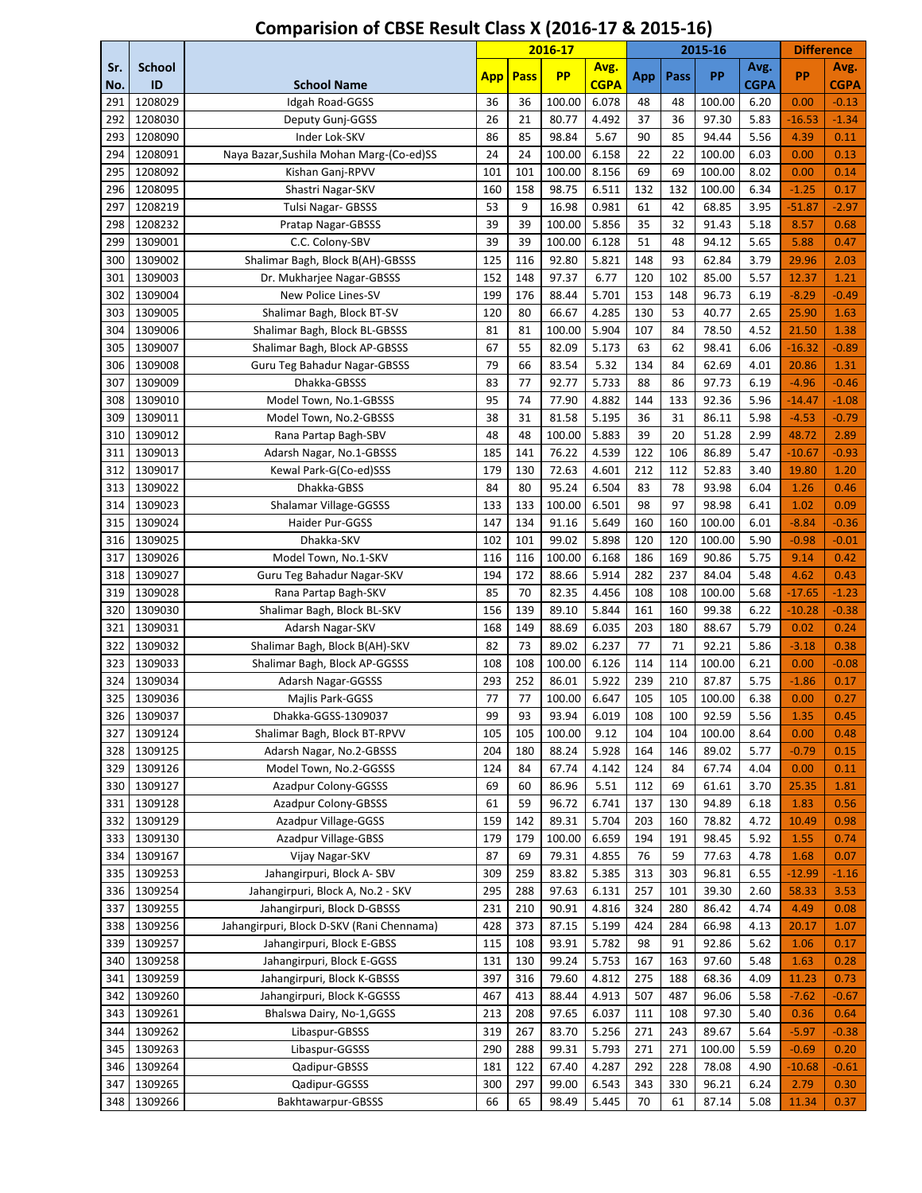|            |                     |                                           |      |      | 2016-17   |                     |     |      | 2015-16 |                     | <b>Difference</b> |                     |
|------------|---------------------|-------------------------------------------|------|------|-----------|---------------------|-----|------|---------|---------------------|-------------------|---------------------|
| Sr.<br>No. | <b>School</b><br>ID | <b>School Name</b>                        | App. | Pass | <b>PP</b> | Avg.<br><b>CGPA</b> | App | Pass | PP      | Avg.<br><b>CGPA</b> | PP                | Avg.<br><b>CGPA</b> |
| 291        | 1208029             | Idgah Road-GGSS                           | 36   | 36   | 100.00    | 6.078               | 48  | 48   | 100.00  | 6.20                | 0.00              | $-0.13$             |
| 292        | 1208030             | Deputy Gunj-GGSS                          | 26   | 21   | 80.77     | 4.492               | 37  | 36   | 97.30   | 5.83                | $-16.53$          | $-1.34$             |
| 293        | 1208090             | Inder Lok-SKV                             | 86   | 85   | 98.84     | 5.67                | 90  | 85   | 94.44   | 5.56                | 4.39              | 0.11                |
| 294        | 1208091             | Naya Bazar, Sushila Mohan Marg-(Co-ed)SS  | 24   | 24   | 100.00    | 6.158               | 22  | 22   | 100.00  | 6.03                | 0.00              | 0.13                |
| 295        | 1208092             | Kishan Ganj-RPVV                          | 101  | 101  | 100.00    | 8.156               | 69  | 69   | 100.00  | 8.02                | 0.00              | 0.14                |
| 296        | 1208095             | Shastri Nagar-SKV                         | 160  | 158  | 98.75     | 6.511               | 132 | 132  | 100.00  | 6.34                | $-1.25$           | 0.17                |
| 297        | 1208219             | <b>Tulsi Nagar- GBSSS</b>                 | 53   | 9    | 16.98     | 0.981               | 61  | 42   | 68.85   | 3.95                | $-51.87$          | $-2.97$             |
| 298        | 1208232             | Pratap Nagar-GBSSS                        | 39   | 39   | 100.00    | 5.856               | 35  | 32   | 91.43   | 5.18                | 8.57              | 0.68                |
| 299        | 1309001             | C.C. Colony-SBV                           | 39   | 39   | 100.00    | 6.128               | 51  | 48   | 94.12   | 5.65                | 5.88              | 0.47                |
| 300        | 1309002             | Shalimar Bagh, Block B(AH)-GBSSS          | 125  | 116  | 92.80     | 5.821               | 148 | 93   | 62.84   | 3.79                | 29.96             | 2.03                |
| 301        | 1309003             | Dr. Mukharjee Nagar-GBSSS                 | 152  | 148  | 97.37     | 6.77                | 120 | 102  | 85.00   | 5.57                | 12.37             | 1.21                |
| 302        | 1309004             | New Police Lines-SV                       | 199  | 176  | 88.44     | 5.701               | 153 | 148  | 96.73   | 6.19                | $-8.29$           | $-0.49$             |
| 303        | 1309005             | Shalimar Bagh, Block BT-SV                | 120  | 80   | 66.67     | 4.285               | 130 | 53   | 40.77   | 2.65                | 25.90             | 1.63                |
| 304        | 1309006             | Shalimar Bagh, Block BL-GBSSS             | 81   | 81   | 100.00    | 5.904               | 107 | 84   | 78.50   | 4.52                | 21.50             | 1.38                |
| 305        | 1309007             | Shalimar Bagh, Block AP-GBSSS             | 67   | 55   | 82.09     | 5.173               | 63  | 62   | 98.41   | 6.06                | $-16.32$          | $-0.89$             |
| 306        | 1309008             | Guru Teg Bahadur Nagar-GBSSS              | 79   | 66   | 83.54     | 5.32                | 134 | 84   | 62.69   | 4.01                | 20.86             | 1.31                |
| 307        | 1309009             | Dhakka-GBSSS                              | 83   | 77   | 92.77     | 5.733               | 88  | 86   | 97.73   | 6.19                | $-4.96$           | $-0.46$             |
| 308        | 1309010             | Model Town, No.1-GBSSS                    | 95   | 74   | 77.90     | 4.882               | 144 | 133  | 92.36   | 5.96                | $-14.47$          | $-1.08$             |
| 309        | 1309011             | Model Town, No.2-GBSSS                    | 38   | 31   | 81.58     | 5.195               | 36  | 31   | 86.11   | 5.98                | $-4.53$           | $-0.79$             |
| 310        | 1309012             | Rana Partap Bagh-SBV                      | 48   | 48   | 100.00    | 5.883               | 39  | 20   | 51.28   | 2.99                | 48.72             | 2.89                |
| 311        | 1309013             | Adarsh Nagar, No.1-GBSSS                  | 185  | 141  | 76.22     | 4.539               | 122 | 106  | 86.89   | 5.47                | $-10.67$          | $-0.93$             |
| 312        | 1309017             | Kewal Park-G(Co-ed)SSS                    | 179  | 130  | 72.63     | 4.601               | 212 | 112  | 52.83   | 3.40                | 19.80             | 1.20                |
| 313        | 1309022             | Dhakka-GBSS                               | 84   | 80   | 95.24     | 6.504               | 83  | 78   | 93.98   | 6.04                | 1.26              | 0.46                |
| 314        | 1309023             | Shalamar Village-GGSSS                    | 133  | 133  | 100.00    | 6.501               | 98  | 97   | 98.98   | 6.41                | 1.02              | 0.09                |
| 315        | 1309024             | Haider Pur-GGSS                           | 147  | 134  | 91.16     | 5.649               | 160 | 160  | 100.00  | 6.01                | $-8.84$           | $-0.36$             |
| 316        | 1309025             | Dhakka-SKV                                | 102  | 101  | 99.02     | 5.898               | 120 | 120  | 100.00  | 5.90                | $-0.98$           | $-0.01$             |
| 317        | 1309026             | Model Town, No.1-SKV                      | 116  | 116  | 100.00    | 6.168               | 186 | 169  | 90.86   | 5.75                | 9.14              | 0.42                |
| 318        | 1309027             | Guru Teg Bahadur Nagar-SKV                | 194  | 172  | 88.66     | 5.914               | 282 | 237  | 84.04   | 5.48                | 4.62              | 0.43                |
| 319        | 1309028             | Rana Partap Bagh-SKV                      | 85   | 70   | 82.35     | 4.456               | 108 | 108  | 100.00  | 5.68                | $-17.65$          | $-1.23$             |
| 320        | 1309030             | Shalimar Bagh, Block BL-SKV               | 156  | 139  | 89.10     | 5.844               | 161 | 160  | 99.38   | 6.22                | $-10.28$          | $-0.38$             |
| 321        | 1309031             | Adarsh Nagar-SKV                          | 168  | 149  | 88.69     | 6.035               | 203 | 180  | 88.67   | 5.79                | 0.02              | 0.24                |
| 322        | 1309032             | Shalimar Bagh, Block B(AH)-SKV            | 82   | 73   | 89.02     | 6.237               | 77  | 71   | 92.21   | 5.86                | $-3.18$           | 0.38                |
| 323        | 1309033             | Shalimar Bagh, Block AP-GGSSS             | 108  | 108  | 100.00    | 6.126               | 114 | 114  | 100.00  | 6.21                | 0.00              | $-0.08$             |
| 324        | 1309034             | Adarsh Nagar-GGSSS                        | 293  | 252  | 86.01     | 5.922               | 239 | 210  | 87.87   | 5.75                | $-1.86$           | 0.17                |
| 325        | 1309036             | Majlis Park-GGSS                          | 77   | 77   | 100.00    | 6.647               | 105 | 105  | 100.00  | 6.38                | 0.00              | 0.27                |
| 326        | 1309037             | Dhakka-GGSS-1309037                       | 99   | 93   | 93.94     | 6.019               | 108 | 100  | 92.59   | 5.56                | 1.35              | 0.45                |
| 327        | 1309124             | Shalimar Bagh, Block BT-RPVV              | 105  | 105  | 100.00    | 9.12                | 104 | 104  | 100.00  | 8.64                | 0.00              | 0.48                |
| 328        | 1309125             | Adarsh Nagar, No.2-GBSSS                  | 204  | 180  | 88.24     | 5.928               | 164 | 146  | 89.02   | 5.77                | $-0.79$           | 0.15                |
| 329        | 1309126             | Model Town, No.2-GGSSS                    | 124  | 84   | 67.74     | 4.142               | 124 | 84   | 67.74   | 4.04                | 0.00              | 0.11                |
| 330        | 1309127             | Azadpur Colony-GGSSS                      | 69   | 60   | 86.96     | 5.51                | 112 | 69   | 61.61   | 3.70                | 25.35             | 1.81                |
| 331        | 1309128             | Azadpur Colony-GBSSS                      | 61   | 59   | 96.72     | 6.741               | 137 | 130  | 94.89   | 6.18                | 1.83              | 0.56                |
| 332        | 1309129             | Azadpur Village-GGSS                      | 159  | 142  | 89.31     | 5.704               | 203 | 160  | 78.82   | 4.72                | 10.49             | 0.98                |
| 333        | 1309130             | Azadpur Village-GBSS                      | 179  | 179  | 100.00    | 6.659               | 194 | 191  | 98.45   | 5.92                | 1.55              | 0.74                |
| 334        | 1309167             | Vijay Nagar-SKV                           | 87   | 69   | 79.31     | 4.855               | 76  | 59   | 77.63   | 4.78                | 1.68              | 0.07                |
| 335        | 1309253             | Jahangirpuri, Block A-SBV                 | 309  | 259  | 83.82     | 5.385               | 313 | 303  | 96.81   | 6.55                | $-12.99$          | $-1.16$             |
| 336        | 1309254             | Jahangirpuri, Block A, No.2 - SKV         | 295  | 288  | 97.63     | 6.131               | 257 | 101  | 39.30   | 2.60                | 58.33             | 3.53                |
| 337        | 1309255             | Jahangirpuri, Block D-GBSSS               | 231  | 210  | 90.91     | 4.816               | 324 | 280  | 86.42   | 4.74                | 4.49              | 0.08                |
| 338        | 1309256             | Jahangirpuri, Block D-SKV (Rani Chennama) | 428  | 373  | 87.15     | 5.199               | 424 | 284  | 66.98   | 4.13                | 20.17             | 1.07                |
| 339        | 1309257             | Jahangirpuri, Block E-GBSS                | 115  | 108  | 93.91     | 5.782               | 98  | 91   | 92.86   | 5.62                | 1.06              | 0.17                |
| 340        | 1309258             | Jahangirpuri, Block E-GGSS                | 131  | 130  | 99.24     | 5.753               | 167 | 163  | 97.60   | 5.48                | 1.63              | 0.28                |
| 341        | 1309259             | Jahangirpuri, Block K-GBSSS               | 397  | 316  | 79.60     | 4.812               | 275 | 188  | 68.36   | 4.09                | 11.23             | 0.73                |
| 342        | 1309260             | Jahangirpuri, Block K-GGSSS               | 467  | 413  | 88.44     | 4.913               | 507 | 487  | 96.06   | 5.58                | $-7.62$           | $-0.67$             |
| 343        | 1309261             | Bhalswa Dairy, No-1,GGSS                  | 213  | 208  | 97.65     | 6.037               | 111 | 108  | 97.30   | 5.40                | 0.36              | 0.64                |
| 344        | 1309262             | Libaspur-GBSSS                            | 319  | 267  | 83.70     | 5.256               | 271 | 243  | 89.67   | 5.64                | $-5.97$           | $-0.38$             |
| 345        | 1309263             | Libaspur-GGSSS                            | 290  | 288  | 99.31     | 5.793               | 271 | 271  | 100.00  | 5.59                | $-0.69$           | 0.20                |
| 346        | 1309264             | Qadipur-GBSSS                             | 181  | 122  | 67.40     | 4.287               | 292 | 228  | 78.08   | 4.90                | $-10.68$          | $-0.61$             |
| 347        | 1309265             | Qadipur-GGSSS                             | 300  | 297  | 99.00     | 6.543               | 343 | 330  | 96.21   | 6.24                | 2.79              | 0.30                |
| 348        | 1309266             | Bakhtawarpur-GBSSS                        | 66   | 65   | 98.49     | 5.445               | 70  | 61   | 87.14   | 5.08                | 11.34             | 0.37                |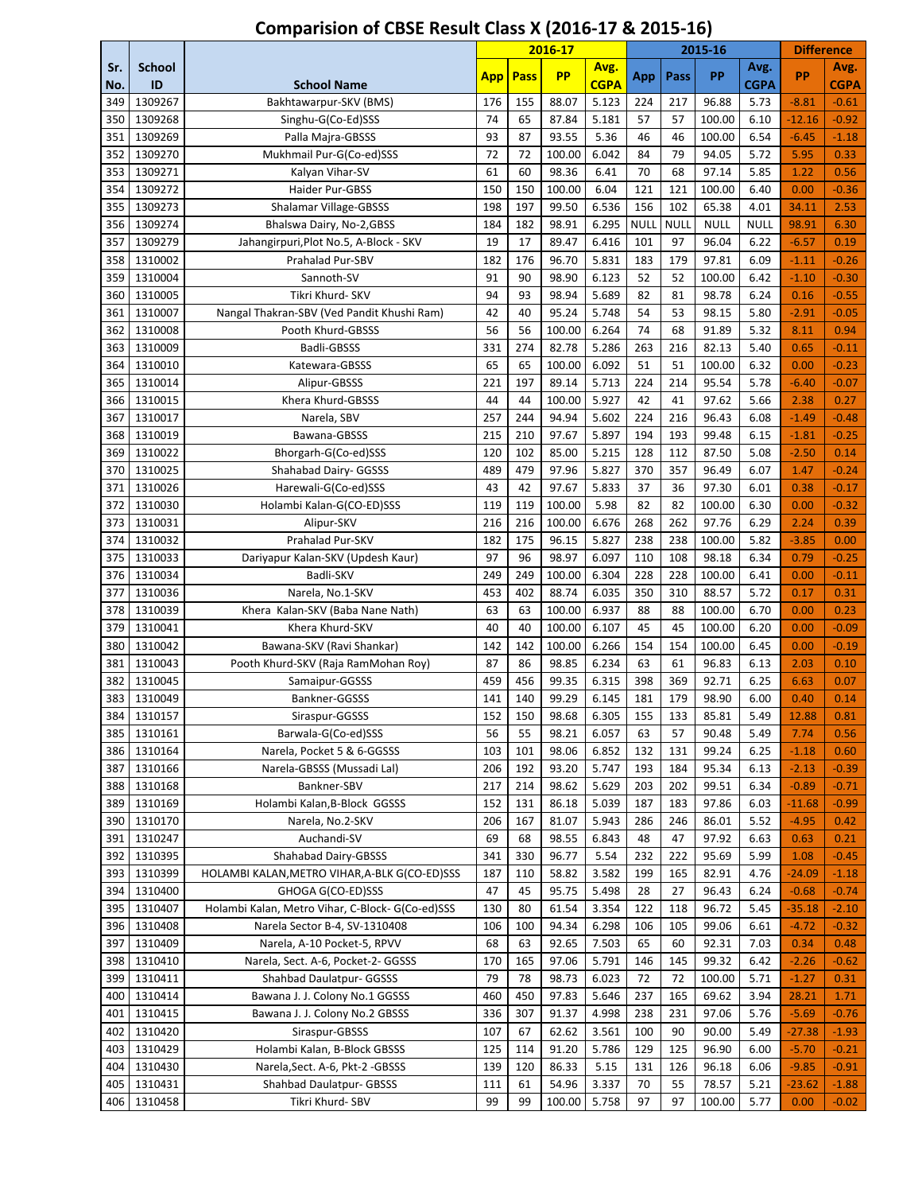|            |                     |                                                 |      |             | 2016-17   |                     |             |             | 2015-16     |                     | <b>Difference</b> |                     |
|------------|---------------------|-------------------------------------------------|------|-------------|-----------|---------------------|-------------|-------------|-------------|---------------------|-------------------|---------------------|
| Sr.<br>No. | <b>School</b><br>ID | <b>School Name</b>                              | App. | <b>Pass</b> | <b>PP</b> | Avg.<br><b>CGPA</b> | App         | Pass        | PP          | Avg.<br><b>CGPA</b> | PP                | Avg.<br><b>CGPA</b> |
| 349        | 1309267             | Bakhtawarpur-SKV (BMS)                          | 176  | 155         | 88.07     | 5.123               | 224         | 217         | 96.88       | 5.73                | $-8.81$           | $-0.61$             |
| 350        | 1309268             | Singhu-G(Co-Ed)SSS                              | 74   | 65          | 87.84     | 5.181               | 57          | 57          | 100.00      | 6.10                | $-12.16$          | $-0.92$             |
| 351        | 1309269             | Palla Majra-GBSSS                               | 93   | 87          | 93.55     | 5.36                | 46          | 46          | 100.00      | 6.54                | $-6.45$           | $-1.18$             |
| 352        | 1309270             | Mukhmail Pur-G(Co-ed)SSS                        | 72   | 72          | 100.00    | 6.042               | 84          | 79          | 94.05       | 5.72                | 5.95              | 0.33                |
| 353        | 1309271             | Kalyan Vihar-SV                                 | 61   | 60          | 98.36     | 6.41                | 70          | 68          | 97.14       | 5.85                | 1.22              | 0.56                |
| 354        | 1309272             | Haider Pur-GBSS                                 | 150  | 150         | 100.00    | 6.04                | 121         | 121         | 100.00      | 6.40                | 0.00              | $-0.36$             |
| 355        | 1309273             | <b>Shalamar Village-GBSSS</b>                   | 198  | 197         | 99.50     | 6.536               | 156         | 102         | 65.38       | 4.01                | 34.11             | 2.53                |
| 356        | 1309274             | Bhalswa Dairy, No-2, GBSS                       | 184  | 182         | 98.91     | 6.295               | <b>NULL</b> | <b>NULL</b> | <b>NULL</b> | <b>NULL</b>         | 98.91             | 6.30                |
| 357        | 1309279             | Jahangirpuri, Plot No.5, A-Block - SKV          | 19   | 17          | 89.47     | 6.416               | 101         | 97          | 96.04       | 6.22                | $-6.57$           | 0.19                |
| 358        | 1310002             | Prahalad Pur-SBV                                | 182  | 176         | 96.70     | 5.831               | 183         | 179         | 97.81       | 6.09                | $-1.11$           | $-0.26$             |
| 359        | 1310004             | Sannoth-SV                                      | 91   | 90          | 98.90     | 6.123               | 52          | 52          | 100.00      | 6.42                | $-1.10$           | $-0.30$             |
| 360        | 1310005             | Tikri Khurd- SKV                                | 94   | 93          | 98.94     | 5.689               | 82          | 81          | 98.78       | 6.24                | 0.16              | $-0.55$             |
| 361        | 1310007             | Nangal Thakran-SBV (Ved Pandit Khushi Ram)      | 42   | 40          | 95.24     | 5.748               | 54          | 53          | 98.15       | 5.80                | $-2.91$           | $-0.05$             |
| 362        | 1310008             | Pooth Khurd-GBSSS                               | 56   | 56          | 100.00    | 6.264               | 74          | 68          | 91.89       | 5.32                | 8.11              | 0.94                |
| 363        | 1310009             | Badli-GBSSS                                     | 331  | 274         | 82.78     | 5.286               | 263         | 216         | 82.13       | 5.40                | 0.65              | $-0.11$             |
| 364        | 1310010             | Katewara-GBSSS                                  | 65   | 65          | 100.00    | 6.092               | 51          | 51          | 100.00      | 6.32                | 0.00              | $-0.23$             |
| 365        | 1310014             | Alipur-GBSSS                                    | 221  | 197         | 89.14     | 5.713               | 224         | 214         | 95.54       | 5.78                | $-6.40$           | $-0.07$             |
| 366        | 1310015             | Khera Khurd-GBSSS                               | 44   | 44          | 100.00    | 5.927               | 42          | 41          | 97.62       | 5.66                | 2.38              | 0.27                |
| 367        | 1310017             | Narela, SBV                                     | 257  | 244         | 94.94     | 5.602               | 224         | 216         | 96.43       | 6.08                | $-1.49$           | $-0.48$             |
| 368        | 1310019             | Bawana-GBSSS                                    | 215  | 210         | 97.67     | 5.897               | 194         | 193         | 99.48       | 6.15                | $-1.81$           | $-0.25$             |
| 369        | 1310022             | Bhorgarh-G(Co-ed)SSS                            | 120  | 102         | 85.00     | 5.215               | 128         | 112         | 87.50       | 5.08                | $-2.50$           | 0.14                |
| 370        | 1310025             | Shahabad Dairy- GGSSS                           | 489  | 479         | 97.96     | 5.827               | 370         | 357         | 96.49       | 6.07                | 1.47              | $-0.24$             |
| 371        | 1310026             | Harewali-G(Co-ed)SSS                            | 43   | 42          | 97.67     | 5.833               | 37          | 36          | 97.30       | 6.01                | 0.38              | $-0.17$             |
| 372        | 1310030             | Holambi Kalan-G(CO-ED)SSS                       | 119  | 119         | 100.00    | 5.98                | 82          | 82          | 100.00      | 6.30                | 0.00              | $-0.32$             |
| 373        | 1310031             | Alipur-SKV                                      | 216  | 216         | 100.00    | 6.676               | 268         | 262         | 97.76       | 6.29                | 2.24              | 0.39                |
| 374        | 1310032             | Prahalad Pur-SKV                                | 182  | 175         | 96.15     | 5.827               | 238         | 238         | 100.00      | 5.82                | $-3.85$           | 0.00                |
| 375        | 1310033             | Dariyapur Kalan-SKV (Updesh Kaur)               | 97   | 96          | 98.97     | 6.097               | 110         | 108         | 98.18       | 6.34                | 0.79              | $-0.25$             |
| 376        | 1310034             | Badli-SKV                                       | 249  | 249         | 100.00    | 6.304               | 228         | 228         | 100.00      | 6.41                | 0.00              | $-0.11$             |
| 377        | 1310036             | Narela, No.1-SKV                                | 453  | 402         | 88.74     | 6.035               | 350         | 310         | 88.57       | 5.72                | 0.17              | 0.31                |
| 378        | 1310039             | Khera Kalan-SKV (Baba Nane Nath)                | 63   | 63          | 100.00    | 6.937               | 88          | 88          | 100.00      | 6.70                | 0.00              | 0.23                |
| 379        | 1310041             | Khera Khurd-SKV                                 | 40   | 40          | 100.00    | 6.107               | 45          | 45          | 100.00      | 6.20                | 0.00              | $-0.09$             |
| 380        | 1310042             | Bawana-SKV (Ravi Shankar)                       | 142  | 142         | 100.00    | 6.266               | 154         | 154         | 100.00      | 6.45                | 0.00              | $-0.19$             |
| 381        | 1310043             | Pooth Khurd-SKV (Raja RamMohan Roy)             | 87   | 86          | 98.85     | 6.234               | 63          | 61          | 96.83       | 6.13                | 2.03              | 0.10                |
| 382        | 1310045             | Samaipur-GGSSS                                  | 459  | 456         | 99.35     | 6.315               | 398         | 369         | 92.71       | 6.25                | 6.63              | 0.07                |
| 383        | 1310049             | Bankner-GGSSS                                   | 141  | 140         | 99.29     | 6.145               | 181         | 179         | 98.90       | 6.00                | 0.40              | 0.14                |
| 384        | 1310157             | Siraspur-GGSSS                                  | 152  | 150         | 98.68     | 6.305               | 155         | 133         | 85.81       | 5.49                | 12.88             | 0.81                |
| 385        | 1310161             | Barwala-G(Co-ed)SSS                             | 56   | 55          | 98.21     | 6.057               | 63          | 57          | 90.48       | 5.49                | 7.74              | 0.56                |
| 386        | 1310164             | Narela, Pocket 5 & 6-GGSSS                      | 103  | 101         | 98.06     | 6.852               | 132         | 131         | 99.24       | 6.25                | $-1.18$           | 0.60                |
| 387        | 1310166             | Narela-GBSSS (Mussadi Lal)                      | 206  | 192         | 93.20     | 5.747               | 193         | 184         | 95.34       | 6.13                | $-2.13$           | $-0.39$             |
| 388        | 1310168             | Bankner-SBV                                     | 217  | 214         | 98.62     | 5.629               | 203         | 202         | 99.51       | 6.34                | $-0.89$           | $-0.71$             |
| 389        | 1310169             | Holambi Kalan, B-Block GGSSS                    | 152  | 131         | 86.18     | 5.039               | 187         | 183         | 97.86       | 6.03                | $-11.68$          | $-0.99$             |
| 390        | 1310170             | Narela, No.2-SKV                                | 206  | 167         | 81.07     | 5.943               | 286         | 246         | 86.01       | 5.52                | $-4.95$           | 0.42                |
| 391        | 1310247             | Auchandi-SV                                     | 69   | 68          | 98.55     | 6.843               | 48          | 47          | 97.92       | 6.63                | 0.63              | 0.21                |
| 392        | 1310395             | Shahabad Dairy-GBSSS                            | 341  | 330         | 96.77     | 5.54                | 232         | 222         | 95.69       | 5.99                | 1.08              | $-0.45$             |
| 393        | 1310399             | HOLAMBI KALAN, METRO VIHAR, A-BLK G(CO-ED)SSS   | 187  | 110         | 58.82     | 3.582               | 199         | 165         | 82.91       | 4.76                | -24.09            | $-1.18$             |
| 394        | 1310400             | GHOGA G(CO-ED)SSS                               | 47   | 45          | 95.75     | 5.498               | 28          | 27          | 96.43       | 6.24                | $-0.68$           | $-0.74$             |
| 395        | 1310407             | Holambi Kalan, Metro Vihar, C-Block-G(Co-ed)SSS | 130  | 80          | 61.54     | 3.354               | 122         | 118         | 96.72       | 5.45                | $-35.18$          | $-2.10$             |
| 396        | 1310408             | Narela Sector B-4, SV-1310408                   | 106  | 100         | 94.34     | 6.298               | 106         | 105         | 99.06       | 6.61                | $-4.72$           | $-0.32$             |
| 397        | 1310409             | Narela, A-10 Pocket-5, RPVV                     | 68   | 63          | 92.65     | 7.503               | 65          | 60          | 92.31       | 7.03                | 0.34              | 0.48                |
| 398        | 1310410             | Narela, Sect. A-6, Pocket-2- GGSSS              | 170  | 165         | 97.06     | 5.791               | 146         | 145         | 99.32       | 6.42                | $-2.26$           | $-0.62$             |
| 399        | 1310411             | Shahbad Daulatpur- GGSSS                        | 79   | 78          | 98.73     | 6.023               | 72          | 72          | 100.00      | 5.71                | $-1.27$           | 0.31                |
| 400        | 1310414             | Bawana J. J. Colony No.1 GGSSS                  | 460  | 450         | 97.83     | 5.646               | 237         | 165         | 69.62       | 3.94                | 28.21             | 1.71                |
| 401        | 1310415             | Bawana J. J. Colony No.2 GBSSS                  | 336  | 307         | 91.37     | 4.998               | 238         | 231         | 97.06       | 5.76                | $-5.69$           | $-0.76$             |
| 402        | 1310420             | Siraspur-GBSSS                                  | 107  | 67          | 62.62     | 3.561               | 100         | 90          | 90.00       | 5.49                | -27.38            | $-1.93$             |
| 403        | 1310429             | Holambi Kalan, B-Block GBSSS                    | 125  | 114         | 91.20     | 5.786               | 129         | 125         | 96.90       | 6.00                | $-5.70$           | $-0.21$             |
| 404        | 1310430             | Narela, Sect. A-6, Pkt-2 - GBSSS                | 139  | 120         | 86.33     | 5.15                | 131         | 126         | 96.18       | 6.06                | $-9.85$           | $-0.91$             |
| 405        | 1310431             | <b>Shahbad Daulatpur- GBSSS</b>                 | 111  | 61          | 54.96     | 3.337               | 70          | 55          | 78.57       | 5.21                | -23.62            | $-1.88$             |
| 406        | 1310458             | Tikri Khurd- SBV                                | 99   | 99          | 100.00    | 5.758               | 97          | 97          | 100.00      | 5.77                | 0.00              | $-0.02$             |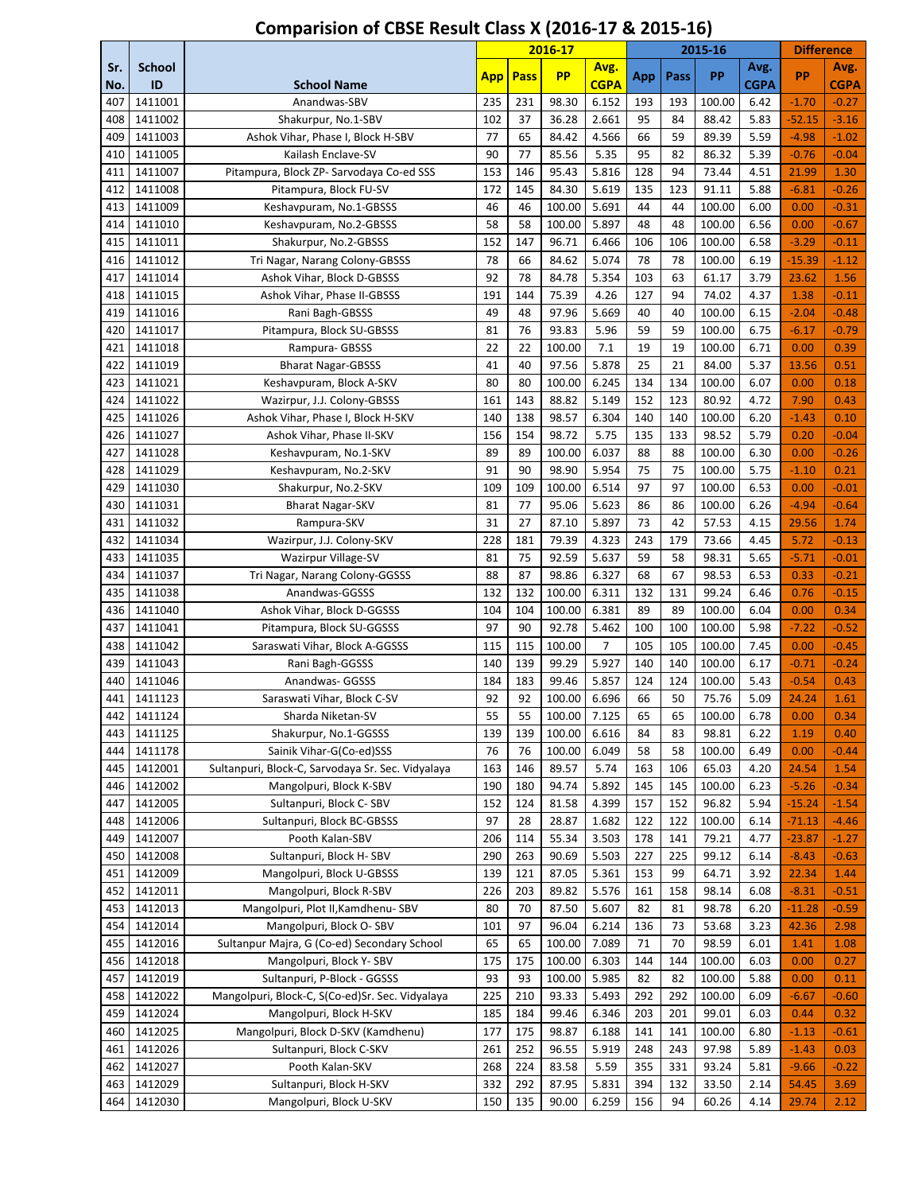|            |                     |                                                   |            |      | 2016-17   |                     |     |      | 2015-16 |                     | <b>Difference</b> |                     |
|------------|---------------------|---------------------------------------------------|------------|------|-----------|---------------------|-----|------|---------|---------------------|-------------------|---------------------|
| Sr.<br>No. | <b>School</b><br>ID | <b>School Name</b>                                | <b>App</b> | Pass | <b>PP</b> | Avg.<br><b>CGPA</b> | App | Pass | PP      | Avg.<br><b>CGPA</b> | PP                | Avg.<br><b>CGPA</b> |
| 407        | 1411001             | Anandwas-SBV                                      | 235        | 231  | 98.30     | 6.152               | 193 | 193  | 100.00  | 6.42                | $-1.70$           | $-0.27$             |
| 408        | 1411002             | Shakurpur, No.1-SBV                               | 102        | 37   | 36.28     | 2.661               | 95  | 84   | 88.42   | 5.83                | $-52.15$          | $-3.16$             |
| 409        | 1411003             | Ashok Vihar, Phase I, Block H-SBV                 | 77         | 65   | 84.42     | 4.566               | 66  | 59   | 89.39   | 5.59                | $-4.98$           | $-1.02$             |
| 410        | 1411005             | Kailash Enclave-SV                                | 90         | 77   | 85.56     | 5.35                | 95  | 82   | 86.32   | 5.39                | $-0.76$           | $-0.04$             |
| 411        | 1411007             | Pitampura, Block ZP- Sarvodaya Co-ed SSS          | 153        | 146  | 95.43     | 5.816               | 128 | 94   | 73.44   | 4.51                | 21.99             | 1.30                |
| 412        | 1411008             | Pitampura, Block FU-SV                            | 172        | 145  | 84.30     | 5.619               | 135 | 123  | 91.11   | 5.88                | $-6.81$           | $-0.26$             |
| 413        | 1411009             | Keshavpuram, No.1-GBSSS                           | 46         | 46   | 100.00    | 5.691               | 44  | 44   | 100.00  | 6.00                | 0.00              | $-0.31$             |
| 414        | 1411010             | Keshavpuram, No.2-GBSSS                           | 58         | 58   | 100.00    | 5.897               | 48  | 48   | 100.00  | 6.56                | 0.00              | $-0.67$             |
| 415        | 1411011             | Shakurpur, No.2-GBSSS                             | 152        | 147  | 96.71     | 6.466               | 106 | 106  | 100.00  | 6.58                | $-3.29$           | $-0.11$             |
| 416        | 1411012             | Tri Nagar, Narang Colony-GBSSS                    | 78         | 66   | 84.62     | 5.074               | 78  | 78   | 100.00  | 6.19                | $-15.39$          | $-1.12$             |
| 417        | 1411014             | Ashok Vihar, Block D-GBSSS                        | 92         | 78   | 84.78     | 5.354               | 103 | 63   | 61.17   | 3.79                | 23.62             | 1.56                |
| 418        | 1411015             | Ashok Vihar, Phase II-GBSSS                       | 191        | 144  | 75.39     | 4.26                | 127 | 94   | 74.02   | 4.37                | 1.38              | $-0.11$             |
| 419        | 1411016             | Rani Bagh-GBSSS                                   | 49         | 48   | 97.96     | 5.669               | 40  | 40   | 100.00  | 6.15                | $-2.04$           | $-0.48$             |
| 420        | 1411017             | Pitampura, Block SU-GBSSS                         | 81         | 76   | 93.83     | 5.96                | 59  | 59   | 100.00  | 6.75                | $-6.17$           | $-0.79$             |
| 421        | 1411018             | Rampura- GBSSS                                    | 22         | 22   | 100.00    | 7.1                 | 19  | 19   | 100.00  | 6.71                | 0.00              | 0.39                |
| 422        | 1411019             | <b>Bharat Nagar-GBSSS</b>                         | 41         | 40   | 97.56     | 5.878               | 25  | 21   | 84.00   | 5.37                | 13.56             | 0.51                |
| 423        | 1411021             | Keshavpuram, Block A-SKV                          | 80         | 80   | 100.00    | 6.245               | 134 | 134  | 100.00  | 6.07                | 0.00              | 0.18                |
| 424        | 1411022             | Wazirpur, J.J. Colony-GBSSS                       | 161        | 143  | 88.82     | 5.149               | 152 | 123  | 80.92   | 4.72                | 7.90              | 0.43                |
| 425        | 1411026             | Ashok Vihar, Phase I, Block H-SKV                 | 140        | 138  | 98.57     | 6.304               | 140 | 140  | 100.00  | 6.20                | $-1.43$           | 0.10                |
| 426        | 1411027             | Ashok Vihar, Phase II-SKV                         | 156        | 154  | 98.72     | 5.75                | 135 | 133  | 98.52   | 5.79                | 0.20              | $-0.04$             |
| 427        | 1411028             | Keshavpuram, No.1-SKV                             | 89         | 89   | 100.00    | 6.037               | 88  | 88   | 100.00  | 6.30                | 0.00              | $-0.26$             |
| 428        | 1411029             | Keshavpuram, No.2-SKV                             | 91         | 90   | 98.90     | 5.954               | 75  | 75   | 100.00  | 5.75                | $-1.10$           | 0.21                |
| 429        | 1411030             | Shakurpur, No.2-SKV                               | 109        | 109  | 100.00    | 6.514               | 97  | 97   | 100.00  | 6.53                | 0.00              | $-0.01$             |
| 430        | 1411031             | <b>Bharat Nagar-SKV</b>                           | 81         | 77   | 95.06     | 5.623               | 86  | 86   | 100.00  | 6.26                | $-4.94$           | $-0.64$             |
| 431        | 1411032             | Rampura-SKV                                       | 31         | 27   | 87.10     | 5.897               | 73  | 42   | 57.53   | 4.15                | 29.56             | 1.74                |
| 432        | 1411034             | Wazirpur, J.J. Colony-SKV                         | 228        | 181  | 79.39     | 4.323               | 243 | 179  | 73.66   | 4.45                | 5.72              | $-0.13$             |
| 433        | 1411035             | Wazirpur Village-SV                               | 81         | 75   | 92.59     | 5.637               | 59  | 58   | 98.31   | 5.65                | $-5.71$           | $-0.01$             |
| 434        | 1411037             | Tri Nagar, Narang Colony-GGSSS                    | 88         | 87   | 98.86     | 6.327               | 68  | 67   | 98.53   | 6.53                | 0.33              | $-0.21$             |
| 435        | 1411038             | Anandwas-GGSSS                                    | 132        | 132  | 100.00    | 6.311               | 132 | 131  | 99.24   | 6.46                | 0.76              | $-0.15$             |
| 436        | 1411040             | Ashok Vihar, Block D-GGSSS                        | 104        | 104  | 100.00    | 6.381               | 89  | 89   | 100.00  | 6.04                | 0.00              | 0.34                |
| 437        | 1411041             | Pitampura, Block SU-GGSSS                         | 97         | 90   | 92.78     | 5.462               | 100 | 100  | 100.00  | 5.98                | $-7.22$           | $-0.52$             |
| 438        | 1411042             | Saraswati Vihar, Block A-GGSSS                    | 115        | 115  | 100.00    | 7                   | 105 | 105  | 100.00  | 7.45                | 0.00              | $-0.45$             |
| 439        | 1411043             | Rani Bagh-GGSSS                                   | 140        | 139  | 99.29     | 5.927               | 140 | 140  | 100.00  | 6.17                | $-0.71$           | $-0.24$             |
| 440        | 1411046             | Anandwas- GGSSS                                   | 184        | 183  | 99.46     | 5.857               | 124 | 124  | 100.00  | 5.43                | $-0.54$           | 0.43                |
| 441        | 1411123             | Saraswati Vihar, Block C-SV                       | 92         | 92   | 100.00    | 6.696               | 66  | 50   | 75.76   | 5.09                | 24.24             | 1.61                |
| 442        | 1411124             | Sharda Niketan-SV                                 | 55         | 55   | 100.00    | 7.125               | 65  | 65   | 100.00  | 6.78                | 0.00              | 0.34                |
| 443        | 1411125             | Shakurpur, No.1-GGSSS                             | 139        | 139  | 100.00    | 6.616               | 84  | 83   | 98.81   | 6.22                | 1.19              | 0.40                |
| 444        | 1411178             | Sainik Vihar-G(Co-ed)SSS                          | 76         | 76   | 100.00    | 6.049               | 58  | 58   | 100.00  | 6.49                | 0.00              | $-0.44$             |
| 445        | 1412001             | Sultanpuri, Block-C, Sarvodaya Sr. Sec. Vidyalaya | 163        | 146  | 89.57     | 5.74                | 163 | 106  | 65.03   | 4.20                | 24.54             | 1.54                |
| 446        | 1412002             | Mangolpuri, Block K-SBV                           | 190        | 180  | 94.74     | 5.892               | 145 | 145  | 100.00  | 6.23                | $-5.26$           | $-0.34$             |
| 447        | 1412005             | Sultanpuri, Block C-SBV                           | 152        | 124  | 81.58     | 4.399               | 157 | 152  | 96.82   | 5.94                | $-15.24$          | $-1.54$             |
| 448        | 1412006             | Sultanpuri, Block BC-GBSSS                        | 97         | 28   | 28.87     | 1.682               | 122 | 122  | 100.00  | 6.14                | $-71.13$          | $-4.46$             |
| 449        | 1412007             | Pooth Kalan-SBV                                   | 206        | 114  | 55.34     | 3.503               | 178 | 141  | 79.21   | 4.77                | -23.87            | $-1.27$             |
| 450        | 1412008             | Sultanpuri, Block H-SBV                           | 290        | 263  | 90.69     | 5.503               | 227 | 225  | 99.12   | 6.14                | $-8.43$           | $-0.63$             |
| 451        | 1412009             | Mangolpuri, Block U-GBSSS                         | 139        | 121  | 87.05     | 5.361               | 153 | 99   | 64.71   | 3.92                | 22.34             | 1.44                |
| 452        | 1412011             | Mangolpuri, Block R-SBV                           | 226        | 203  | 89.82     | 5.576               | 161 | 158  | 98.14   | 6.08                | $-8.31$           | $-0.51$             |
| 453        | 1412013             | Mangolpuri, Plot II, Kamdhenu-SBV                 | 80         | 70   | 87.50     | 5.607               | 82  | 81   | 98.78   | 6.20                | $-11.28$          | $-0.59$             |
| 454        | 1412014             | Mangolpuri, Block O-SBV                           | 101        | 97   | 96.04     | 6.214               | 136 | 73   | 53.68   | 3.23                | 42.36             | 2.98                |
| 455        | 1412016             | Sultanpur Majra, G (Co-ed) Secondary School       | 65         | 65   | 100.00    | 7.089               | 71  | 70   | 98.59   | 6.01                | 1.41              | 1.08                |
| 456        | 1412018             | Mangolpuri, Block Y-SBV                           | 175        | 175  | 100.00    | 6.303               | 144 | 144  | 100.00  | 6.03                | 0.00              | 0.27                |
| 457        | 1412019             | Sultanpuri, P-Block - GGSSS                       | 93         | 93   | 100.00    | 5.985               | 82  | 82   | 100.00  | 5.88                | 0.00              | 0.11                |
| 458        | 1412022             | Mangolpuri, Block-C, S(Co-ed)Sr. Sec. Vidyalaya   | 225        | 210  | 93.33     | 5.493               | 292 | 292  | 100.00  | 6.09                | $-6.67$           | $-0.60$             |
| 459        | 1412024             | Mangolpuri, Block H-SKV                           | 185        | 184  | 99.46     | 6.346               | 203 | 201  | 99.01   | 6.03                | 0.44              | 0.32                |
| 460        | 1412025             | Mangolpuri, Block D-SKV (Kamdhenu)                | 177        | 175  | 98.87     | 6.188               | 141 | 141  | 100.00  | 6.80                | $-1.13$           | $-0.61$             |
| 461        | 1412026             | Sultanpuri, Block C-SKV                           | 261        | 252  | 96.55     | 5.919               | 248 | 243  | 97.98   | 5.89                | $-1.43$           | 0.03                |
| 462        | 1412027             | Pooth Kalan-SKV                                   | 268        | 224  | 83.58     | 5.59                | 355 | 331  | 93.24   | 5.81                | $-9.66$           | $-0.22$             |
| 463        | 1412029             | Sultanpuri, Block H-SKV                           | 332        | 292  | 87.95     | 5.831               | 394 | 132  | 33.50   | 2.14                | 54.45             | 3.69                |
| 464        | 1412030             | Mangolpuri, Block U-SKV                           | 150        | 135  | 90.00     | 6.259               | 156 | 94   | 60.26   | 4.14                | 29.74             | 2.12                |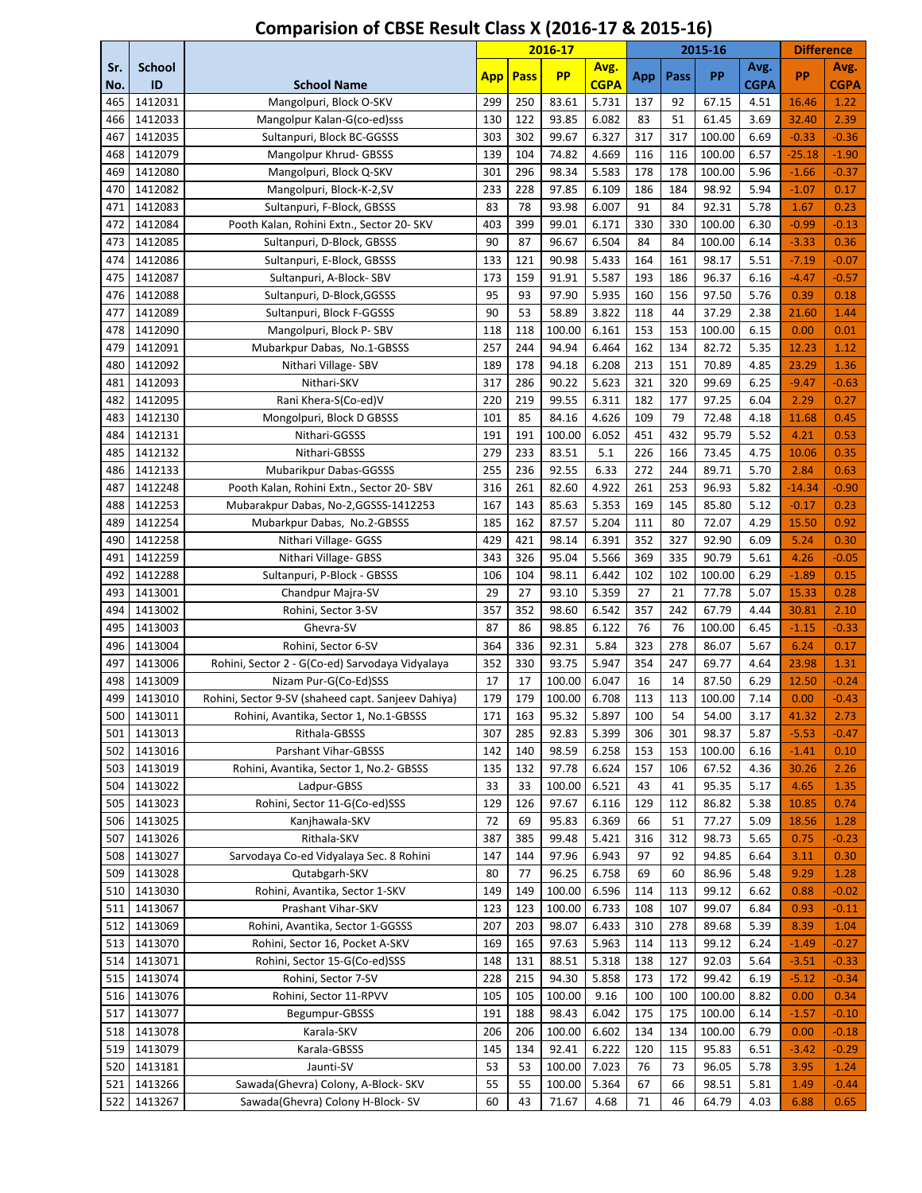|            |                     |                                                    |      |      | 2016-17   |                     |     |      | 2015-16 |              | <b>Difference</b> |                     |
|------------|---------------------|----------------------------------------------------|------|------|-----------|---------------------|-----|------|---------|--------------|-------------------|---------------------|
| Sr.<br>No. | <b>School</b><br>ID | <b>School Name</b>                                 | App. | Pass | <b>PP</b> | Avg.<br><b>CGPA</b> | App | Pass | PP      | Avg.<br>CGPA | PP                | Avg.<br><b>CGPA</b> |
| 465        | 1412031             | Mangolpuri, Block O-SKV                            | 299  | 250  | 83.61     | 5.731               | 137 | 92   | 67.15   | 4.51         | 16.46             | 1.22                |
| 466        | 1412033             | Mangolpur Kalan-G(co-ed)sss                        | 130  | 122  | 93.85     | 6.082               | 83  | 51   | 61.45   | 3.69         | 32.40             | 2.39                |
| 467        | 1412035             | Sultanpuri, Block BC-GGSSS                         | 303  | 302  | 99.67     | 6.327               | 317 | 317  | 100.00  | 6.69         | $-0.33$           | $-0.36$             |
| 468        | 1412079             | Mangolpur Khrud- GBSSS                             | 139  | 104  | 74.82     | 4.669               | 116 | 116  | 100.00  | 6.57         | $-25.18$          | $-1.90$             |
| 469        | 1412080             | Mangolpuri, Block Q-SKV                            | 301  | 296  | 98.34     | 5.583               | 178 | 178  | 100.00  | 5.96         | $-1.66$           | $-0.37$             |
| 470        | 1412082             | Mangolpuri, Block-K-2,SV                           | 233  | 228  | 97.85     | 6.109               | 186 | 184  | 98.92   | 5.94         | $-1.07$           | 0.17                |
| 471        | 1412083             | Sultanpuri, F-Block, GBSSS                         | 83   | 78   | 93.98     | 6.007               | 91  | 84   | 92.31   | 5.78         | 1.67              | 0.23                |
| 472        | 1412084             | Pooth Kalan, Rohini Extn., Sector 20- SKV          | 403  | 399  | 99.01     | 6.171               | 330 | 330  | 100.00  | 6.30         | $-0.99$           | $-0.13$             |
| 473        | 1412085             | Sultanpuri, D-Block, GBSSS                         | 90   | 87   | 96.67     | 6.504               | 84  | 84   | 100.00  | 6.14         | $-3.33$           | 0.36                |
| 474        | 1412086             | Sultanpuri, E-Block, GBSSS                         | 133  | 121  | 90.98     | 5.433               | 164 | 161  | 98.17   | 5.51         | $-7.19$           | $-0.07$             |
| 475        | 1412087             | Sultanpuri, A-Block-SBV                            | 173  | 159  | 91.91     | 5.587               | 193 | 186  | 96.37   | 6.16         | $-4.47$           | $-0.57$             |
| 476        | 1412088             | Sultanpuri, D-Block, GGSSS                         | 95   | 93   | 97.90     | 5.935               | 160 | 156  | 97.50   | 5.76         | 0.39              | 0.18                |
| 477        | 1412089             | Sultanpuri, Block F-GGSSS                          | 90   | 53   | 58.89     | 3.822               | 118 | 44   | 37.29   | 2.38         | 21.60             | 1.44                |
| 478        | 1412090             | Mangolpuri, Block P-SBV                            | 118  | 118  | 100.00    | 6.161               | 153 | 153  | 100.00  | 6.15         | 0.00              | 0.01                |
| 479        | 1412091             | Mubarkpur Dabas, No.1-GBSSS                        | 257  | 244  | 94.94     | 6.464               | 162 | 134  | 82.72   | 5.35         | 12.23             | 1.12                |
| 480        | 1412092             | Nithari Village-SBV                                | 189  | 178  | 94.18     | 6.208               | 213 | 151  | 70.89   | 4.85         | 23.29             | 1.36                |
| 481        | 1412093             | Nithari-SKV                                        | 317  | 286  | 90.22     | 5.623               | 321 | 320  | 99.69   | 6.25         | $-9.47$           | $-0.63$             |
| 482        | 1412095             | Rani Khera-S(Co-ed)V                               | 220  | 219  | 99.55     | 6.311               | 182 | 177  | 97.25   | 6.04         | 2.29              | 0.27                |
| 483        | 1412130             | Mongolpuri, Block D GBSSS                          | 101  | 85   | 84.16     | 4.626               | 109 | 79   | 72.48   | 4.18         | 11.68             | 0.45                |
| 484        | 1412131             | Nithari-GGSSS                                      | 191  | 191  | 100.00    | 6.052               | 451 | 432  | 95.79   | 5.52         | 4.21              | 0.53                |
| 485        | 1412132             | Nithari-GBSSS                                      | 279  | 233  | 83.51     | 5.1                 | 226 | 166  | 73.45   | 4.75         | 10.06             | 0.35                |
| 486        | 1412133             | Mubarikpur Dabas-GGSSS                             | 255  | 236  | 92.55     | 6.33                | 272 | 244  | 89.71   | 5.70         | 2.84              | 0.63                |
| 487        | 1412248             | Pooth Kalan, Rohini Extn., Sector 20- SBV          | 316  | 261  | 82.60     | 4.922               | 261 | 253  | 96.93   | 5.82         | $-14.34$          | $-0.90$             |
| 488        | 1412253             | Mubarakpur Dabas, No-2, GGSSS-1412253              | 167  | 143  | 85.63     | 5.353               | 169 | 145  | 85.80   | 5.12         | $-0.17$           | 0.23                |
| 489        | 1412254             | Mubarkpur Dabas, No.2-GBSSS                        | 185  | 162  | 87.57     | 5.204               | 111 | 80   | 72.07   | 4.29         | 15.50             | 0.92                |
| 490        | 1412258             | Nithari Village- GGSS                              | 429  | 421  | 98.14     | 6.391               | 352 | 327  | 92.90   | 6.09         | 5.24              | 0.30                |
| 491        | 1412259             | Nithari Village- GBSS                              | 343  | 326  | 95.04     | 5.566               | 369 | 335  | 90.79   | 5.61         | 4.26              | $-0.05$             |
| 492        | 1412288             | Sultanpuri, P-Block - GBSSS                        | 106  | 104  | 98.11     | 6.442               | 102 | 102  | 100.00  | 6.29         | $-1.89$           | 0.15                |
| 493        | 1413001             | Chandpur Majra-SV                                  | 29   | 27   | 93.10     | 5.359               | 27  | 21   | 77.78   | 5.07         | 15.33             | 0.28                |
| 494        | 1413002             | Rohini, Sector 3-SV                                | 357  | 352  | 98.60     | 6.542               | 357 | 242  | 67.79   | 4.44         | 30.81             | 2.10                |
| 495        | 1413003             | Ghevra-SV                                          | 87   | 86   | 98.85     | 6.122               | 76  | 76   | 100.00  | 6.45         | $-1.15$           | $-0.33$             |
| 496        | 1413004             | Rohini, Sector 6-SV                                | 364  | 336  | 92.31     | 5.84                | 323 | 278  | 86.07   | 5.67         | 6.24              | 0.17                |
| 497        | 1413006             | Rohini, Sector 2 - G(Co-ed) Sarvodaya Vidyalaya    | 352  | 330  | 93.75     | 5.947               | 354 | 247  | 69.77   | 4.64         | 23.98             | 1.31                |
| 498        | 1413009             | Nizam Pur-G(Co-Ed)SSS                              | 17   | 17   | 100.00    | 6.047               | 16  | 14   | 87.50   | 6.29         | 12.50             | $-0.24$             |
| 499        | 1413010             | Rohini, Sector 9-SV (shaheed capt. Sanjeev Dahiya) | 179  | 179  | 100.00    | 6.708               | 113 | 113  | 100.00  | 7.14         | 0.00              | $-0.43$             |
| 500        | 1413011             | Rohini, Avantika, Sector 1, No.1-GBSSS             | 171  | 163  | 95.32     | 5.897               | 100 | 54   | 54.00   | 3.17         | 41.32             | 2.73                |
| 501        | 1413013             | Rithala-GBSSS                                      | 307  | 285  | 92.83     | 5.399               | 306 | 301  | 98.37   | 5.87         | $-5.53$           | $-0.47$             |
| 502        | 1413016             | Parshant Vihar-GBSSS                               | 142  | 140  | 98.59     | 6.258               | 153 | 153  | 100.00  | 6.16         | $-1.41$           | 0.10                |
| 503        | 1413019             | Rohini, Avantika, Sector 1, No.2- GBSSS            | 135  | 132  | 97.78     | 6.624               | 157 | 106  | 67.52   | 4.36         | 30.26             | 2.26                |
| 504        | 1413022             | Ladpur-GBSS                                        | 33   | 33   | 100.00    | 6.521               | 43  | 41   | 95.35   | 5.17         | 4.65              | 1.35                |
| 505        | 1413023             | Rohini, Sector 11-G(Co-ed)SSS                      | 129  | 126  | 97.67     | 6.116               | 129 | 112  | 86.82   | 5.38         | 10.85             | 0.74                |
| 506        | 1413025             | Kanjhawala-SKV                                     | 72   | 69   | 95.83     | 6.369               | 66  | 51   | 77.27   | 5.09         | 18.56             | 1.28                |
| 507        | 1413026             | Rithala-SKV                                        | 387  | 385  | 99.48     | 5.421               | 316 | 312  | 98.73   | 5.65         | 0.75              | $-0.23$             |
| 508        | 1413027             | Sarvodaya Co-ed Vidyalaya Sec. 8 Rohini            | 147  | 144  | 97.96     | 6.943               | 97  | 92   | 94.85   | 6.64         | 3.11              | 0.30                |
| 509        | 1413028             | Qutabgarh-SKV                                      | 80   | 77   | 96.25     | 6.758               | 69  | 60   | 86.96   | 5.48         | 9.29              | 1.28                |
| 510        | 1413030             | Rohini, Avantika, Sector 1-SKV                     | 149  | 149  | 100.00    | 6.596               | 114 | 113  | 99.12   | 6.62         | 0.88              | $-0.02$             |
| 511        | 1413067             | Prashant Vihar-SKV                                 | 123  | 123  | 100.00    | 6.733               | 108 | 107  | 99.07   | 6.84         | 0.93              | $-0.11$             |
| 512        | 1413069             | Rohini, Avantika, Sector 1-GGSSS                   | 207  | 203  | 98.07     | 6.433               | 310 | 278  | 89.68   | 5.39         | 8.39              | 1.04                |
| 513        | 1413070             | Rohini, Sector 16, Pocket A-SKV                    | 169  | 165  | 97.63     | 5.963               | 114 | 113  | 99.12   | 6.24         | $-1.49$           | $-0.27$             |
| 514        | 1413071             | Rohini, Sector 15-G(Co-ed)SSS                      | 148  | 131  | 88.51     | 5.318               | 138 | 127  | 92.03   | 5.64         | $-3.51$           | $-0.33$             |
| 515        | 1413074             | Rohini, Sector 7-SV                                | 228  | 215  | 94.30     | 5.858               | 173 | 172  | 99.42   | 6.19         | $-5.12$           | $-0.34$             |
| 516        | 1413076             | Rohini, Sector 11-RPVV                             | 105  | 105  | 100.00    | 9.16                | 100 | 100  | 100.00  | 8.82         | 0.00              | 0.34                |
| 517        | 1413077             | Begumpur-GBSSS                                     | 191  | 188  | 98.43     | 6.042               | 175 | 175  | 100.00  | 6.14         | $-1.57$           | $-0.10$             |
| 518        | 1413078             | Karala-SKV                                         | 206  | 206  | 100.00    | 6.602               | 134 | 134  | 100.00  | 6.79         | 0.00              | $-0.18$             |
| 519        | 1413079             | Karala-GBSSS                                       | 145  | 134  | 92.41     | 6.222               | 120 | 115  | 95.83   | 6.51         | $-3.42$           | $-0.29$             |
| 520        | 1413181             | Jaunti-SV                                          | 53   | 53   | 100.00    | 7.023               | 76  | 73   | 96.05   | 5.78         | 3.95              | 1.24                |
| 521        | 1413266             | Sawada(Ghevra) Colony, A-Block- SKV                | 55   | 55   | 100.00    | 5.364               | 67  | 66   | 98.51   | 5.81         | 1.49              | $-0.44$             |
| 522        | 1413267             | Sawada(Ghevra) Colony H-Block-SV                   | 60   | 43   | 71.67     | 4.68                | 71  | 46   | 64.79   | 4.03         | 6.88              | 0.65                |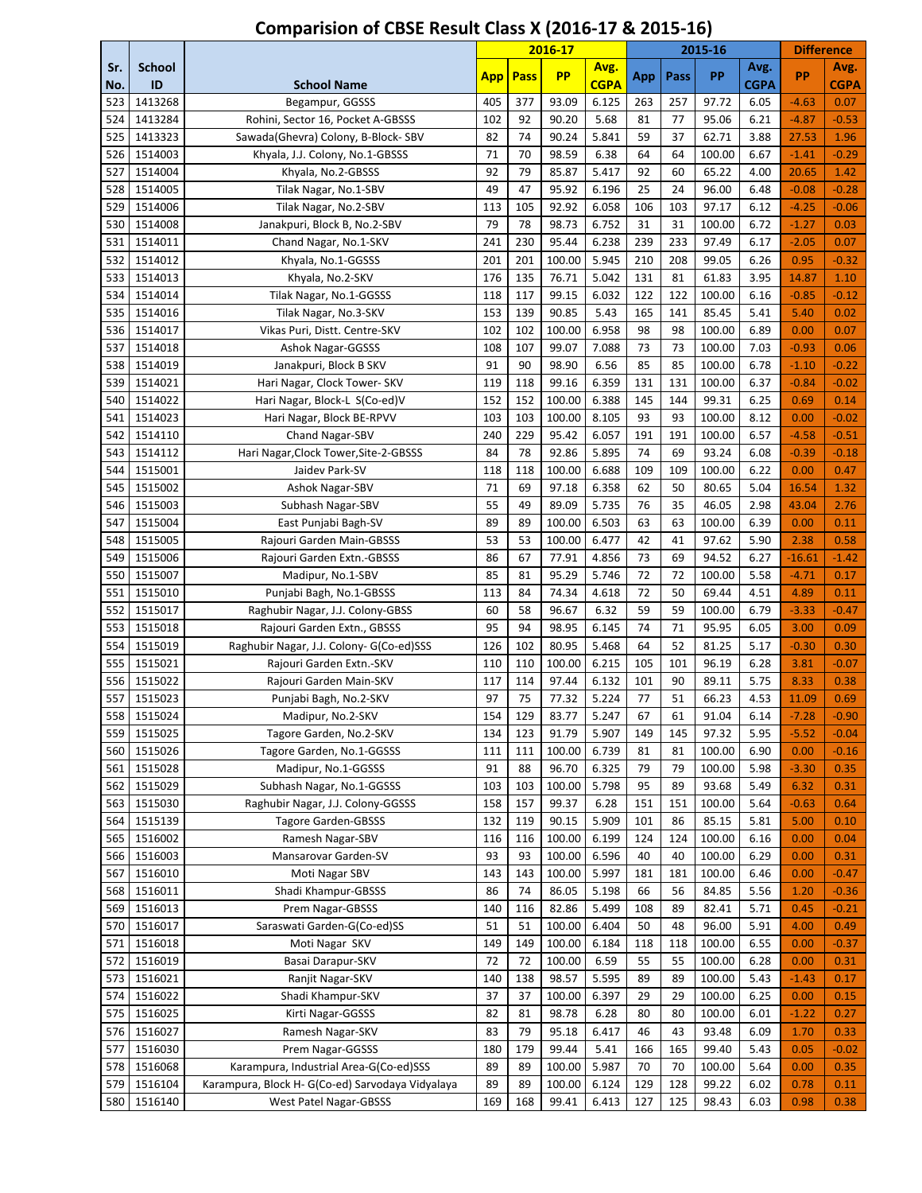|            |                     |                                                  |            |             | 2016-17         |                     |           |           | 2015-16        |                     | <b>Difference</b> |                     |
|------------|---------------------|--------------------------------------------------|------------|-------------|-----------------|---------------------|-----------|-----------|----------------|---------------------|-------------------|---------------------|
| Sr.<br>No. | <b>School</b><br>ID | <b>School Name</b>                               | <b>App</b> | <b>Pass</b> | <b>PP</b>       | Avg.<br><b>CGPA</b> | App       | Pass      | PP             | Avg.<br><b>CGPA</b> | <b>PP</b>         | Avg.<br><b>CGPA</b> |
| 523        | 1413268             | Begampur, GGSSS                                  | 405        | 377         | 93.09           | 6.125               | 263       | 257       | 97.72          | 6.05                | $-4.63$           | 0.07                |
| 524        | 1413284             | Rohini, Sector 16, Pocket A-GBSSS                | 102        | 92          | 90.20           | 5.68                | 81        | 77        | 95.06          | 6.21                | $-4.87$           | $-0.53$             |
| 525        | 1413323             | Sawada(Ghevra) Colony, B-Block-SBV               | 82         | 74          | 90.24           | 5.841               | 59        | 37        | 62.71          | 3.88                | 27.53             | 1.96                |
| 526        | 1514003             | Khyala, J.J. Colony, No.1-GBSSS                  | 71         | 70          | 98.59           | 6.38                | 64        | 64        | 100.00         | 6.67                | $-1.41$           | $-0.29$             |
| 527        | 1514004             | Khyala, No.2-GBSSS                               | 92         | 79          | 85.87           | 5.417               | 92        | 60        | 65.22          | 4.00                | 20.65             | 1.42                |
| 528        | 1514005             | Tilak Nagar, No.1-SBV                            | 49         | 47          | 95.92           | 6.196               | 25        | 24        | 96.00          | 6.48                | $-0.08$           | $-0.28$             |
| 529        | 1514006             | Tilak Nagar, No.2-SBV                            | 113        | 105         | 92.92           | 6.058               | 106       | 103       | 97.17          | 6.12                | $-4.25$           | $-0.06$             |
| 530        | 1514008             | Janakpuri, Block B, No.2-SBV                     | 79         | 78          | 98.73           | 6.752               | 31        | 31        | 100.00         | 6.72                | $-1.27$           | 0.03                |
| 531        | 1514011             | Chand Nagar, No.1-SKV                            | 241        | 230         | 95.44           | 6.238               | 239       | 233       | 97.49          | 6.17                | $-2.05$           | 0.07                |
| 532        | 1514012             | Khyala, No.1-GGSSS                               | 201        | 201         | 100.00          | 5.945               | 210       | 208       | 99.05          | 6.26                | 0.95              | $-0.32$             |
| 533        | 1514013             | Khyala, No.2-SKV                                 | 176        | 135         | 76.71           | 5.042               | 131       | 81        | 61.83          | 3.95                | 14.87             | 1.10                |
| 534        | 1514014             | Tilak Nagar, No.1-GGSSS                          | 118        | 117         | 99.15           | 6.032               | 122       | 122       | 100.00         | 6.16                | $-0.85$           | $-0.12$             |
| 535        | 1514016             | Tilak Nagar, No.3-SKV                            | 153        | 139         | 90.85           | 5.43                | 165       | 141       | 85.45          | 5.41                | 5.40              | 0.02                |
| 536        | 1514017             | Vikas Puri, Distt. Centre-SKV                    | 102        | 102         | 100.00          | 6.958               | 98        | 98        | 100.00         | 6.89                | 0.00              | 0.07                |
| 537        | 1514018             | <b>Ashok Nagar-GGSSS</b>                         | 108        | 107         | 99.07           | 7.088               | 73        | 73        | 100.00         | 7.03                | $-0.93$           | 0.06                |
| 538        | 1514019             | Janakpuri, Block B SKV                           | 91         | 90          | 98.90           | 6.56                | 85        | 85        | 100.00         | 6.78                | $-1.10$           | $-0.22$             |
| 539        | 1514021             | Hari Nagar, Clock Tower-SKV                      | 119        | 118         | 99.16           | 6.359               | 131       | 131       | 100.00         | 6.37                | $-0.84$           | $-0.02$             |
| 540        | 1514022             | Hari Nagar, Block-L S(Co-ed)V                    | 152        | 152         | 100.00          | 6.388               | 145       | 144       | 99.31          | 6.25                | 0.69              | 0.14                |
| 541        | 1514023             | Hari Nagar, Block BE-RPVV                        | 103        | 103         | 100.00          | 8.105               | 93        | 93        | 100.00         | 8.12                | 0.00              | $-0.02$             |
| 542        | 1514110             | Chand Nagar-SBV                                  | 240        | 229         | 95.42           | 6.057               | 191       | 191       | 100.00         | 6.57                | $-4.58$           | $-0.51$             |
| 543        | 1514112             | Hari Nagar, Clock Tower, Site-2-GBSSS            | 84         | 78          | 92.86           | 5.895               | 74        | 69        | 93.24          | 6.08                | $-0.39$           | $-0.18$             |
| 544        | 1515001             | Jaidev Park-SV                                   | 118        | 118         | 100.00          | 6.688               | 109       | 109       | 100.00         | 6.22                | 0.00              | 0.47                |
| 545        | 1515002             | Ashok Nagar-SBV                                  | 71         | 69          | 97.18           | 6.358               | 62        | 50        | 80.65          | 5.04                | 16.54             | 1.32                |
| 546        | 1515003             | Subhash Nagar-SBV                                | 55         | 49          | 89.09           | 5.735               | 76        | 35        | 46.05          | 2.98                | 43.04             | 2.76                |
| 547        | 1515004             | East Punjabi Bagh-SV                             | 89         | 89          | 100.00          | 6.503               | 63        | 63        | 100.00         | 6.39                | 0.00              | 0.11                |
| 548        | 1515005             | Rajouri Garden Main-GBSSS                        | 53         | 53          | 100.00          | 6.477               | 42        | 41        | 97.62          | 5.90                | 2.38              | 0.58                |
| 549        | 1515006             | Rajouri Garden Extn.-GBSSS                       | 86         | 67          | 77.91           | 4.856               | 73        | 69        | 94.52          | 6.27                | $-16.61$          | $-1.42$             |
| 550        | 1515007             | Madipur, No.1-SBV                                | 85         | 81          | 95.29           | 5.746               | 72        | 72        | 100.00         | 5.58                | $-4.71$           | 0.17                |
| 551        | 1515010             | Punjabi Bagh, No.1-GBSSS                         | 113        | 84          | 74.34           | 4.618               | 72        | 50        | 69.44          | 4.51                | 4.89              | 0.11                |
| 552        | 1515017             | Raghubir Nagar, J.J. Colony-GBSS                 | 60         | 58          | 96.67           | 6.32                | 59        | 59        | 100.00         | 6.79                | $-3.33$           | $-0.47$             |
| 553        | 1515018             | Rajouri Garden Extn., GBSSS                      | 95         | 94          | 98.95           | 6.145<br>5.468      | 74        | 71        | 95.95          | 6.05                | 3.00              | 0.09                |
| 554<br>555 | 1515019<br>1515021  | Raghubir Nagar, J.J. Colony- G(Co-ed)SSS         | 126<br>110 | 102<br>110  | 80.95<br>100.00 | 6.215               | 64<br>105 | 52<br>101 | 81.25<br>96.19 | 5.17<br>6.28        | $-0.30$           | 0.30                |
|            | 1515022             | Rajouri Garden Extn.-SKV                         | 117        | 114         | 97.44           | 6.132               | 101       | 90        | 89.11          | 5.75                | 3.81<br>8.33      | $-0.07$<br>0.38     |
| 556<br>557 | 1515023             | Rajouri Garden Main-SKV                          | 97         | 75          | 77.32           | 5.224               | 77        | 51        | 66.23          | 4.53                | 11.09             | 0.69                |
| 558        | 1515024             | Punjabi Bagh, No.2-SKV<br>Madipur, No.2-SKV      | 154        | 129         | 83.77           | 5.247               | 67        | 61        | 91.04          | 6.14                | $-7.28$           | $-0.90$             |
| 559        | 1515025             | Tagore Garden, No.2-SKV                          | 134        | 123         | 91.79           | 5.907               | 149       | 145       | 97.32          | 5.95                | $-5.52$           | $-0.04$             |
| 560        | 1515026             | Tagore Garden, No.1-GGSSS                        | 111        | 111         | 100.00          | 6.739               | 81        | 81        | 100.00         | 6.90                | 0.00              | $-0.16$             |
| 561        | 1515028             | Madipur, No.1-GGSSS                              | 91         | 88          | 96.70           | 6.325               | 79        | 79        | 100.00         | 5.98                | $-3.30$           | 0.35                |
| 562        | 1515029             | Subhash Nagar, No.1-GGSSS                        | 103        | 103         | 100.00          | 5.798               | 95        | 89        | 93.68          | 5.49                | 6.32              | 0.31                |
| 563        | 1515030             | Raghubir Nagar, J.J. Colony-GGSSS                | 158        | 157         | 99.37           | 6.28                | 151       | 151       | 100.00         | 5.64                | $-0.63$           | 0.64                |
| 564        | 1515139             | <b>Tagore Garden-GBSSS</b>                       | 132        | 119         | 90.15           | 5.909               | 101       | 86        | 85.15          | 5.81                | 5.00              | 0.10                |
| 565        | 1516002             | Ramesh Nagar-SBV                                 | 116        | 116         | 100.00          | 6.199               | 124       | 124       | 100.00         | 6.16                | 0.00              | 0.04                |
| 566        | 1516003             | Mansarovar Garden-SV                             | 93         | 93          | 100.00          | 6.596               | 40        | 40        | 100.00         | 6.29                | 0.00              | 0.31                |
| 567        | 1516010             | Moti Nagar SBV                                   | 143        | 143         | 100.00          | 5.997               | 181       | 181       | 100.00         | 6.46                | 0.00              | $-0.47$             |
| 568        | 1516011             | Shadi Khampur-GBSSS                              | 86         | 74          | 86.05           | 5.198               | 66        | 56        | 84.85          | 5.56                | 1.20              | $-0.36$             |
| 569        | 1516013             | Prem Nagar-GBSSS                                 | 140        | 116         | 82.86           | 5.499               | 108       | 89        | 82.41          | 5.71                | 0.45              | $-0.21$             |
| 570        | 1516017             | Saraswati Garden-G(Co-ed)SS                      | 51         | 51          | 100.00          | 6.404               | 50        | 48        | 96.00          | 5.91                | 4.00              | 0.49                |
| 571        | 1516018             | Moti Nagar SKV                                   | 149        | 149         | 100.00          | 6.184               | 118       | 118       | 100.00         | 6.55                | 0.00              | $-0.37$             |
| 572        | 1516019             | Basai Darapur-SKV                                | 72         | 72          | 100.00          | 6.59                | 55        | 55        | 100.00         | 6.28                | 0.00              | 0.31                |
| 573        | 1516021             | Ranjit Nagar-SKV                                 | 140        | 138         | 98.57           | 5.595               | 89        | 89        | 100.00         | 5.43                | $-1.43$           | 0.17                |
| 574        | 1516022             | Shadi Khampur-SKV                                | 37         | 37          | 100.00          | 6.397               | 29        | 29        | 100.00         | 6.25                | 0.00              | 0.15                |
| 575        | 1516025             | Kirti Nagar-GGSSS                                | 82         | 81          | 98.78           | 6.28                | 80        | 80        | 100.00         | 6.01                | $-1.22$           | 0.27                |
| 576        | 1516027             | Ramesh Nagar-SKV                                 | 83         | 79          | 95.18           | 6.417               | 46        | 43        | 93.48          | 6.09                | 1.70              | 0.33                |
| 577        | 1516030             | Prem Nagar-GGSSS                                 | 180        | 179         | 99.44           | 5.41                | 166       | 165       | 99.40          | 5.43                | 0.05              | $-0.02$             |
| 578        | 1516068             | Karampura, Industrial Area-G(Co-ed)SSS           | 89         | 89          | 100.00          | 5.987               | 70        | 70        | 100.00         | 5.64                | 0.00              | 0.35                |
| 579        | 1516104             | Karampura, Block H- G(Co-ed) Sarvodaya Vidyalaya | 89         | 89          | 100.00          | 6.124               | 129       | 128       | 99.22          | 6.02                | 0.78              | 0.11                |
| 580        | 1516140             | <b>West Patel Nagar-GBSSS</b>                    | 169        | 168         | 99.41           | 6.413               | 127       | 125       | 98.43          | 6.03                | 0.98              | 0.38                |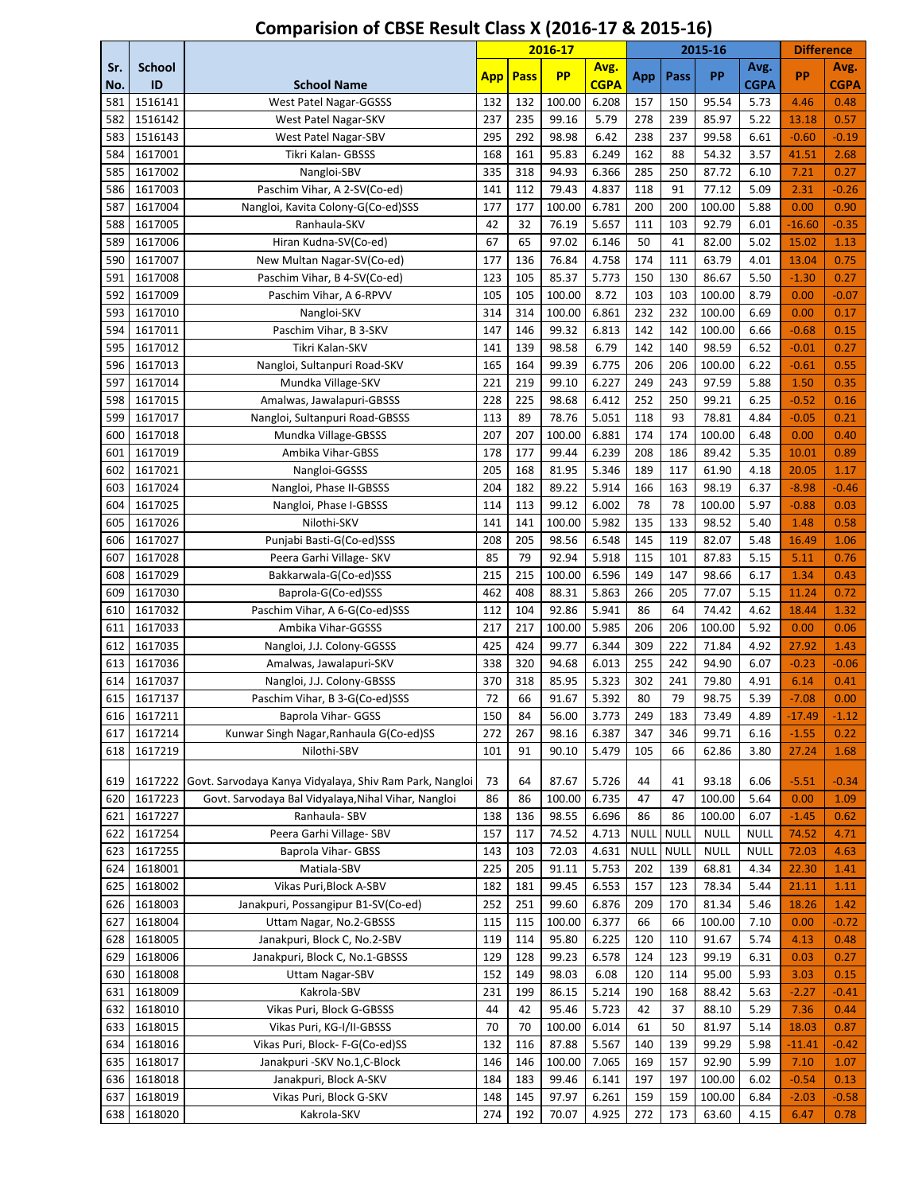|            |                    |                                                                    |            |            | 2016-17        |                |             |             | 2015-16         |              | <b>Difference</b> |                 |
|------------|--------------------|--------------------------------------------------------------------|------------|------------|----------------|----------------|-------------|-------------|-----------------|--------------|-------------------|-----------------|
| Sr.        | <b>School</b>      |                                                                    | <b>App</b> | Pass       | <b>PP</b>      | Avg.           | App         | Pass        | PP              | Avg.         | PP                | Avg.            |
| No.        | ID                 | <b>School Name</b>                                                 |            |            |                | <b>CGPA</b>    |             |             |                 | <b>CGPA</b>  |                   | <b>CGPA</b>     |
| 581        | 1516141            | West Patel Nagar-GGSSS                                             | 132        | 132        | 100.00         | 6.208          | 157         | 150         | 95.54           | 5.73         | 4.46              | 0.48            |
| 582        | 1516142            | West Patel Nagar-SKV                                               | 237        | 235        | 99.16          | 5.79           | 278         | 239         | 85.97           | 5.22         | 13.18             | 0.57            |
| 583        | 1516143            | West Patel Nagar-SBV                                               | 295        | 292        | 98.98          | 6.42           | 238         | 237         | 99.58           | 6.61         | $-0.60$           | $-0.19$         |
| 584        | 1617001            | Tikri Kalan- GBSSS                                                 | 168        | 161        | 95.83          | 6.249          | 162         | 88          | 54.32           | 3.57         | 41.51             | 2.68            |
| 585<br>586 | 1617002<br>1617003 | Nangloi-SBV                                                        | 335<br>141 | 318<br>112 | 94.93<br>79.43 | 6.366<br>4.837 | 285<br>118  | 250<br>91   | 87.72           | 6.10<br>5.09 | 7.21              | 0.27            |
| 587        | 1617004            | Paschim Vihar, A 2-SV(Co-ed)<br>Nangloi, Kavita Colony-G(Co-ed)SSS | 177        | 177        | 100.00         | 6.781          | 200         | 200         | 77.12<br>100.00 | 5.88         | 2.31<br>0.00      | $-0.26$<br>0.90 |
| 588        | 1617005            | Ranhaula-SKV                                                       | 42         | 32         | 76.19          | 5.657          | 111         | 103         | 92.79           | 6.01         | $-16.60$          | $-0.35$         |
| 589        | 1617006            | Hiran Kudna-SV(Co-ed)                                              | 67         | 65         | 97.02          | 6.146          | 50          | 41          | 82.00           | 5.02         | 15.02             | 1.13            |
| 590        | 1617007            | New Multan Nagar-SV(Co-ed)                                         | 177        | 136        | 76.84          | 4.758          | 174         | 111         | 63.79           | 4.01         | 13.04             | 0.75            |
| 591        | 1617008            | Paschim Vihar, B 4-SV(Co-ed)                                       | 123        | 105        | 85.37          | 5.773          | 150         | 130         | 86.67           | 5.50         | $-1.30$           | 0.27            |
| 592        | 1617009            | Paschim Vihar, A 6-RPVV                                            | 105        | 105        | 100.00         | 8.72           | 103         | 103         | 100.00          | 8.79         | 0.00              | $-0.07$         |
| 593        | 1617010            | Nangloi-SKV                                                        | 314        | 314        | 100.00         | 6.861          | 232         | 232         | 100.00          | 6.69         | 0.00              | 0.17            |
| 594        | 1617011            | Paschim Vihar, B 3-SKV                                             | 147        | 146        | 99.32          | 6.813          | 142         | 142         | 100.00          | 6.66         | $-0.68$           | 0.15            |
| 595        | 1617012            | Tikri Kalan-SKV                                                    | 141        | 139        | 98.58          | 6.79           | 142         | 140         | 98.59           | 6.52         | $-0.01$           | 0.27            |
| 596        | 1617013            | Nangloi, Sultanpuri Road-SKV                                       | 165        | 164        | 99.39          | 6.775          | 206         | 206         | 100.00          | 6.22         | $-0.61$           | 0.55            |
| 597        | 1617014            | Mundka Village-SKV                                                 | 221        | 219        | 99.10          | 6.227          | 249         | 243         | 97.59           | 5.88         | 1.50              | 0.35            |
| 598        | 1617015            | Amalwas, Jawalapuri-GBSSS                                          | 228        | 225        | 98.68          | 6.412          | 252         | 250         | 99.21           | 6.25         | $-0.52$           | 0.16            |
| 599        | 1617017            | Nangloi, Sultanpuri Road-GBSSS                                     | 113        | 89         | 78.76          | 5.051          | 118         | 93          | 78.81           | 4.84         | $-0.05$           | 0.21            |
| 600        | 1617018            | Mundka Village-GBSSS                                               | 207        | 207        | 100.00         | 6.881          | 174         | 174         | 100.00          | 6.48         | 0.00              | 0.40            |
| 601        | 1617019            | Ambika Vihar-GBSS                                                  | 178        | 177        | 99.44          | 6.239          | 208         | 186         | 89.42           | 5.35         | 10.01             | 0.89            |
| 602        | 1617021            | Nangloi-GGSSS                                                      | 205        | 168        | 81.95          | 5.346          | 189         | 117         | 61.90           | 4.18         | 20.05             | 1.17            |
| 603        | 1617024            | Nangloi, Phase II-GBSSS                                            | 204        | 182        | 89.22          | 5.914          | 166         | 163         | 98.19           | 6.37         | $-8.98$           | $-0.46$         |
| 604        | 1617025            | Nangloi, Phase I-GBSSS                                             | 114        | 113        | 99.12          | 6.002          | 78          | 78          | 100.00          | 5.97         | $-0.88$           | 0.03            |
| 605        | 1617026            | Nilothi-SKV                                                        | 141        | 141        | 100.00         | 5.982          | 135         | 133         | 98.52           | 5.40         | 1.48              | 0.58            |
| 606        | 1617027            | Punjabi Basti-G(Co-ed)SSS                                          | 208        | 205        | 98.56          | 6.548          | 145         | 119         | 82.07           | 5.48         | 16.49             | 1.06            |
| 607        | 1617028            | Peera Garhi Village- SKV                                           | 85         | 79         | 92.94          | 5.918          | 115         | 101         | 87.83           | 5.15         | 5.11              | 0.76            |
| 608        | 1617029            | Bakkarwala-G(Co-ed)SSS                                             | 215        | 215        | 100.00         | 6.596          | 149         | 147         | 98.66           | 6.17         | 1.34              | 0.43            |
| 609        | 1617030            | Baprola-G(Co-ed)SSS                                                | 462        | 408        | 88.31          | 5.863          | 266         | 205         | 77.07           | 5.15         | 11.24             | 0.72            |
| 610        | 1617032            | Paschim Vihar, A 6-G(Co-ed)SSS                                     | 112        | 104        | 92.86          | 5.941          | 86          | 64          | 74.42           | 4.62         | 18.44             | 1.32            |
| 611        | 1617033            | Ambika Vihar-GGSSS                                                 | 217        | 217        | 100.00         | 5.985          | 206         | 206         | 100.00          | 5.92         | 0.00              | 0.06            |
| 612        | 1617035<br>1617036 | Nangloi, J.J. Colony-GGSSS                                         | 425<br>338 | 424<br>320 | 99.77<br>94.68 | 6.344<br>6.013 | 309<br>255  | 222<br>242  | 71.84           | 4.92         | 27.92<br>$-0.23$  | 1.43            |
| 613<br>614 | 1617037            | Amalwas, Jawalapuri-SKV<br>Nangloi, J.J. Colony-GBSSS              | 370        | 318        | 85.95          | 5.323          | 302         | 241         | 94.90<br>79.80  | 6.07<br>4.91 | 6.14              | $-0.06$<br>0.41 |
| 615        | 1617137            | Paschim Vihar, B 3-G(Co-ed)SSS                                     | 72         | 66         | 91.67          | 5.392          | 80          | 79          | 98.75           | 5.39         | $-7.08$           | 0.00            |
| 616        | 1617211            | Baprola Vihar- GGSS                                                | 150        | 84         | 56.00          | 3.773          | 249         | 183         | 73.49           | 4.89         | $-17.49$          | $-1.12$         |
| 617        | 1617214            | Kunwar Singh Nagar, Ranhaula G(Co-ed)SS                            | 272        | 267        | 98.16          | 6.387          | 347         | 346         | 99.71           | 6.16         | $-1.55$           | 0.22            |
| 618        | 1617219            | Nilothi-SBV                                                        | 101        | 91         | 90.10          | 5.479          | 105         | 66          | 62.86           | 3.80         | 27.24             | 1.68            |
|            |                    |                                                                    |            |            |                |                |             |             |                 |              |                   |                 |
| 619        | 1617222            | Govt. Sarvodaya Kanya Vidyalaya, Shiv Ram Park, Nangloi            | 73         | 64         | 87.67          | 5.726          | 44          | 41          | 93.18           | 6.06         | $-5.51$           | $-0.34$         |
| 620        | 1617223            | Govt. Sarvodaya Bal Vidyalaya, Nihal Vihar, Nangloi                | 86         | 86         | 100.00         | 6.735          | 47          | 47          | 100.00          | 5.64         | 0.00              | 1.09            |
| 621        | 1617227            | Ranhaula-SBV                                                       | 138        | 136        | 98.55          | 6.696          | 86          | 86          | 100.00          | 6.07         | $-1.45$           | 0.62            |
| 622        | 1617254            | Peera Garhi Village- SBV                                           | 157        | 117        | 74.52          | 4.713          | <b>NULL</b> | <b>NULL</b> | <b>NULL</b>     | <b>NULL</b>  | 74.52             | 4.71            |
| 623        | 1617255            | Baprola Vihar- GBSS                                                | 143        | 103        | 72.03          | 4.631          | <b>NULL</b> | <b>NULL</b> | <b>NULL</b>     | <b>NULL</b>  | 72.03             | 4.63            |
| 624        | 1618001            | Matiala-SBV                                                        | 225        | 205        | 91.11          | 5.753          | 202         | 139         | 68.81           | 4.34         | 22.30             | 1.41            |
| 625        | 1618002            | Vikas Puri, Block A-SBV                                            | 182        | 181        | 99.45          | 6.553          | 157         | 123         | 78.34           | 5.44         | 21.11             | 1.11            |
| 626        | 1618003            | Janakpuri, Possangipur B1-SV(Co-ed)                                | 252        | 251        | 99.60          | 6.876          | 209         | 170         | 81.34           | 5.46         | 18.26             | 1.42            |
| 627        | 1618004            | Uttam Nagar, No.2-GBSSS                                            | 115        | 115        | 100.00         | 6.377          | 66          | 66          | 100.00          | 7.10         | 0.00              | $-0.72$         |
| 628        | 1618005            | Janakpuri, Block C, No.2-SBV                                       | 119        | 114        | 95.80          | 6.225          | 120         | 110         | 91.67           | 5.74         | 4.13              | 0.48            |
| 629        | 1618006            | Janakpuri, Block C, No.1-GBSSS                                     | 129        | 128        | 99.23          | 6.578          | 124         | 123         | 99.19           | 6.31         | 0.03              | 0.27            |
| 630        | 1618008            | <b>Uttam Nagar-SBV</b>                                             | 152        | 149<br>199 | 98.03          | 6.08           | 120         | 114         | 95.00           | 5.93         | 3.03              | 0.15            |
| 631<br>632 | 1618009<br>1618010 | Kakrola-SBV<br>Vikas Puri, Block G-GBSSS                           | 231<br>44  | 42         | 86.15<br>95.46 | 5.214<br>5.723 | 190<br>42   | 168<br>37   | 88.42<br>88.10  | 5.63<br>5.29 | $-2.27$<br>7.36   | $-0.41$<br>0.44 |
| 633        | 1618015            | Vikas Puri, KG-I/II-GBSSS                                          | 70         | 70         | 100.00         | 6.014          | 61          | 50          | 81.97           | 5.14         | 18.03             | 0.87            |
| 634        | 1618016            | Vikas Puri, Block- F-G(Co-ed)SS                                    | 132        | 116        | 87.88          | 5.567          | 140         | 139         | 99.29           | 5.98         | $-11.41$          | $-0.42$         |
| 635        | 1618017            | Janakpuri - SKV No.1, C-Block                                      | 146        | 146        | 100.00         | 7.065          | 169         | 157         | 92.90           | 5.99         | 7.10              | 1.07            |
| 636        | 1618018            | Janakpuri, Block A-SKV                                             | 184        | 183        | 99.46          | 6.141          | 197         | 197         | 100.00          | 6.02         | $-0.54$           | 0.13            |
| 637        | 1618019            | Vikas Puri, Block G-SKV                                            | 148        | 145        | 97.97          | 6.261          | 159         | 159         | 100.00          | 6.84         | $-2.03$           | $-0.58$         |
| 638        | 1618020            | Kakrola-SKV                                                        | 274        | 192        | 70.07          | 4.925          | 272         | 173         | 63.60           | 4.15         | 6.47              | 0.78            |
|            |                    |                                                                    |            |            |                |                |             |             |                 |              |                   |                 |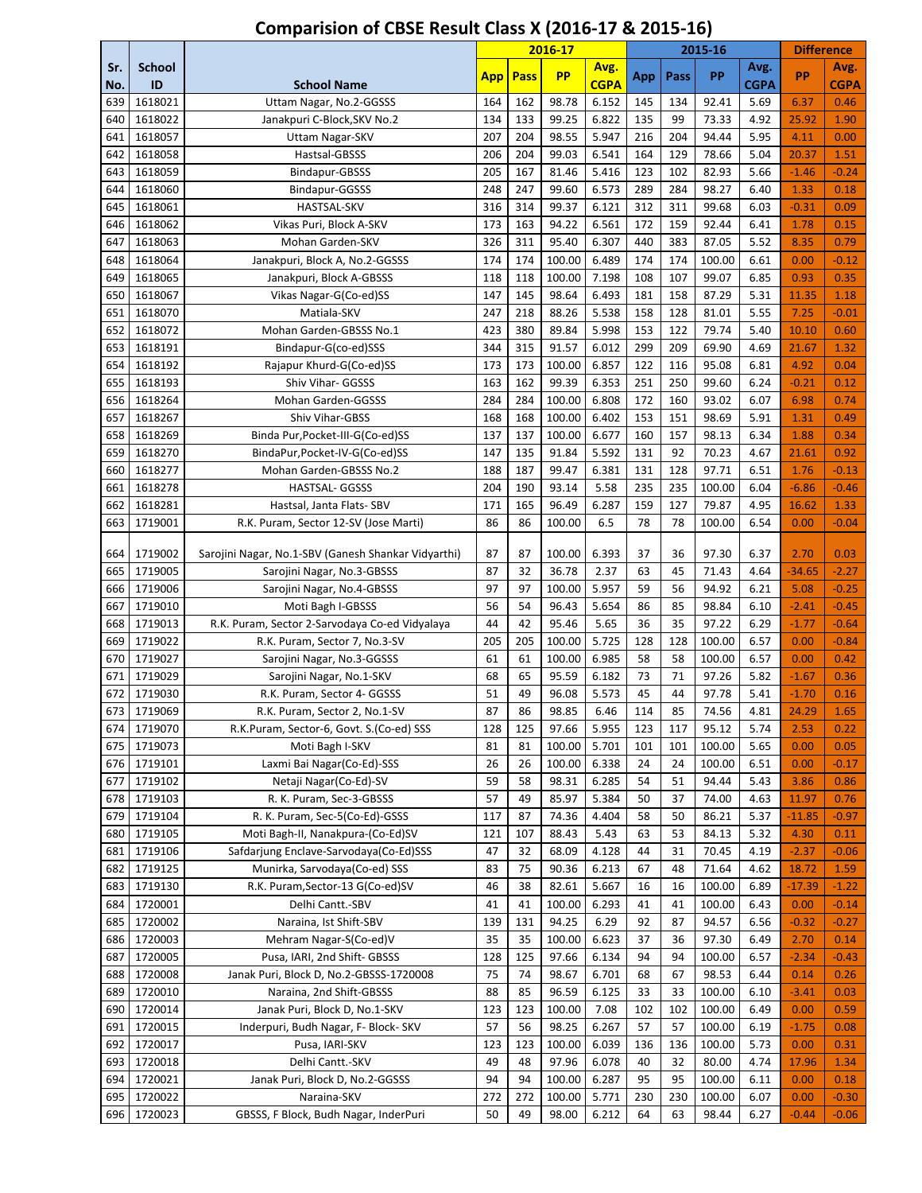|            |                        |                                                     |            |            | 2016-17          |                |            |           | 2015-16         |              | <b>Difference</b> |                 |
|------------|------------------------|-----------------------------------------------------|------------|------------|------------------|----------------|------------|-----------|-----------------|--------------|-------------------|-----------------|
| Sr.        | <b>School</b>          |                                                     | <b>App</b> | Pass       | <b>PP</b>        | Avg.           | App        | Pass      | PP              | Avg.         | <b>PP</b>         | Avg.            |
| No.        | ID                     | <b>School Name</b>                                  |            |            |                  | <b>CGPA</b>    |            |           |                 | <b>CGPA</b>  |                   | <b>CGPA</b>     |
| 639        | 1618021                | Uttam Nagar, No.2-GGSSS                             | 164        | 162        | 98.78            | 6.152          | 145        | 134       | 92.41           | 5.69         | 6.37              | 0.46            |
| 640        | 1618022<br>1618057     | Janakpuri C-Block, SKV No.2                         | 134<br>207 | 133<br>204 | 99.25<br>98.55   | 6.822<br>5.947 | 135<br>216 | 99<br>204 | 73.33<br>94.44  | 4.92<br>5.95 | 25.92             | 1.90            |
| 641<br>642 | 1618058                | Uttam Nagar-SKV<br>Hastsal-GBSSS                    | 206        | 204        | 99.03            | 6.541          | 164        | 129       |                 | 5.04         | 4.11<br>20.37     | 0.00<br>1.51    |
| 643        | 1618059                | Bindapur-GBSSS                                      | 205        | 167        | 81.46            | 5.416          | 123        | 102       | 78.66<br>82.93  | 5.66         | $-1.46$           | $-0.24$         |
| 644        | 1618060                | Bindapur-GGSSS                                      | 248        | 247        | 99.60            | 6.573          | 289        | 284       | 98.27           | 6.40         | 1.33              | 0.18            |
| 645        | 1618061                | HASTSAL-SKV                                         | 316        | 314        | 99.37            | 6.121          | 312        | 311       | 99.68           | 6.03         | $-0.31$           | 0.09            |
| 646        | 1618062                | Vikas Puri, Block A-SKV                             | 173        | 163        | 94.22            | 6.561          | 172        | 159       | 92.44           | 6.41         | 1.78              | 0.15            |
| 647        | 1618063                | Mohan Garden-SKV                                    | 326        | 311        | 95.40            | 6.307          | 440        | 383       | 87.05           | 5.52         | 8.35              | 0.79            |
| 648        | 1618064                | Janakpuri, Block A, No.2-GGSSS                      | 174        | 174        | 100.00           | 6.489          | 174        | 174       | 100.00          | 6.61         | 0.00              | $-0.12$         |
| 649        | 1618065                | Janakpuri, Block A-GBSSS                            | 118        | 118        | 100.00           | 7.198          | 108        | 107       | 99.07           | 6.85         | 0.93              | 0.35            |
| 650        | 1618067                | Vikas Nagar-G(Co-ed)SS                              | 147        | 145        | 98.64            | 6.493          | 181        | 158       | 87.29           | 5.31         | 11.35             | 1.18            |
| 651        | 1618070                | Matiala-SKV                                         | 247        | 218        | 88.26            | 5.538          | 158        | 128       | 81.01           | 5.55         | 7.25              | $-0.01$         |
| 652        | 1618072                | Mohan Garden-GBSSS No.1                             | 423        | 380        | 89.84            | 5.998          | 153        | 122       | 79.74           | 5.40         | 10.10             | 0.60            |
| 653        | 1618191                | Bindapur-G(co-ed)SSS                                | 344        | 315        | 91.57            | 6.012          | 299        | 209       | 69.90           | 4.69         | 21.67             | 1.32            |
| 654        | 1618192                | Rajapur Khurd-G(Co-ed)SS                            | 173        | 173        | 100.00           | 6.857          | 122        | 116       | 95.08           | 6.81         | 4.92              | 0.04            |
| 655        | 1618193                | Shiv Vihar- GGSSS                                   | 163        | 162        | 99.39            | 6.353          | 251        | 250       | 99.60           | 6.24         | $-0.21$           | 0.12            |
| 656        | 1618264                | Mohan Garden-GGSSS                                  | 284        | 284        | 100.00           | 6.808          | 172        | 160       | 93.02           | 6.07         | 6.98              | 0.74            |
| 657        | 1618267                | Shiv Vihar-GBSS                                     | 168        | 168        | 100.00           | 6.402          | 153        | 151       | 98.69           | 5.91         | 1.31              | 0.49            |
| 658        | 1618269                | Binda Pur, Pocket-III-G(Co-ed)SS                    | 137        | 137        | 100.00           | 6.677          | 160        | 157       | 98.13           | 6.34         | 1.88              | 0.34            |
| 659        | 1618270                | BindaPur, Pocket-IV-G(Co-ed)SS                      | 147        | 135        | 91.84            | 5.592          | 131        | 92        | 70.23           | 4.67         | 21.61             | 0.92            |
| 660        | 1618277                | Mohan Garden-GBSSS No.2                             | 188        | 187        | 99.47            | 6.381          | 131        | 128       | 97.71           | 6.51         | 1.76              | $-0.13$         |
| 661        | 1618278                | HASTSAL- GGSSS                                      | 204        | 190        | 93.14            | 5.58           | 235        | 235       | 100.00          | 6.04         | $-6.86$           | $-0.46$         |
| 662        | 1618281                | Hastsal, Janta Flats- SBV                           | 171        | 165        | 96.49            | 6.287          | 159        | 127       | 79.87           | 4.95         | 16.62             | 1.33            |
| 663        | 1719001                | R.K. Puram, Sector 12-SV (Jose Marti)               | 86         | 86         | 100.00           | 6.5            | 78         | 78        | 100.00          | 6.54         | 0.00              | $-0.04$         |
|            |                        |                                                     |            |            |                  |                |            |           |                 |              |                   |                 |
| 664        | 1719002                | Sarojini Nagar, No.1-SBV (Ganesh Shankar Vidyarthi) | 87         | 87         | 100.00           | 6.393          | 37         | 36        | 97.30           | 6.37         | 2.70              | 0.03            |
| 665        | 1719005                | Sarojini Nagar, No.3-GBSSS                          | 87         | 32         | 36.78            | 2.37           | 63         | 45        | 71.43           | 4.64         | $-34.65$          | $-2.27$         |
| 666        | 1719006                | Sarojini Nagar, No.4-GBSSS                          | 97         | 97         | 100.00           | 5.957          | 59         | 56        | 94.92           | 6.21         | 5.08              | $-0.25$         |
| 667        | 1719010                | Moti Bagh I-GBSSS                                   | 56         | 54         | 96.43            | 5.654          | 86         | 85        | 98.84           | 6.10         | $-2.41$           | $-0.45$         |
| 668        | 1719013                | R.K. Puram, Sector 2-Sarvodaya Co-ed Vidyalaya      | 44         | 42         | 95.46            | 5.65           | 36         | 35        | 97.22           | 6.29         | $-1.77$           | $-0.64$         |
| 669        | 1719022                | R.K. Puram, Sector 7, No.3-SV                       | 205        | 205        | 100.00           | 5.725          | 128        | 128       | 100.00          | 6.57         | 0.00              | $-0.84$         |
| 670        | 1719027                | Sarojini Nagar, No.3-GGSSS                          | 61         | 61         | 100.00           | 6.985          | 58         | 58        | 100.00          | 6.57         | 0.00              | 0.42            |
| 671        | 1719029                | Sarojini Nagar, No.1-SKV                            | 68         | 65         | 95.59            | 6.182          | 73         | 71        | 97.26           | 5.82         | $-1.67$           | 0.36            |
| 672        | 1719030                | R.K. Puram, Sector 4- GGSSS                         | 51         | 49         | 96.08            | 5.573          | 45         | 44        | 97.78           | 5.41         | $-1.70$           | 0.16            |
| 673        | 1719069<br>1719070     | R.K. Puram, Sector 2, No.1-SV                       | 87<br>128  | 86<br>125  | 98.85            | 6.46<br>5.955  | 114<br>123 | 85        | 74.56           | 4.81         | 24.29             | 1.65            |
| 674        |                        | R.K.Puram, Sector-6, Govt. S.(Co-ed) SSS            | 81         | 81         | 97.66            | 5.701          |            | 117       | 95.12<br>100.00 | 5.74         | 2.53              | 0.22            |
| 675        | 1719073<br>676 1719101 | Moti Bagh I-SKV<br>Laxmi Bai Nagar(Co-Ed)-SSS       | 26         | 26         | 100.00<br>100.00 | 6.338          | 101<br>24  | 101<br>24 | 100.00          | 5.65<br>6.51 | 0.00<br>0.00      | 0.05<br>$-0.17$ |
| 677        | 1719102                | Netaji Nagar(Co-Ed)-SV                              | 59         | 58         | 98.31            | 6.285          | 54         | 51        | 94.44           | 5.43         | 3.86              | 0.86            |
| 678        | 1719103                | R. K. Puram, Sec-3-GBSSS                            | 57         | 49         | 85.97            | 5.384          | 50         | 37        | 74.00           | 4.63         | 11.97             | 0.76            |
| 679        | 1719104                | R. K. Puram, Sec-5(Co-Ed)-GSSS                      | 117        | 87         | 74.36            | 4.404          | 58         | 50        | 86.21           | 5.37         | $-11.85$          | $-0.97$         |
| 680        | 1719105                | Moti Bagh-II, Nanakpura-(Co-Ed)SV                   | 121        | 107        | 88.43            | 5.43           | 63         | 53        | 84.13           | 5.32         | 4.30              | 0.11            |
| 681        | 1719106                | Safdarjung Enclave-Sarvodaya(Co-Ed)SSS              | 47         | 32         | 68.09            | 4.128          | 44         | 31        | 70.45           | 4.19         | $-2.37$           | $-0.06$         |
| 682        | 1719125                | Munirka, Sarvodaya(Co-ed) SSS                       | 83         | 75         | 90.36            | 6.213          | 67         | 48        | 71.64           | 4.62         | 18.72             | 1.59            |
| 683        | 1719130                | R.K. Puram, Sector-13 G(Co-ed)SV                    | 46         | 38         | 82.61            | 5.667          | 16         | 16        | 100.00          | 6.89         | $-17.39$          | $-1.22$         |
| 684        | 1720001                | Delhi Cantt.-SBV                                    | 41         | 41         | 100.00           | 6.293          | 41         | 41        | 100.00          | 6.43         | 0.00              | $-0.14$         |
| 685        | 1720002                | Naraina, Ist Shift-SBV                              | 139        | 131        | 94.25            | 6.29           | 92         | 87        | 94.57           | 6.56         | $-0.32$           | $-0.27$         |
| 686        | 1720003                | Mehram Nagar-S(Co-ed)V                              | 35         | 35         | 100.00           | 6.623          | 37         | 36        | 97.30           | 6.49         | 2.70              | 0.14            |
| 687        | 1720005                | Pusa, IARI, 2nd Shift- GBSSS                        | 128        | 125        | 97.66            | 6.134          | 94         | 94        | 100.00          | 6.57         | $-2.34$           | $-0.43$         |
| 688        | 1720008                | Janak Puri, Block D, No.2-GBSSS-1720008             | 75         | 74         | 98.67            | 6.701          | 68         | 67        | 98.53           | 6.44         | 0.14              | 0.26            |
| 689        | 1720010                | Naraina, 2nd Shift-GBSSS                            | 88         | 85         | 96.59            | 6.125          | 33         | 33        | 100.00          | 6.10         | $-3.41$           | 0.03            |
| 690        | 1720014                | Janak Puri, Block D, No.1-SKV                       | 123        | 123        | 100.00           | 7.08           | 102        | 102       | 100.00          | 6.49         | 0.00              | 0.59            |
| 691        | 1720015                | Inderpuri, Budh Nagar, F- Block- SKV                | 57         | 56         | 98.25            | 6.267          | 57         | 57        | 100.00          | 6.19         | $-1.75$           | 0.08            |
| 692        | 1720017                | Pusa, IARI-SKV                                      | 123        | 123        | 100.00           | 6.039          | 136        | 136       | 100.00          | 5.73         | 0.00              | 0.31            |
| 693        | 1720018                | Delhi Cantt.-SKV                                    | 49         | 48         | 97.96            | 6.078          | 40         | 32        | 80.00           | 4.74         | 17.96             | 1.34            |
| 694        | 1720021                | Janak Puri, Block D, No.2-GGSSS                     | 94         | 94         | 100.00           | 6.287          | 95         | 95        | 100.00          | 6.11         | 0.00              | 0.18            |
| 695        | 1720022                | Naraina-SKV                                         | 272        | 272        | 100.00           | 5.771          | 230        | 230       | 100.00          | 6.07         | 0.00              | $-0.30$         |
| 696        | 1720023                | GBSSS, F Block, Budh Nagar, InderPuri               | 50         | 49         | 98.00            | 6.212          | 64         | 63        | 98.44           | 6.27         | $-0.44$           | $-0.06$         |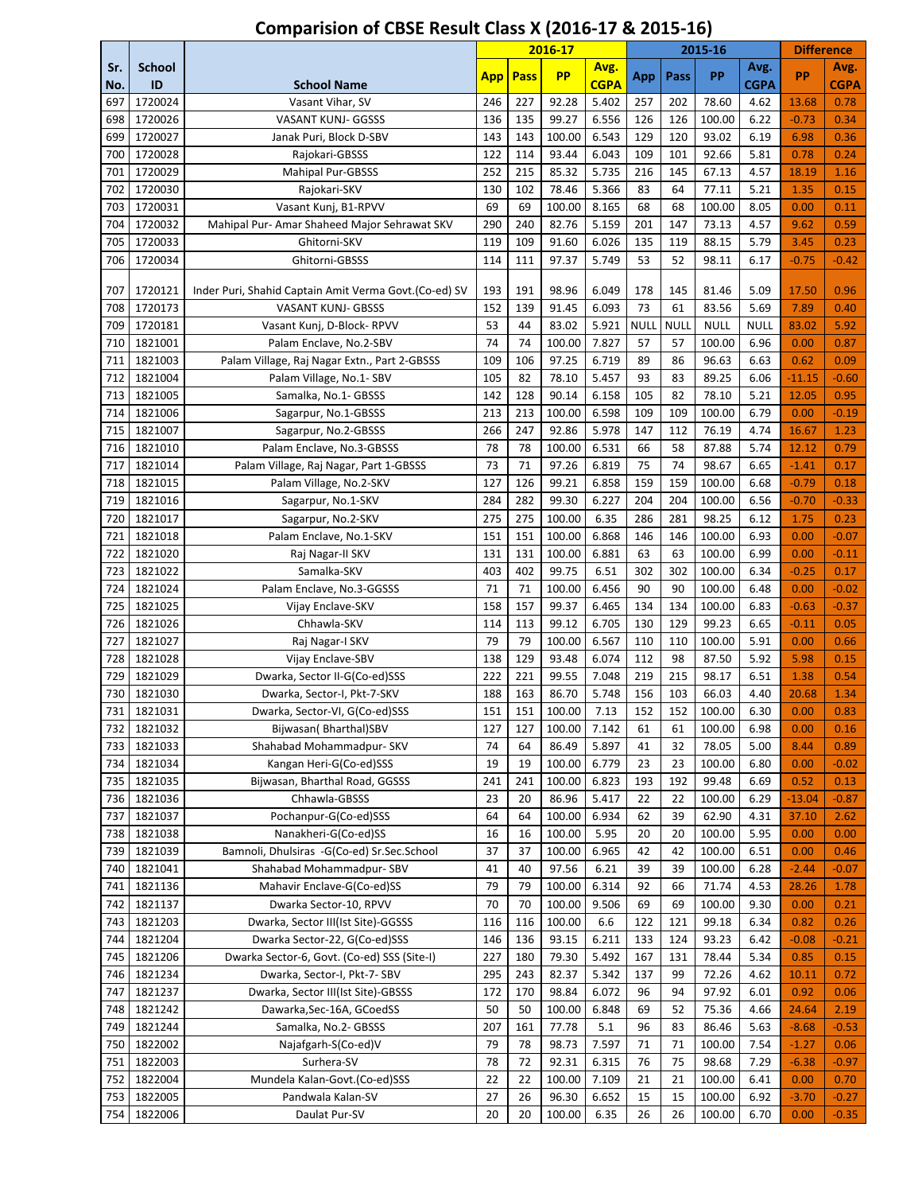|            |                    |                                                        | 2016-17    |             | 2015-16         |                |             |             | <b>Difference</b> |              |               |                 |
|------------|--------------------|--------------------------------------------------------|------------|-------------|-----------------|----------------|-------------|-------------|-------------------|--------------|---------------|-----------------|
| Sr.        | <b>School</b>      |                                                        | <b>App</b> | <b>Pass</b> | <b>PP</b>       | Avg.           | App         | Pass        | PP                | Avg.         | PP            | Avg.            |
| No.        | ID                 | <b>School Name</b>                                     |            |             |                 | <b>CGPA</b>    |             |             |                   | <b>CGPA</b>  |               | <b>CGPA</b>     |
| 697        | 1720024            | Vasant Vihar, SV                                       | 246        | 227         | 92.28           | 5.402          | 257         | 202         | 78.60             | 4.62         | 13.68         | 0.78            |
| 698        | 1720026            | <b>VASANT KUNJ- GGSSS</b>                              | 136        | 135         | 99.27           | 6.556          | 126         | 126         | 100.00            | 6.22         | $-0.73$       | 0.34            |
| 699        | 1720027            | Janak Puri, Block D-SBV                                | 143        | 143         | 100.00<br>93.44 | 6.543<br>6.043 | 129<br>109  | 120         | 93.02             | 6.19         | 6.98          | 0.36<br>0.24    |
| 700<br>701 | 1720028<br>1720029 | Rajokari-GBSSS<br><b>Mahipal Pur-GBSSS</b>             | 122<br>252 | 114<br>215  | 85.32           | 5.735          | 216         | 101<br>145  | 92.66<br>67.13    | 5.81<br>4.57 | 0.78<br>18.19 | 1.16            |
| 702        | 1720030            | Rajokari-SKV                                           | 130        | 102         | 78.46           | 5.366          | 83          | 64          | 77.11             | 5.21         | 1.35          | 0.15            |
| 703        | 1720031            | Vasant Kunj, B1-RPVV                                   | 69         | 69          | 100.00          | 8.165          | 68          | 68          | 100.00            | 8.05         | 0.00          | 0.11            |
| 704        | 1720032            | Mahipal Pur- Amar Shaheed Major Sehrawat SKV           | 290        | 240         | 82.76           | 5.159          | 201         | 147         | 73.13             | 4.57         | 9.62          | 0.59            |
| 705        | 1720033            | Ghitorni-SKV                                           | 119        | 109         | 91.60           | 6.026          | 135         | 119         | 88.15             | 5.79         | 3.45          | 0.23            |
| 706        | 1720034            | Ghitorni-GBSSS                                         | 114        | 111         | 97.37           | 5.749          | 53          | 52          | 98.11             | 6.17         | $-0.75$       | $-0.42$         |
|            |                    |                                                        |            |             |                 |                |             |             |                   |              |               |                 |
| 707        | 1720121            | Inder Puri, Shahid Captain Amit Verma Govt. (Co-ed) SV | 193        | 191         | 98.96           | 6.049          | 178         | 145         | 81.46             | 5.09         | 17.50         | 0.96            |
| 708        | 1720173            | <b>VASANT KUNJ- GBSSS</b>                              | 152        | 139         | 91.45           | 6.093          | 73          | 61          | 83.56             | 5.69         | 7.89          | 0.40            |
| 709        | 1720181            | Vasant Kunj, D-Block- RPVV                             | 53         | 44          | 83.02           | 5.921          | <b>NULL</b> | <b>NULL</b> | <b>NULL</b>       | <b>NULL</b>  | 83.02         | 5.92            |
| 710        | 1821001            | Palam Enclave, No.2-SBV                                | 74         | 74          | 100.00          | 7.827          | 57          | 57          | 100.00            | 6.96         | 0.00          | 0.87            |
| 711        | 1821003            | Palam Village, Raj Nagar Extn., Part 2-GBSSS           | 109        | 106         | 97.25           | 6.719          | 89          | 86          | 96.63             | 6.63         | 0.62          | 0.09            |
| 712        | 1821004            | Palam Village, No.1- SBV                               | 105        | 82          | 78.10           | 5.457          | 93          | 83          | 89.25             | 6.06         | -11.15        | $-0.60$         |
| 713        | 1821005            | Samalka, No.1- GBSSS                                   | 142        | 128         | 90.14           | 6.158          | 105         | 82          | 78.10             | 5.21         | 12.05         | 0.95            |
| 714        | 1821006            | Sagarpur, No.1-GBSSS                                   | 213        | 213         | 100.00          | 6.598          | 109         | 109         | 100.00            | 6.79         | 0.00          | $-0.19$         |
| 715        | 1821007            | Sagarpur, No.2-GBSSS                                   | 266        | 247         | 92.86           | 5.978          | 147         | 112         | 76.19             | 4.74         | 16.67         | 1.23            |
| 716        | 1821010            | Palam Enclave, No.3-GBSSS                              | 78         | 78          | 100.00          | 6.531          | 66          | 58          | 87.88             | 5.74         | 12.12         | 0.79            |
| 717        | 1821014            | Palam Village, Raj Nagar, Part 1-GBSSS                 | 73         | 71          | 97.26           | 6.819          | 75          | 74          | 98.67             | 6.65         | $-1.41$       | 0.17            |
| 718        | 1821015            | Palam Village, No.2-SKV                                | 127        | 126         | 99.21           | 6.858          | 159         | 159         | 100.00            | 6.68         | $-0.79$       | 0.18            |
| 719        | 1821016            | Sagarpur, No.1-SKV                                     | 284<br>275 | 282<br>275  | 99.30<br>100.00 | 6.227<br>6.35  | 204<br>286  | 204         | 100.00            | 6.56         | $-0.70$       | $-0.33$         |
| 720<br>721 | 1821017<br>1821018 | Sagarpur, No.2-SKV<br>Palam Enclave, No.1-SKV          | 151        | 151         | 100.00          | 6.868          | 146         | 281<br>146  | 98.25<br>100.00   | 6.12<br>6.93 | 1.75<br>0.00  | 0.23<br>$-0.07$ |
| 722        | 1821020            | Raj Nagar-II SKV                                       | 131        | 131         | 100.00          | 6.881          | 63          | 63          | 100.00            | 6.99         | 0.00          | $-0.11$         |
| 723        | 1821022            | Samalka-SKV                                            | 403        | 402         | 99.75           | 6.51           | 302         | 302         | 100.00            | 6.34         | $-0.25$       | 0.17            |
| 724        | 1821024            | Palam Enclave, No.3-GGSSS                              | 71         | 71          | 100.00          | 6.456          | 90          | 90          | 100.00            | 6.48         | 0.00          | $-0.02$         |
| 725        | 1821025            | Vijay Enclave-SKV                                      | 158        | 157         | 99.37           | 6.465          | 134         | 134         | 100.00            | 6.83         | $-0.63$       | $-0.37$         |
| 726        | 1821026            | Chhawla-SKV                                            | 114        | 113         | 99.12           | 6.705          | 130         | 129         | 99.23             | 6.65         | $-0.11$       | 0.05            |
| 727        | 1821027            | Raj Nagar-I SKV                                        | 79         | 79          | 100.00          | 6.567          | 110         | 110         | 100.00            | 5.91         | 0.00          | 0.66            |
| 728        | 1821028            | Vijay Enclave-SBV                                      | 138        | 129         | 93.48           | 6.074          | 112         | 98          | 87.50             | 5.92         | 5.98          | 0.15            |
| 729        | 1821029            | Dwarka, Sector II-G(Co-ed)SSS                          | 222        | 221         | 99.55           | 7.048          | 219         | 215         | 98.17             | 6.51         | 1.38          | 0.54            |
| 730        | 1821030            | Dwarka, Sector-I, Pkt-7-SKV                            | 188        | 163         | 86.70           | 5.748          | 156         | 103         | 66.03             | 4.40         | 20.68         | 1.34            |
| 731        | 1821031            | Dwarka, Sector-VI, G(Co-ed)SSS                         | 151        | 151         | 100.00          | 7.13           | 152         | 152         | 100.00            | 6.30         | 0.00          | 0.83            |
| 732        | 1821032            | Bijwasan( Bharthal)SBV                                 | 127        | 127         | 100.00          | 7.142          | 61          | 61          | 100.00            | 6.98         | 0.00          | 0.16            |
| 733        | 1821033            | Shahabad Mohammadpur- SKV                              | 74         | 64          | 86.49           | 5.897          | 41          | 32          | 78.05             | 5.00         | 8.44          | 0.89            |
| 734        | 1821034            | Kangan Heri-G(Co-ed)SSS                                | 19         | 19          | 100.00          | 6.779          | 23          | 23          | 100.00            | 6.80         | 0.00          | $-0.02$         |
| 735        | 1821035            | Bijwasan, Bharthal Road, GGSSS                         | 241        | 241         | 100.00          | 6.823          | 193         | 192         | 99.48             | 6.69         | 0.52          | 0.13            |
| 736        | 1821036            | Chhawla-GBSSS                                          | 23         | 20          | 86.96           | 5.417          | 22          | 22          | 100.00            | 6.29         | $-13.04$      | $-0.87$         |
| 737        | 1821037            | Pochanpur-G(Co-ed)SSS                                  | 64         | 64          | 100.00          | 6.934          | 62          | 39          | 62.90             | 4.31         | 37.10         | 2.62            |
| 738        | 1821038            | Nanakheri-G(Co-ed)SS                                   | 16         | 16          | 100.00          | 5.95           | 20          | 20          | 100.00            | 5.95         | 0.00          | 0.00            |
| 739        | 1821039            | Bamnoli, Dhulsiras -G(Co-ed) Sr.Sec.School             | 37         | 37          | 100.00          | 6.965          | 42          | 42          | 100.00            | 6.51         | 0.00          | 0.46            |
| 740        | 1821041            | Shahabad Mohammadpur-SBV                               | 41         | 40          | 97.56           | 6.21           | 39          | 39          | 100.00            | 6.28         | $-2.44$       | $-0.07$         |
| 741        | 1821136            | Mahavir Enclave-G(Co-ed)SS                             | 79         | 79          | 100.00          | 6.314          | 92          | 66          | 71.74             | 4.53         | 28.26         | 1.78            |
| 742        | 1821137            | Dwarka Sector-10, RPVV                                 | 70         | 70          | 100.00          | 9.506          | 69          | 69          | 100.00            | 9.30         | 0.00          | 0.21            |
| 743        | 1821203            | Dwarka, Sector III(Ist Site)-GGSSS                     | 116        | 116         | 100.00          | 6.6            | 122         | 121         | 99.18             | 6.34         | 0.82          | 0.26            |
| 744        | 1821204            | Dwarka Sector-22, G(Co-ed)SSS                          | 146        | 136         | 93.15           | 6.211          | 133         | 124         | 93.23             | 6.42         | $-0.08$       | $-0.21$         |
| 745        | 1821206            | Dwarka Sector-6, Govt. (Co-ed) SSS (Site-I)            | 227        | 180         | 79.30           | 5.492          | 167         | 131         | 78.44             | 5.34         | 0.85          | 0.15            |
| 746        | 1821234            | Dwarka, Sector-I, Pkt-7- SBV                           | 295        | 243         | 82.37           | 5.342          | 137         | 99          | 72.26             | 4.62         | 10.11         | 0.72            |
| 747        | 1821237            | Dwarka, Sector III(Ist Site)-GBSSS                     | 172        | 170         | 98.84           | 6.072          | 96          | 94          | 97.92             | 6.01         | 0.92          | 0.06            |
| 748        | 1821242            | Dawarka, Sec-16A, GCoedSS                              | 50         | 50          | 100.00          | 6.848          | 69          | 52          | 75.36             | 4.66         | 24.64         | 2.19            |
| 749        | 1821244            | Samalka, No.2- GBSSS                                   | 207        | 161         | 77.78           | 5.1            | 96          | 83          | 86.46             | 5.63         | $-8.68$       | $-0.53$         |
| 750        | 1822002            | Najafgarh-S(Co-ed)V                                    | 79         | 78          | 98.73           | 7.597          | 71          | 71          | 100.00            | 7.54         | $-1.27$       | 0.06            |
| 751        | 1822003            | Surhera-SV                                             | 78         | 72          | 92.31           | 6.315          | 76          | 75          | 98.68             | 7.29         | $-6.38$       | $-0.97$         |
| 752        | 1822004            | Mundela Kalan-Govt.(Co-ed)SSS                          | 22         | 22          | 100.00<br>96.30 | 7.109          | 21          | 21          | 100.00            | 6.41         | 0.00          | 0.70            |
| 753        | 1822005            | Pandwala Kalan-SV                                      | 27<br>20   | 26<br>20    | 100.00          | 6.652<br>6.35  | 15<br>26    | 15<br>26    | 100.00            | 6.92         | $-3.70$       | $-0.27$         |
| 754        | 1822006            | Daulat Pur-SV                                          |            |             |                 |                |             |             | 100.00            | 6.70         | 0.00          | $-0.35$         |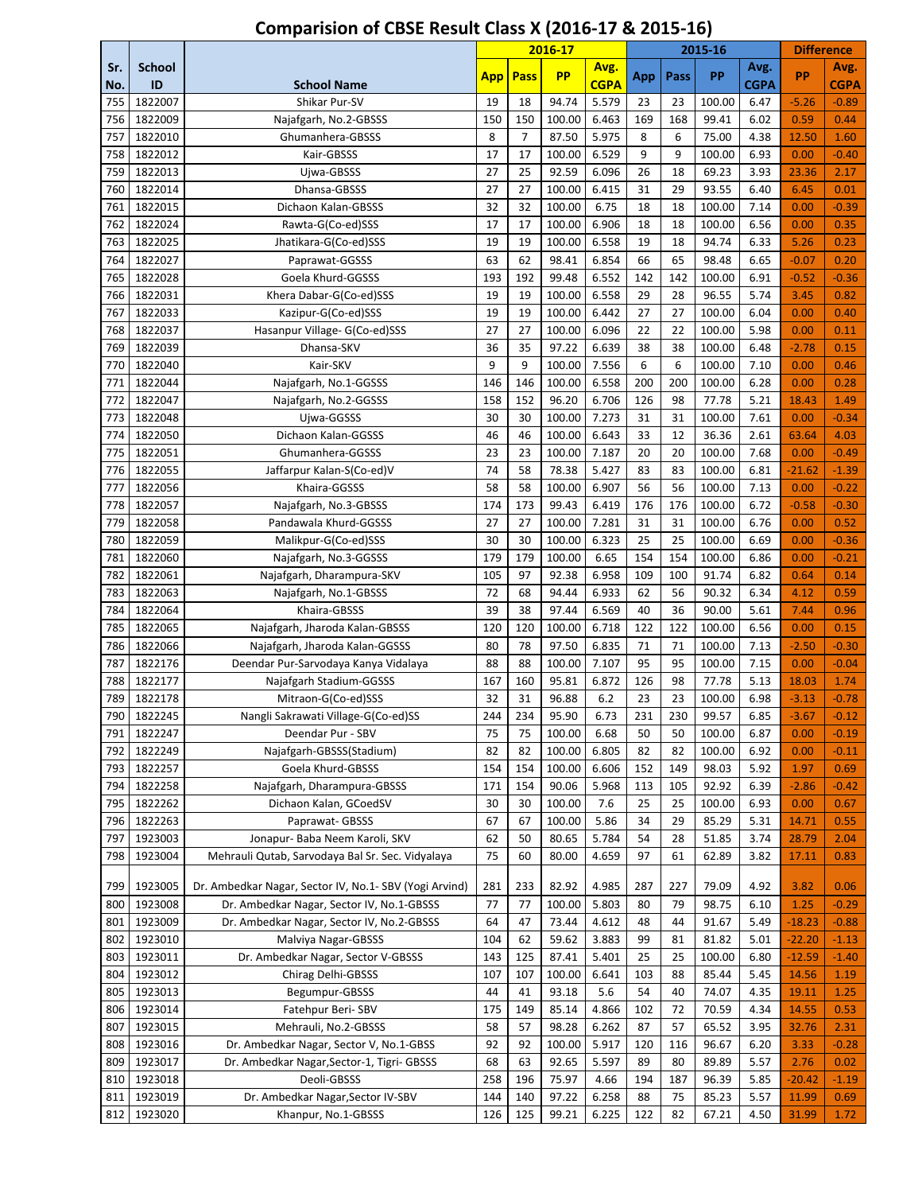|            |                     |                                                        | 2016-17    |                |                  | 2015-16             |            |            |                | <b>Difference</b>   |                 |                     |
|------------|---------------------|--------------------------------------------------------|------------|----------------|------------------|---------------------|------------|------------|----------------|---------------------|-----------------|---------------------|
| Sr.<br>No. | <b>School</b><br>ID | <b>School Name</b>                                     | <b>App</b> | <b>Pass</b>    | <b>PP</b>        | Avg.<br><b>CGPA</b> | App        | Pass       | PP             | Avg.<br><b>CGPA</b> | <b>PP</b>       | Avg.<br><b>CGPA</b> |
| 755        | 1822007             | Shikar Pur-SV                                          | 19         | 18             | 94.74            | 5.579               | 23         | 23         | 100.00         | 6.47                | $-5.26$         | $-0.89$             |
| 756        | 1822009             | Najafgarh, No.2-GBSSS                                  | 150        | 150            | 100.00           | 6.463               | 169        | 168        | 99.41          | 6.02                | 0.59            | 0.44                |
| 757        | 1822010             | Ghumanhera-GBSSS                                       | 8          | $\overline{7}$ | 87.50            | 5.975               | 8          | 6          | 75.00          | 4.38                | 12.50           | 1.60                |
| 758        | 1822012             | Kair-GBSSS                                             | 17         | 17             | 100.00           | 6.529               | 9          | 9          | 100.00         | 6.93                | 0.00            | $-0.40$             |
| 759        | 1822013             | Ujwa-GBSSS                                             | 27         | 25             | 92.59            | 6.096               | 26         | 18         | 69.23          | 3.93                | 23.36           | 2.17                |
| 760        | 1822014             | Dhansa-GBSSS                                           | 27         | 27             | 100.00           | 6.415               | 31         | 29         | 93.55          | 6.40                | 6.45            | 0.01                |
| 761        | 1822015             | Dichaon Kalan-GBSSS                                    | 32         | 32             | 100.00           | 6.75                | 18         | 18         | 100.00         | 7.14                | 0.00            | $-0.39$             |
| 762        | 1822024             | Rawta-G(Co-ed)SSS                                      | 17         | 17             | 100.00           | 6.906               | 18         | 18         | 100.00         | 6.56                | 0.00            | 0.35                |
| 763        | 1822025             | Jhatikara-G(Co-ed)SSS                                  | 19         | 19             | 100.00           | 6.558               | 19         | 18         | 94.74          | 6.33                | 5.26            | 0.23                |
| 764        | 1822027             | Paprawat-GGSSS                                         | 63         | 62             | 98.41            | 6.854               | 66         | 65         | 98.48          | 6.65                | $-0.07$         | 0.20                |
| 765        | 1822028             | Goela Khurd-GGSSS                                      | 193        | 192            | 99.48            | 6.552               | 142        | 142        | 100.00         | 6.91                | $-0.52$         | $-0.36$             |
| 766        | 1822031             | Khera Dabar-G(Co-ed)SSS                                | 19         | 19             | 100.00           | 6.558               | 29         | 28         | 96.55          | 5.74                | 3.45            | 0.82                |
| 767        | 1822033             | Kazipur-G(Co-ed)SSS                                    | 19         | 19             | 100.00           | 6.442               | 27         | 27         | 100.00         | 6.04                | 0.00            | 0.40                |
| 768        | 1822037             | Hasanpur Village- G(Co-ed)SSS                          | 27         | 27             | 100.00           | 6.096               | 22         | 22         | 100.00         | 5.98                | 0.00            | 0.11                |
| 769        | 1822039             | Dhansa-SKV                                             | 36         | 35             | 97.22            | 6.639               | 38         | 38         | 100.00         | 6.48                | $-2.78$         | 0.15                |
| 770        | 1822040             | Kair-SKV                                               | 9          | 9              | 100.00           | 7.556               | 6          | 6          | 100.00         | 7.10                | 0.00            | 0.46                |
| 771        | 1822044             | Najafgarh, No.1-GGSSS                                  | 146        | 146            | 100.00           | 6.558               | 200        | 200        | 100.00         | 6.28                | 0.00            | 0.28                |
| 772        | 1822047             | Najafgarh, No.2-GGSSS                                  | 158        | 152            | 96.20            | 6.706               | 126        | 98         | 77.78          | 5.21                | 18.43           | 1.49                |
| 773        | 1822048             | Ujwa-GGSSS                                             | 30         | 30             | 100.00           | 7.273               | 31         | 31         | 100.00         | 7.61                | 0.00            | $-0.34$             |
| 774        | 1822050             | Dichaon Kalan-GGSSS                                    | 46         | 46             | 100.00           | 6.643               | 33         | 12         | 36.36          | 2.61                | 63.64           | 4.03                |
| 775        | 1822051             | Ghumanhera-GGSSS                                       | 23         | 23             | 100.00           | 7.187               | 20         | 20         | 100.00         | 7.68                | 0.00            | $-0.49$             |
| 776        | 1822055             | Jaffarpur Kalan-S(Co-ed)V                              | 74         | 58             | 78.38            | 5.427               | 83         | 83         | 100.00         | 6.81                | $-21.62$        | $-1.39$             |
| 777        | 1822056             | Khaira-GGSSS                                           | 58         | 58             | 100.00           | 6.907               | 56         | 56         | 100.00         | 7.13                | 0.00            | $-0.22$             |
| 778        | 1822057             | Najafgarh, No.3-GBSSS                                  | 174        | 173            | 99.43            | 6.419               | 176        | 176        | 100.00         | 6.72                | $-0.58$         | $-0.30$             |
| 779        | 1822058             | Pandawala Khurd-GGSSS                                  | 27         | 27             | 100.00           | 7.281               | 31         | 31         | 100.00         | 6.76                | 0.00            | 0.52                |
| 780        | 1822059             | Malikpur-G(Co-ed)SSS                                   | 30         | 30             | 100.00           | 6.323               | 25         | 25         | 100.00         | 6.69                | 0.00            | $-0.36$             |
| 781        | 1822060             | Najafgarh, No.3-GGSSS                                  | 179        | 179            | 100.00           | 6.65                | 154        | 154        | 100.00         | 6.86                | 0.00            | $-0.21$             |
| 782        | 1822061             | Najafgarh, Dharampura-SKV                              | 105        | 97             | 92.38            | 6.958               | 109        | 100        | 91.74          | 6.82                | 0.64            | 0.14                |
| 783        | 1822063             | Najafgarh, No.1-GBSSS                                  | 72         | 68             | 94.44            | 6.933               | 62         | 56         | 90.32          | 6.34                | 4.12            | 0.59                |
| 784        | 1822064             | Khaira-GBSSS                                           | 39         | 38             | 97.44            | 6.569               | 40         | 36         | 90.00          | 5.61                | 7.44            | 0.96                |
| 785        | 1822065             | Najafgarh, Jharoda Kalan-GBSSS                         | 120        | 120            | 100.00           | 6.718               | 122        | 122        | 100.00         | 6.56                | 0.00            | 0.15                |
| 786        | 1822066             | Najafgarh, Jharoda Kalan-GGSSS                         | 80         | 78             | 97.50            | 6.835               | 71         | 71         | 100.00         | 7.13                | $-2.50$         | $-0.30$             |
| 787        | 1822176             | Deendar Pur-Sarvodaya Kanya Vidalaya                   | 88         | 88             | 100.00           | 7.107               | 95         | 95         | 100.00         | 7.15                | 0.00            | $-0.04$             |
| 788        | 1822177             | Najafgarh Stadium-GGSSS                                | 167        | 160            | 95.81            | 6.872               | 126        | 98         | 77.78          | 5.13                | 18.03           | 1.74                |
| 789        | 1822178             | Mitraon-G(Co-ed)SSS                                    | 32         | 31             | 96.88            | 6.2                 | 23         | 23         | 100.00         | 6.98                | $-3.13$         | $-0.78$             |
| 790        | 1822245             | Nangli Sakrawati Village-G(Co-ed)SS                    | 244        | 234            | 95.90            | 6.73                | 231        | 230        | 99.57          | 6.85                | $-3.67$         | $-0.12$             |
| 791        | 1822247             | Deendar Pur - SBV<br>Najafgarh-GBSSS(Stadium)          | 75<br>82   | 75             | 100.00<br>100.00 | 6.68<br>6.805       | 50<br>82   | 50         | 100.00         | 6.87                | 0.00            | $-0.19$             |
| 792        | 1822249<br>1822257  | Goela Khurd-GBSSS                                      |            | 82             |                  | 6.606               |            | 82         | 100.00         | 6.92                | 0.00            | $-0.11$             |
| 793<br>794 | 1822258             | Najafgarh, Dharampura-GBSSS                            | 154<br>171 | 154<br>154     | 100.00<br>90.06  | 5.968               | 152<br>113 | 149<br>105 | 98.03<br>92.92 | 5.92<br>6.39        | 1.97            | 0.69                |
| 795        | 1822262             | Dichaon Kalan, GCoedSV                                 | 30         | 30             | 100.00           | 7.6                 | 25         | 25         | 100.00         | 6.93                | $-2.86$<br>0.00 | $-0.42$<br>0.67     |
| 796        | 1822263             | Paprawat-GBSSS                                         | 67         | 67             | 100.00           | 5.86                | 34         | 29         | 85.29          | 5.31                | 14.71           | 0.55                |
| 797        | 1923003             | Jonapur- Baba Neem Karoli, SKV                         | 62         | 50             | 80.65            | 5.784               | 54         | 28         | 51.85          | 3.74                | 28.79           | 2.04                |
| 798        | 1923004             | Mehrauli Qutab, Sarvodaya Bal Sr. Sec. Vidyalaya       | 75         | 60             | 80.00            | 4.659               | 97         | 61         | 62.89          | 3.82                | 17.11           | 0.83                |
|            |                     |                                                        |            |                |                  |                     |            |            |                |                     |                 |                     |
| 799        | 1923005             | Dr. Ambedkar Nagar, Sector IV, No.1- SBV (Yogi Arvind) | 281        | 233            | 82.92            | 4.985               | 287        | 227        | 79.09          | 4.92                | 3.82            | 0.06                |
| 800        | 1923008             | Dr. Ambedkar Nagar, Sector IV, No.1-GBSSS              | 77         | 77             | 100.00           | 5.803               | 80         | 79         | 98.75          | 6.10                | 1.25            | $-0.29$             |
| 801        | 1923009             | Dr. Ambedkar Nagar, Sector IV, No.2-GBSSS              | 64         | 47             | 73.44            | 4.612               | 48         | 44         | 91.67          | 5.49                | $-18.23$        | $-0.88$             |
| 802        | 1923010             | Malviya Nagar-GBSSS                                    | 104        | 62             | 59.62            | 3.883               | 99         | 81         | 81.82          | 5.01                | $-22.20$        | $-1.13$             |
| 803        | 1923011             | Dr. Ambedkar Nagar, Sector V-GBSSS                     | 143        | 125            | 87.41            | 5.401               | 25         | 25         | 100.00         | 6.80                | -12.59          | $-1.40$             |
| 804        | 1923012             | Chirag Delhi-GBSSS                                     | 107        | 107            | 100.00           | 6.641               | 103        | 88         | 85.44          | 5.45                | 14.56           | 1.19                |
| 805        | 1923013             | Begumpur-GBSSS                                         | 44         | 41             | 93.18            | 5.6                 | 54         | 40         | 74.07          | 4.35                | 19.11           | 1.25                |
| 806        | 1923014             | Fatehpur Beri-SBV                                      | 175        | 149            | 85.14            | 4.866               | 102        | 72         | 70.59          | 4.34                | 14.55           | 0.53                |
| 807        | 1923015             | Mehrauli, No.2-GBSSS                                   | 58         | 57             | 98.28            | 6.262               | 87         | 57         | 65.52          | 3.95                | 32.76           | 2.31                |
| 808        | 1923016             | Dr. Ambedkar Nagar, Sector V, No.1-GBSS                | 92         | 92             | 100.00           | 5.917               | 120        | 116        | 96.67          | 6.20                | 3.33            | $-0.28$             |
| 809        | 1923017             | Dr. Ambedkar Nagar, Sector-1, Tigri- GBSSS             | 68         | 63             | 92.65            | 5.597               | 89         | 80         | 89.89          | 5.57                | 2.76            | 0.02                |
| 810        | 1923018             | Deoli-GBSSS                                            | 258        | 196            | 75.97            | 4.66                | 194        | 187        | 96.39          | 5.85                | $-20.42$        | $-1.19$             |
| 811        | 1923019             | Dr. Ambedkar Nagar, Sector IV-SBV                      | 144        | 140            | 97.22            | 6.258               | 88         | 75         | 85.23          | 5.57                | 11.99           | 0.69                |
| 812        | 1923020             | Khanpur, No.1-GBSSS                                    | 126        | 125            | 99.21            | 6.225               | 122        | 82         | 67.21          | 4.50                | 31.99           | 1.72                |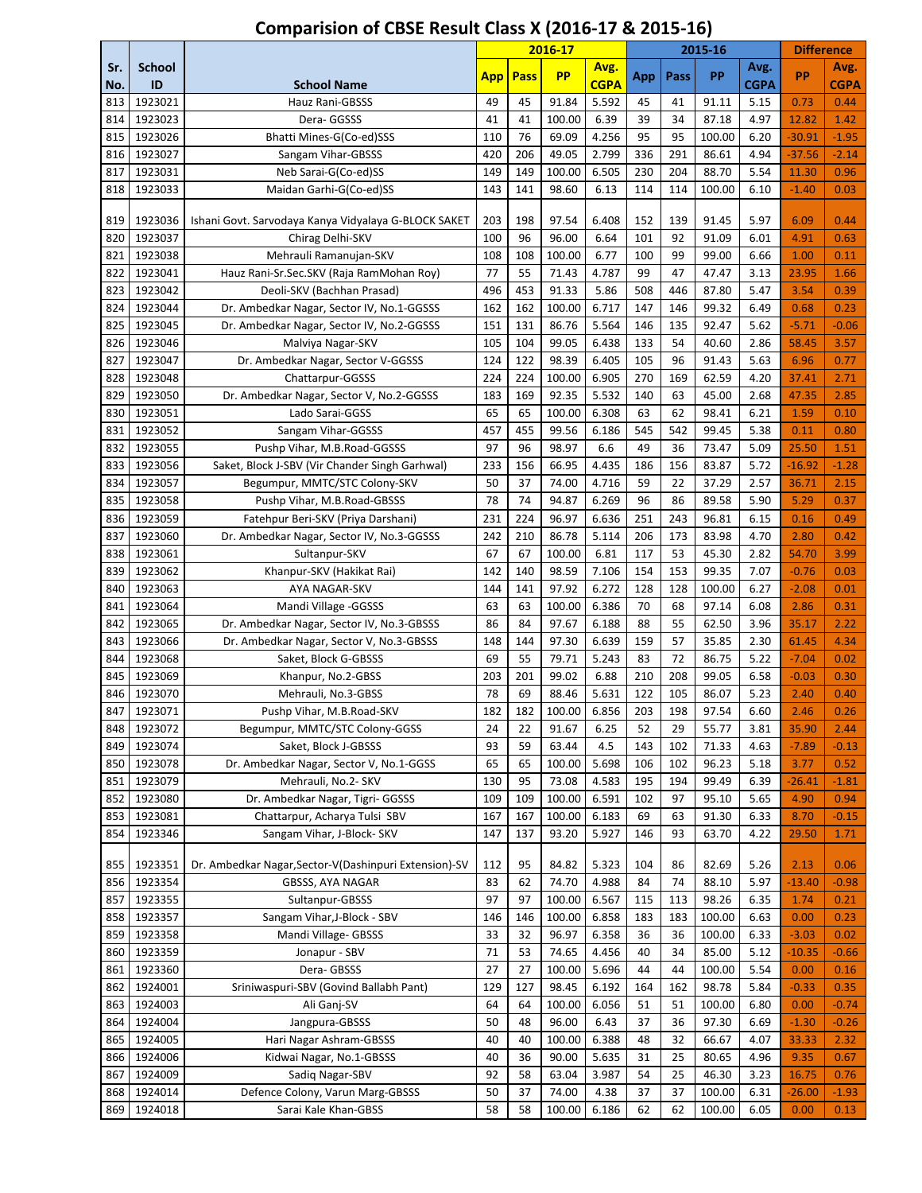|            |                    |                                                                                 |            | 2016-17     |                 | 2015-16        |            |            |                 | <b>Difference</b> |              |              |
|------------|--------------------|---------------------------------------------------------------------------------|------------|-------------|-----------------|----------------|------------|------------|-----------------|-------------------|--------------|--------------|
| Sr.        | <b>School</b>      |                                                                                 | <b>App</b> | <b>Pass</b> | <b>PP</b>       | Avg.           | App        | Pass       | PP              | Avg.              | PP           | Avg.         |
| No.        | ID                 | <b>School Name</b>                                                              |            |             |                 | <b>CGPA</b>    |            |            |                 | <b>CGPA</b>       |              | <b>CGPA</b>  |
| 813        | 1923021            | Hauz Rani-GBSSS                                                                 | 49         | 45          | 91.84           | 5.592          | 45         | 41         | 91.11           | 5.15              | 0.73         | 0.44         |
| 814        | 1923023            | Dera- GGSSS                                                                     | 41         | 41          | 100.00          | 6.39           | 39         | 34         | 87.18           | 4.97              | 12.82        | 1.42         |
| 815        | 1923026            | Bhatti Mines-G(Co-ed)SSS                                                        | 110        | 76          | 69.09           | 4.256          | 95         | 95         | 100.00          | 6.20              | $-30.91$     | $-1.95$      |
| 816        | 1923027            | Sangam Vihar-GBSSS                                                              | 420        | 206         | 49.05           | 2.799          | 336        | 291        | 86.61           | 4.94              | $-37.56$     | $-2.14$      |
| 817<br>818 | 1923031<br>1923033 | Neb Sarai-G(Co-ed)SS                                                            | 149<br>143 | 149<br>141  | 100.00<br>98.60 | 6.505<br>6.13  | 230<br>114 | 204<br>114 | 88.70<br>100.00 | 5.54<br>6.10      | 11.30        | 0.96         |
|            |                    | Maidan Garhi-G(Co-ed)SS                                                         |            |             |                 |                |            |            |                 |                   | $-1.40$      | 0.03         |
| 819        | 1923036            | Ishani Govt. Sarvodaya Kanya Vidyalaya G-BLOCK SAKET                            | 203        | 198         | 97.54           | 6.408          | 152        | 139        | 91.45           | 5.97              | 6.09         | 0.44         |
| 820        | 1923037            | Chirag Delhi-SKV                                                                | 100        | 96          | 96.00           | 6.64           | 101        | 92         | 91.09           | 6.01              | 4.91         | 0.63         |
| 821        | 1923038            | Mehrauli Ramanujan-SKV                                                          | 108        | 108         | 100.00          | 6.77           | 100        | 99         | 99.00           | 6.66              | 1.00         | 0.11         |
| 822        | 1923041            | Hauz Rani-Sr.Sec.SKV (Raja RamMohan Roy)                                        | 77         | 55          | 71.43           | 4.787          | 99         | 47         | 47.47           | 3.13              | 23.95        | 1.66         |
| 823        | 1923042            | Deoli-SKV (Bachhan Prasad)                                                      | 496        | 453         | 91.33           | 5.86           | 508        | 446        | 87.80           | 5.47              | 3.54         | 0.39         |
| 824        | 1923044            | Dr. Ambedkar Nagar, Sector IV, No.1-GGSSS                                       | 162        | 162         | 100.00          | 6.717          | 147        | 146        | 99.32           | 6.49              | 0.68         | 0.23         |
| 825        | 1923045            | Dr. Ambedkar Nagar, Sector IV, No.2-GGSSS                                       | 151        | 131         | 86.76           | 5.564          | 146        | 135        | 92.47           | 5.62              | $-5.71$      | $-0.06$      |
| 826        | 1923046            | Malviya Nagar-SKV                                                               | 105        | 104         | 99.05           | 6.438          | 133        | 54         | 40.60           | 2.86              | 58.45        | 3.57         |
| 827        | 1923047            | Dr. Ambedkar Nagar, Sector V-GGSSS                                              | 124        | 122         | 98.39           | 6.405          | 105        | 96         | 91.43           | 5.63              | 6.96         | 0.77         |
| 828        | 1923048            | Chattarpur-GGSSS                                                                | 224        | 224         | 100.00          | 6.905          | 270        | 169        | 62.59           | 4.20              | 37.41        | 2.71         |
| 829        | 1923050            | Dr. Ambedkar Nagar, Sector V, No.2-GGSSS                                        | 183        | 169         | 92.35           | 5.532          | 140        | 63         | 45.00           | 2.68              | 47.35        | 2.85         |
| 830        | 1923051            | Lado Sarai-GGSS                                                                 | 65         | 65          | 100.00          | 6.308          | 63         | 62         | 98.41           | 6.21              | 1.59         | 0.10         |
| 831        | 1923052            | Sangam Vihar-GGSSS                                                              | 457        | 455         | 99.56           | 6.186          | 545        | 542        | 99.45           | 5.38              | 0.11         | 0.80         |
| 832        | 1923055            | Pushp Vihar, M.B.Road-GGSSS                                                     | 97         | 96          | 98.97           | 6.6            | 49         | 36         | 73.47           | 5.09              | 25.50        | 1.51         |
| 833        | 1923056            | Saket, Block J-SBV (Vir Chander Singh Garhwal)                                  | 233        | 156         | 66.95           | 4.435          | 186        | 156        | 83.87           | 5.72              | $-16.92$     | $-1.28$      |
| 834        | 1923057            | Begumpur, MMTC/STC Colony-SKV                                                   | 50         | 37<br>74    | 74.00           | 4.716          | 59         | 22         | 37.29           | 2.57              | 36.71        | 2.15         |
| 835        | 1923058            | Pushp Vihar, M.B.Road-GBSSS                                                     | 78<br>231  | 224         | 94.87<br>96.97  | 6.269<br>6.636 | 96<br>251  | 86<br>243  | 89.58           | 5.90<br>6.15      | 5.29<br>0.16 | 0.37<br>0.49 |
| 836<br>837 | 1923059<br>1923060 | Fatehpur Beri-SKV (Priya Darshani)<br>Dr. Ambedkar Nagar, Sector IV, No.3-GGSSS | 242        | 210         | 86.78           | 5.114          | 206        | 173        | 96.81<br>83.98  | 4.70              | 2.80         | 0.42         |
| 838        | 1923061            | Sultanpur-SKV                                                                   | 67         | 67          | 100.00          | 6.81           | 117        | 53         | 45.30           | 2.82              | 54.70        | 3.99         |
| 839        | 1923062            | Khanpur-SKV (Hakikat Rai)                                                       | 142        | 140         | 98.59           | 7.106          | 154        | 153        | 99.35           | 7.07              | $-0.76$      | 0.03         |
| 840        | 1923063            | AYA NAGAR-SKV                                                                   | 144        | 141         | 97.92           | 6.272          | 128        | 128        | 100.00          | 6.27              | $-2.08$      | 0.01         |
| 841        | 1923064            | Mandi Village - GGSSS                                                           | 63         | 63          | 100.00          | 6.386          | 70         | 68         | 97.14           | 6.08              | 2.86         | 0.31         |
| 842        | 1923065            | Dr. Ambedkar Nagar, Sector IV, No.3-GBSSS                                       | 86         | 84          | 97.67           | 6.188          | 88         | 55         | 62.50           | 3.96              | 35.17        | 2.22         |
| 843        | 1923066            | Dr. Ambedkar Nagar, Sector V, No.3-GBSSS                                        | 148        | 144         | 97.30           | 6.639          | 159        | 57         | 35.85           | 2.30              | 61.45        | 4.34         |
| 844        | 1923068            | Saket, Block G-GBSSS                                                            | 69         | 55          | 79.71           | 5.243          | 83         | 72         | 86.75           | 5.22              | $-7.04$      | 0.02         |
| 845        | 1923069            | Khanpur, No.2-GBSS                                                              | 203        | 201         | 99.02           | 6.88           | 210        | 208        | 99.05           | 6.58              | $-0.03$      | 0.30         |
| 846        | 1923070            | Mehrauli, No.3-GBSS                                                             | 78         | 69          | 88.46           | 5.631          | 122        | 105        | 86.07           | 5.23              | 2.40         | 0.40         |
| 847        | 1923071            | Pushp Vihar, M.B.Road-SKV                                                       | 182        | 182         | 100.00          | 6.856          | 203        | 198        | 97.54           | 6.60              | 2.46         | 0.26         |
| 848        | 1923072            | Begumpur, MMTC/STC Colony-GGSS                                                  | 24         | 22          | 91.67           | 6.25           | 52         | 29         | 55.77           | 3.81              | 35.90        | 2.44         |
| 849        | 1923074            | Saket, Block J-GBSSS                                                            | 93         | 59          | 63.44           | 4.5            | 143        | 102        | 71.33           | 4.63              | $-7.89$      | $-0.13$      |
| 850        | 1923078            | Dr. Ambedkar Nagar, Sector V, No.1-GGSS                                         | 65         | 65          | 100.00          | 5.698          | 106        | 102        | 96.23           | 5.18              | 3.77         | 0.52         |
| 851        | 1923079            | Mehrauli, No.2- SKV                                                             | 130        | 95          | 73.08           | 4.583          | 195        | 194        | 99.49           | 6.39              | $-26.41$     | $-1.81$      |
| 852        | 1923080            | Dr. Ambedkar Nagar, Tigri- GGSSS                                                | 109        | 109         | 100.00          | 6.591          | 102        | 97         | 95.10           | 5.65              | 4.90         | 0.94         |
| 853        | 1923081            | Chattarpur, Acharya Tulsi SBV                                                   | 167        | 167         | 100.00          | 6.183          | 69         | 63         | 91.30           | 6.33              | 8.70         | $-0.15$      |
| 854        | 1923346            | Sangam Vihar, J-Block- SKV                                                      | 147        | 137         | 93.20           | 5.927          | 146        | 93         | 63.70           | 4.22              | 29.50        | 1.71         |
| 855        | 1923351            | Dr. Ambedkar Nagar, Sector-V(Dashinpuri Extension)-SV                           | 112        | 95          | 84.82           | 5.323          | 104        | 86         | 82.69           | 5.26              | 2.13         | 0.06         |
| 856        | 1923354            | <b>GBSSS, AYA NAGAR</b>                                                         | 83         | 62          | 74.70           | 4.988          | 84         | 74         | 88.10           | 5.97              | $-13.40$     | $-0.98$      |
| 857        | 1923355            | Sultanpur-GBSSS                                                                 | 97         | 97          | 100.00          | 6.567          | 115        | 113        | 98.26           | 6.35              | 1.74         | 0.21         |
| 858        | 1923357            | Sangam Vihar, J-Block - SBV                                                     | 146        | 146         | 100.00          | 6.858          | 183        | 183        | 100.00          | 6.63              | 0.00         | 0.23         |
| 859        | 1923358            | Mandi Village- GBSSS                                                            | 33         | 32          | 96.97           | 6.358          | 36         | 36         | 100.00          | 6.33              | $-3.03$      | 0.02         |
| 860        | 1923359            | Jonapur - SBV                                                                   | 71         | 53          | 74.65           | 4.456          | 40         | 34         | 85.00           | 5.12              | $-10.35$     | $-0.66$      |
| 861        | 1923360            | Dera-GBSSS                                                                      | 27         | 27          | 100.00          | 5.696          | 44         | 44         | 100.00          | 5.54              | 0.00         | 0.16         |
| 862        | 1924001            | Sriniwaspuri-SBV (Govind Ballabh Pant)                                          | 129        | 127         | 98.45           | 6.192          | 164        | 162        | 98.78           | 5.84              | $-0.33$      | 0.35         |
| 863        | 1924003            | Ali Ganj-SV                                                                     | 64         | 64          | 100.00          | 6.056          | 51         | 51         | 100.00          | 6.80              | 0.00         | $-0.74$      |
| 864        | 1924004            | Jangpura-GBSSS                                                                  | 50         | 48          | 96.00           | 6.43           | 37         | 36         | 97.30           | 6.69              | $-1.30$      | $-0.26$      |
| 865        | 1924005            | Hari Nagar Ashram-GBSSS                                                         | 40         | 40          | 100.00          | 6.388          | 48         | 32         | 66.67           | 4.07              | 33.33        | 2.32         |
| 866        | 1924006            | Kidwai Nagar, No.1-GBSSS                                                        | 40         | 36          | 90.00           | 5.635          | 31         | 25         | 80.65           | 4.96              | 9.35         | 0.67         |
| 867        | 1924009            | Sadiq Nagar-SBV                                                                 | 92         | 58          | 63.04           | 3.987          | 54         | 25         | 46.30           | 3.23              | 16.75        | 0.76         |
| 868        | 1924014            | Defence Colony, Varun Marg-GBSSS                                                | 50         | 37          | 74.00           | 4.38           | 37         | 37         | 100.00          | 6.31              | $-26.00$     | $-1.93$      |
| 869        | 1924018            | Sarai Kale Khan-GBSS                                                            | 58         | 58          | 100.00          | 6.186          | 62         | 62         | 100.00          | 6.05              | 0.00         | 0.13         |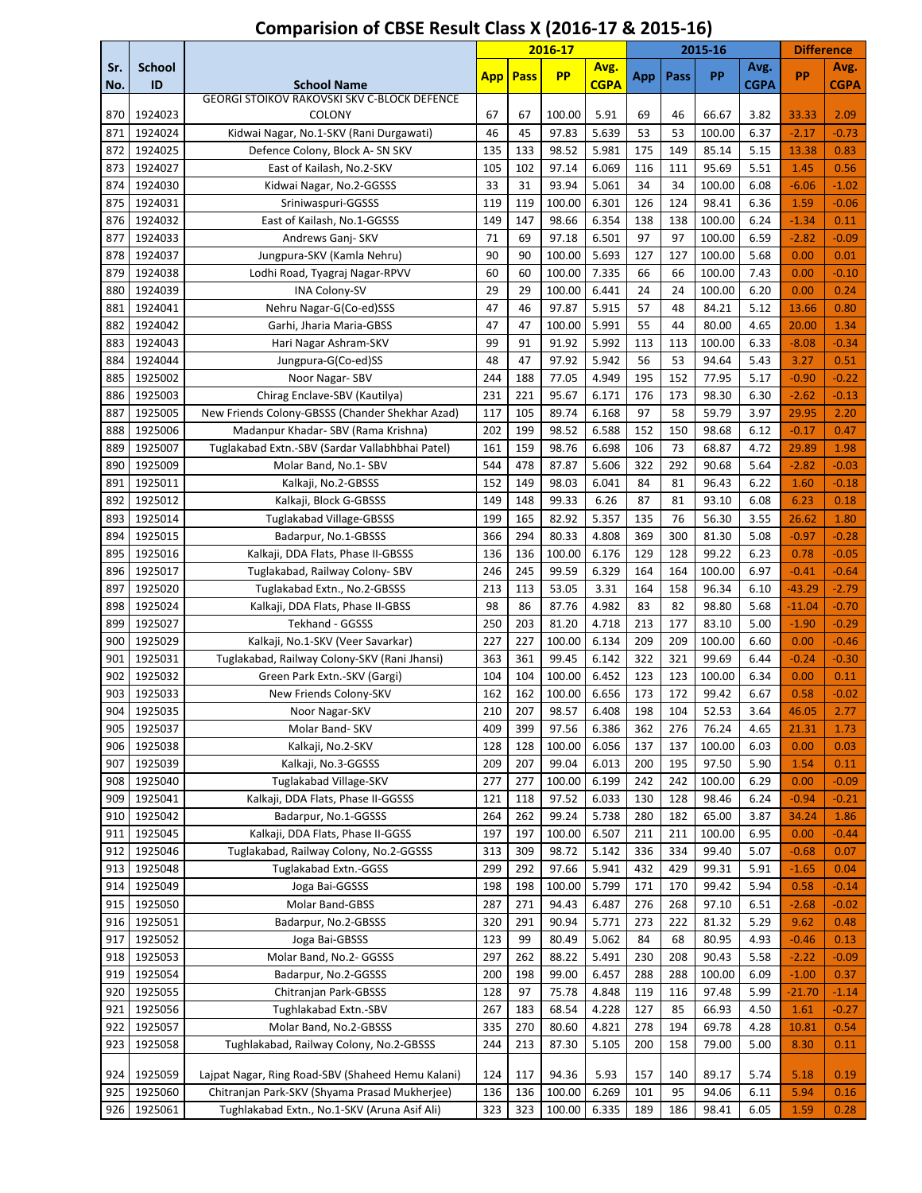|     |               |                                                              |            |             | 2016-17   |             |     |      | 2015-16 |             | <b>Difference</b> |             |
|-----|---------------|--------------------------------------------------------------|------------|-------------|-----------|-------------|-----|------|---------|-------------|-------------------|-------------|
| Sr. | <b>School</b> |                                                              | <b>App</b> | <b>Pass</b> | <b>PP</b> | Avg.        | App | Pass | PP      | Avg.        | PP                | Avg.        |
| No. | ID            | <b>School Name</b>                                           |            |             |           | <b>CGPA</b> |     |      |         | <b>CGPA</b> |                   | <b>CGPA</b> |
| 870 | 1924023       | GEORGI STOIKOV RAKOVSKI SKV C-BLOCK DEFENCE<br><b>COLONY</b> | 67         | 67          | 100.00    | 5.91        | 69  | 46   | 66.67   | 3.82        | 33.33             | 2.09        |
| 871 | 1924024       | Kidwai Nagar, No.1-SKV (Rani Durgawati)                      | 46         | 45          | 97.83     | 5.639       | 53  | 53   | 100.00  | 6.37        | $-2.17$           | $-0.73$     |
| 872 | 1924025       | Defence Colony, Block A- SN SKV                              | 135        | 133         | 98.52     | 5.981       | 175 | 149  | 85.14   | 5.15        | 13.38             | 0.83        |
| 873 | 1924027       | East of Kailash, No.2-SKV                                    | 105        | 102         | 97.14     | 6.069       | 116 | 111  | 95.69   | 5.51        | 1.45              | 0.56        |
| 874 | 1924030       | Kidwai Nagar, No.2-GGSSS                                     | 33         | 31          | 93.94     | 5.061       | 34  | 34   | 100.00  | 6.08        | $-6.06$           | $-1.02$     |
| 875 | 1924031       | Sriniwaspuri-GGSSS                                           | 119        | 119         | 100.00    | 6.301       | 126 | 124  | 98.41   | 6.36        | 1.59              | $-0.06$     |
| 876 | 1924032       | East of Kailash, No.1-GGSSS                                  | 149        | 147         | 98.66     | 6.354       | 138 | 138  | 100.00  | 6.24        | $-1.34$           | 0.11        |
| 877 | 1924033       | Andrews Ganj-SKV                                             | 71         | 69          | 97.18     | 6.501       | 97  | 97   | 100.00  | 6.59        | $-2.82$           | $-0.09$     |
| 878 | 1924037       | Jungpura-SKV (Kamla Nehru)                                   | 90         | 90          | 100.00    | 5.693       | 127 | 127  | 100.00  | 5.68        | 0.00              | 0.01        |
| 879 | 1924038       | Lodhi Road, Tyagraj Nagar-RPVV                               | 60         | 60          | 100.00    | 7.335       | 66  | 66   | 100.00  | 7.43        | 0.00              | $-0.10$     |
| 880 | 1924039       | <b>INA Colony-SV</b>                                         | 29         | 29          | 100.00    | 6.441       | 24  | 24   | 100.00  | 6.20        | 0.00              | 0.24        |
| 881 | 1924041       | Nehru Nagar-G(Co-ed)SSS                                      | 47         | 46          | 97.87     | 5.915       | 57  | 48   | 84.21   | 5.12        | 13.66             | 0.80        |
| 882 | 1924042       | Garhi, Jharia Maria-GBSS                                     | 47         | 47          | 100.00    | 5.991       | 55  | 44   | 80.00   | 4.65        | 20.00             | 1.34        |
| 883 | 1924043       | Hari Nagar Ashram-SKV                                        | 99         | 91          | 91.92     | 5.992       | 113 | 113  | 100.00  | 6.33        | $-8.08$           | $-0.34$     |
| 884 | 1924044       | Jungpura-G(Co-ed)SS                                          | 48         | 47          | 97.92     | 5.942       | 56  | 53   | 94.64   | 5.43        | 3.27              | 0.51        |
| 885 | 1925002       | Noor Nagar-SBV                                               | 244        | 188         | 77.05     | 4.949       | 195 | 152  | 77.95   | 5.17        | $-0.90$           | $-0.22$     |
| 886 | 1925003       | Chirag Enclave-SBV (Kautilya)                                | 231        | 221         | 95.67     | 6.171       | 176 | 173  | 98.30   | 6.30        | $-2.62$           | $-0.13$     |
| 887 | 1925005       | New Friends Colony-GBSSS (Chander Shekhar Azad)              | 117        | 105         | 89.74     | 6.168       | 97  | 58   | 59.79   | 3.97        | 29.95             | 2.20        |
| 888 | 1925006       | Madanpur Khadar- SBV (Rama Krishna)                          | 202        | 199         | 98.52     | 6.588       | 152 | 150  | 98.68   | 6.12        | $-0.17$           | 0.47        |
| 889 | 1925007       | Tuglakabad Extn.-SBV (Sardar Vallabhbhai Patel)              | 161        | 159         | 98.76     | 6.698       | 106 | 73   | 68.87   | 4.72        | 29.89             | 1.98        |
| 890 | 1925009       | Molar Band, No.1- SBV                                        | 544        | 478         | 87.87     | 5.606       | 322 | 292  | 90.68   | 5.64        | $-2.82$           | $-0.03$     |
| 891 | 1925011       | Kalkaji, No.2-GBSSS                                          | 152        | 149         | 98.03     | 6.041       | 84  | 81   | 96.43   | 6.22        | 1.60              | $-0.18$     |
| 892 | 1925012       | Kalkaji, Block G-GBSSS                                       | 149        | 148         | 99.33     | 6.26        | 87  | 81   | 93.10   | 6.08        | 6.23              | 0.18        |
| 893 | 1925014       | <b>Tuglakabad Village-GBSSS</b>                              | 199        | 165         | 82.92     | 5.357       | 135 | 76   | 56.30   | 3.55        | 26.62             | 1.80        |
| 894 | 1925015       | Badarpur, No.1-GBSSS                                         | 366        | 294         | 80.33     | 4.808       | 369 | 300  | 81.30   | 5.08        | $-0.97$           | $-0.28$     |
| 895 | 1925016       | Kalkaji, DDA Flats, Phase II-GBSSS                           | 136        | 136         | 100.00    | 6.176       | 129 | 128  | 99.22   | 6.23        | 0.78              | $-0.05$     |
| 896 | 1925017       | Tuglakabad, Railway Colony- SBV                              | 246        | 245         | 99.59     | 6.329       | 164 | 164  | 100.00  | 6.97        | $-0.41$           | $-0.64$     |
| 897 | 1925020       | Tuglakabad Extn., No.2-GBSSS                                 | 213        | 113         | 53.05     | 3.31        | 164 | 158  | 96.34   | 6.10        | $-43.29$          | $-2.79$     |
| 898 | 1925024       | Kalkaji, DDA Flats, Phase II-GBSS                            | 98         | 86          | 87.76     | 4.982       | 83  | 82   | 98.80   | 5.68        | $-11.04$          | $-0.70$     |
| 899 | 1925027       | Tekhand - GGSSS                                              | 250        | 203         | 81.20     | 4.718       | 213 | 177  | 83.10   | 5.00        | $-1.90$           | $-0.29$     |
| 900 | 1925029       | Kalkaji, No.1-SKV (Veer Savarkar)                            | 227        | 227         | 100.00    | 6.134       | 209 | 209  | 100.00  | 6.60        | 0.00              | $-0.46$     |
| 901 | 1925031       | Tuglakabad, Railway Colony-SKV (Rani Jhansi)                 | 363        | 361         | 99.45     | 6.142       | 322 | 321  | 99.69   | 6.44        | $-0.24$           | $-0.30$     |
| 902 | 1925032       | Green Park Extn.-SKV (Gargi)                                 | 104        | 104         | 100.00    | 6.452       | 123 | 123  | 100.00  | 6.34        | 0.00              | 0.11        |
| 903 | 1925033       | New Friends Colony-SKV                                       | 162        | 162         | 100.00    | 6.656       | 173 | 172  | 99.42   | 6.67        | 0.58              | $-0.02$     |
| 904 | 1925035       | Noor Nagar-SKV                                               | 210        | 207         | 98.57     | 6.408       | 198 | 104  | 52.53   | 3.64        | 46.05             | 2.77        |
| 905 | 1925037       | Molar Band-SKV                                               | 409        | 399         | 97.56     | 6.386       | 362 | 276  | 76.24   | 4.65        | 21.31             | 1.73        |
| 906 | 1925038       | Kalkaji, No.2-SKV                                            | 128        | 128         | 100.00    | 6.056       | 137 | 137  | 100.00  | 6.03        | 0.00              | 0.03        |
| 907 | 1925039       | Kalkaji, No.3-GGSSS                                          | 209        | 207         | 99.04     | 6.013       | 200 | 195  | 97.50   | 5.90        | 1.54              | 0.11        |
| 908 | 1925040       | Tuglakabad Village-SKV                                       | 277        | 277         | 100.00    | 6.199       | 242 | 242  | 100.00  | 6.29        | 0.00              | $-0.09$     |
| 909 | 1925041       | Kalkaji, DDA Flats, Phase II-GGSSS                           | 121        | 118         | 97.52     | 6.033       | 130 | 128  | 98.46   | 6.24        | $-0.94$           | $-0.21$     |
| 910 | 1925042       | Badarpur, No.1-GGSSS                                         | 264        | 262         | 99.24     | 5.738       | 280 | 182  | 65.00   | 3.87        | 34.24             | 1.86        |
| 911 | 1925045       | Kalkaji, DDA Flats, Phase II-GGSS                            | 197        | 197         | 100.00    | 6.507       | 211 | 211  | 100.00  | 6.95        | 0.00              | $-0.44$     |
| 912 | 1925046       | Tuglakabad, Railway Colony, No.2-GGSSS                       | 313        | 309         | 98.72     | 5.142       | 336 | 334  | 99.40   | 5.07        | $-0.68$           | 0.07        |
| 913 | 1925048       | Tuglakabad Extn.-GGSS                                        | 299        | 292         | 97.66     | 5.941       | 432 | 429  | 99.31   | 5.91        | $-1.65$           | 0.04        |
| 914 | 1925049       | Joga Bai-GGSSS                                               | 198        | 198         | 100.00    | 5.799       | 171 | 170  | 99.42   | 5.94        | 0.58              | $-0.14$     |
| 915 | 1925050       | Molar Band-GBSS                                              | 287        | 271         | 94.43     | 6.487       | 276 | 268  | 97.10   | 6.51        | $-2.68$           | $-0.02$     |
| 916 | 1925051       | Badarpur, No.2-GBSSS                                         | 320        | 291         | 90.94     | 5.771       | 273 | 222  | 81.32   | 5.29        | 9.62              | 0.48        |
| 917 | 1925052       | Joga Bai-GBSSS                                               | 123        | 99          | 80.49     | 5.062       | 84  | 68   | 80.95   | 4.93        | $-0.46$           | 0.13        |
| 918 | 1925053       | Molar Band, No.2- GGSSS                                      | 297        | 262         | 88.22     | 5.491       | 230 | 208  | 90.43   | 5.58        | $-2.22$           | $-0.09$     |
| 919 | 1925054       | Badarpur, No.2-GGSSS                                         | 200        | 198         | 99.00     | 6.457       | 288 | 288  | 100.00  | 6.09        | $-1.00$           | 0.37        |
| 920 | 1925055       | Chitranjan Park-GBSSS                                        | 128        | 97          | 75.78     | 4.848       | 119 | 116  | 97.48   | 5.99        | $-21.70$          | $-1.14$     |
| 921 | 1925056       | Tughlakabad Extn.-SBV                                        | 267        | 183         | 68.54     | 4.228       | 127 | 85   | 66.93   | 4.50        | 1.61              | $-0.27$     |
| 922 | 1925057       | Molar Band, No.2-GBSSS                                       | 335        | 270         | 80.60     | 4.821       | 278 | 194  | 69.78   | 4.28        | 10.81             | 0.54        |
| 923 | 1925058       | Tughlakabad, Railway Colony, No.2-GBSSS                      | 244        | 213         | 87.30     | 5.105       | 200 | 158  | 79.00   | 5.00        | 8.30              | 0.11        |
| 924 | 1925059       | Lajpat Nagar, Ring Road-SBV (Shaheed Hemu Kalani)            | 124        | 117         | 94.36     | 5.93        | 157 | 140  | 89.17   | 5.74        | 5.18              | 0.19        |
| 925 | 1925060       | Chitranjan Park-SKV (Shyama Prasad Mukherjee)                | 136        | 136         | 100.00    | 6.269       | 101 | 95   | 94.06   | 6.11        | 5.94              | 0.16        |
| 926 | 1925061       | Tughlakabad Extn., No.1-SKV (Aruna Asif Ali)                 | 323        | 323         | 100.00    | 6.335       | 189 | 186  | 98.41   | 6.05        | 1.59              | 0.28        |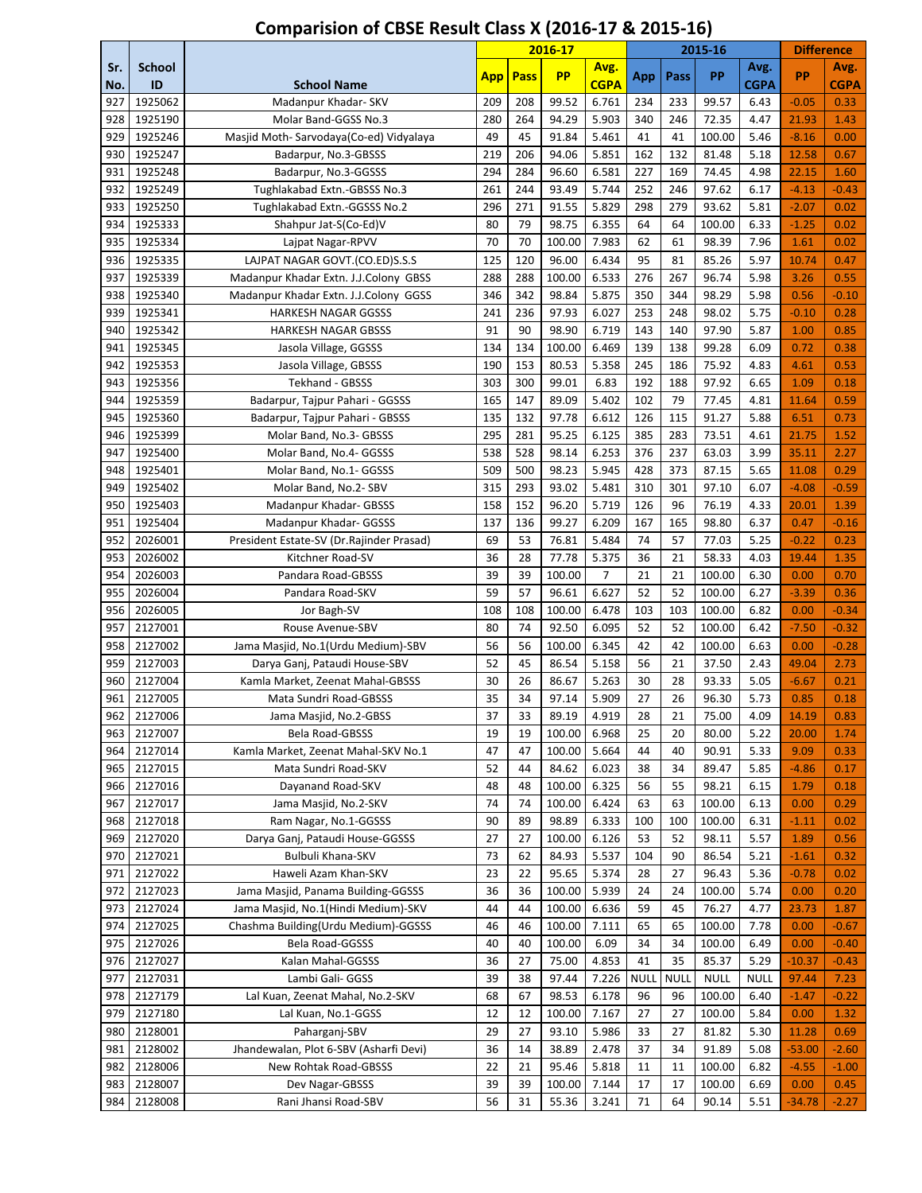|            |                     |                                           | 2016-17    |             |           | 2015-16             |             |             |             | <b>Difference</b>   |          |                     |
|------------|---------------------|-------------------------------------------|------------|-------------|-----------|---------------------|-------------|-------------|-------------|---------------------|----------|---------------------|
| Sr.<br>No. | <b>School</b><br>ID | <b>School Name</b>                        | <b>App</b> | <b>Pass</b> | <b>PP</b> | Avg.<br><b>CGPA</b> | App         | Pass        | PP          | Avg.<br><b>CGPA</b> | PP       | Avg.<br><b>CGPA</b> |
| 927        | 1925062             | Madanpur Khadar- SKV                      | 209        | 208         | 99.52     | 6.761               | 234         | 233         | 99.57       | 6.43                | $-0.05$  | 0.33                |
| 928        | 1925190             | Molar Band-GGSS No.3                      | 280        | 264         | 94.29     | 5.903               | 340         | 246         | 72.35       | 4.47                | 21.93    | 1.43                |
| 929        | 1925246             | Masjid Moth-Sarvodaya(Co-ed) Vidyalaya    | 49         | 45          | 91.84     | 5.461               | 41          | 41          | 100.00      | 5.46                | $-8.16$  | 0.00                |
| 930        | 1925247             | Badarpur, No.3-GBSSS                      | 219        | 206         | 94.06     | 5.851               | 162         | 132         | 81.48       | 5.18                | 12.58    | 0.67                |
| 931        | 1925248             | Badarpur, No.3-GGSSS                      | 294        | 284         | 96.60     | 6.581               | 227         | 169         | 74.45       | 4.98                | 22.15    | 1.60                |
| 932        | 1925249             | Tughlakabad Extn.-GBSSS No.3              | 261        | 244         | 93.49     | 5.744               | 252         | 246         | 97.62       | 6.17                | $-4.13$  | $-0.43$             |
| 933        | 1925250             | Tughlakabad Extn.-GGSSS No.2              | 296        | 271         | 91.55     | 5.829               | 298         | 279         | 93.62       | 5.81                | $-2.07$  | 0.02                |
| 934        | 1925333             | Shahpur Jat-S(Co-Ed)V                     | 80         | 79          | 98.75     | 6.355               | 64          | 64          | 100.00      | 6.33                | $-1.25$  | 0.02                |
| 935        | 1925334             | Laipat Nagar-RPVV                         | 70         | 70          | 100.00    | 7.983               | 62          | 61          | 98.39       | 7.96                | 1.61     | 0.02                |
| 936        | 1925335             | LAJPAT NAGAR GOVT.(CO.ED)S.S.S            | 125        | 120         | 96.00     | 6.434               | 95          | 81          | 85.26       | 5.97                | 10.74    | 0.47                |
| 937        | 1925339             | Madanpur Khadar Extn. J.J.Colony GBSS     | 288        | 288         | 100.00    | 6.533               | 276         | 267         | 96.74       | 5.98                | 3.26     | 0.55                |
| 938        | 1925340             | Madanpur Khadar Extn. J.J.Colony GGSS     | 346        | 342         | 98.84     | 5.875               | 350         | 344         | 98.29       | 5.98                | 0.56     | $-0.10$             |
| 939        | 1925341             | <b>HARKESH NAGAR GGSSS</b>                | 241        | 236         | 97.93     | 6.027               | 253         | 248         | 98.02       | 5.75                | $-0.10$  | 0.28                |
| 940        | 1925342             | <b>HARKESH NAGAR GBSSS</b>                | 91         | 90          | 98.90     | 6.719               | 143         | 140         | 97.90       | 5.87                | 1.00     | 0.85                |
| 941        | 1925345             | Jasola Village, GGSSS                     | 134        | 134         | 100.00    | 6.469               | 139         | 138         | 99.28       | 6.09                | 0.72     | 0.38                |
| 942        | 1925353             | Jasola Village, GBSSS                     | 190        | 153         | 80.53     | 5.358               | 245         | 186         | 75.92       | 4.83                | 4.61     | 0.53                |
| 943        | 1925356             | Tekhand - GBSSS                           | 303        | 300         | 99.01     | 6.83                | 192         | 188         | 97.92       | 6.65                | 1.09     | 0.18                |
| 944        | 1925359             | Badarpur, Tajpur Pahari - GGSSS           | 165        | 147         | 89.09     | 5.402               | 102         | 79          | 77.45       | 4.81                | 11.64    | 0.59                |
| 945        | 1925360             | Badarpur, Tajpur Pahari - GBSSS           | 135        | 132         | 97.78     | 6.612               | 126         | 115         | 91.27       | 5.88                | 6.51     | 0.73                |
| 946        | 1925399             | Molar Band, No.3- GBSSS                   | 295        | 281         | 95.25     | 6.125               | 385         | 283         | 73.51       | 4.61                | 21.75    | 1.52                |
| 947        | 1925400             | Molar Band, No.4- GGSSS                   | 538        | 528         | 98.14     | 6.253               | 376         | 237         | 63.03       | 3.99                | 35.11    | 2.27                |
| 948        | 1925401             | Molar Band, No.1- GGSSS                   | 509        | 500         | 98.23     | 5.945               | 428         | 373         | 87.15       | 5.65                | 11.08    | 0.29                |
| 949        | 1925402             | Molar Band, No.2- SBV                     | 315        | 293         | 93.02     | 5.481               | 310         | 301         | 97.10       | 6.07                | $-4.08$  | $-0.59$             |
| 950        | 1925403             | Madanpur Khadar- GBSSS                    | 158        | 152         | 96.20     | 5.719               | 126         | 96          | 76.19       | 4.33                | 20.01    | 1.39                |
| 951        | 1925404             | Madanpur Khadar- GGSSS                    | 137        | 136         | 99.27     | 6.209               | 167         | 165         | 98.80       | 6.37                | 0.47     | $-0.16$             |
| 952        | 2026001             | President Estate-SV (Dr. Rajinder Prasad) | 69         | 53          | 76.81     | 5.484               | 74          | 57          | 77.03       | 5.25                | $-0.22$  | 0.23                |
| 953        | 2026002             | Kitchner Road-SV                          | 36         | 28          | 77.78     | 5.375               | 36          | 21          | 58.33       | 4.03                | 19.44    | 1.35                |
| 954        | 2026003             | Pandara Road-GBSSS                        | 39         | 39          | 100.00    | $\overline{7}$      | 21          | 21          | 100.00      | 6.30                | 0.00     | 0.70                |
| 955        | 2026004             | Pandara Road-SKV                          | 59         | 57          | 96.61     | 6.627               | 52          | 52          | 100.00      | 6.27                | $-3.39$  | 0.36                |
| 956        | 2026005             | Jor Bagh-SV                               | 108        | 108         | 100.00    | 6.478               | 103         | 103         | 100.00      | 6.82                | 0.00     | $-0.34$             |
| 957        | 2127001             | Rouse Avenue-SBV                          | 80         | 74          | 92.50     | 6.095               | 52          | 52          | 100.00      | 6.42                | $-7.50$  | $-0.32$             |
| 958        | 2127002             | Jama Masjid, No.1(Urdu Medium)-SBV        | 56         | 56          | 100.00    | 6.345               | 42          | 42          | 100.00      | 6.63                | 0.00     | $-0.28$             |
| 959        | 2127003             | Darya Ganj, Pataudi House-SBV             | 52         | 45          | 86.54     | 5.158               | 56          | 21          | 37.50       | 2.43                | 49.04    | 2.73                |
| 960        | 2127004             | Kamla Market, Zeenat Mahal-GBSSS          | 30         | 26          | 86.67     | 5.263               | 30          | 28          | 93.33       | 5.05                | $-6.67$  | 0.21                |
| 961        | 2127005             | Mata Sundri Road-GBSSS                    | 35         | 34          | 97.14     | 5.909               | 27          | 26          | 96.30       | 5.73                | 0.85     | 0.18                |
| 962        | 2127006             | Jama Masjid, No.2-GBSS                    | 37         | 33          | 89.19     | 4.919               | 28          | 21          | 75.00       | 4.09                | 14.19    | 0.83                |
| 963        | 2127007             | Bela Road-GBSSS                           | 19         | 19          | 100.00    | 6.968               | 25          | 20          | 80.00       | 5.22                | 20.00    | 1.74                |
| 964        | 2127014             | Kamla Market, Zeenat Mahal-SKV No.1       | 47         | 47          | 100.00    | 5.664               | 44          | 40          | 90.91       | 5.33                | 9.09     | 0.33                |
| 965        | 2127015             | Mata Sundri Road-SKV                      | 52         | 44          | 84.62     | 6.023               | 38          | 34          | 89.47       | 5.85                | $-4.86$  | 0.17                |
| 966        | 2127016             | Dayanand Road-SKV                         | 48         | 48          | 100.00    | 6.325               | 56          | 55          | 98.21       | 6.15                | 1.79     | 0.18                |
| 967        | 2127017             | Jama Masjid, No.2-SKV                     | 74         | 74          | 100.00    | 6.424               | 63          | 63          | 100.00      | 6.13                | 0.00     | 0.29                |
| 968        | 2127018             | Ram Nagar, No.1-GGSSS                     | 90         | 89          | 98.89     | 6.333               | 100         | 100         | 100.00      | 6.31                | $-1.11$  | 0.02                |
| 969        | 2127020             | Darya Ganj, Pataudi House-GGSSS           | 27         | 27          | 100.00    | 6.126               | 53          | 52          | 98.11       | 5.57                | 1.89     | 0.56                |
| 970        | 2127021             | Bulbuli Khana-SKV                         | 73         | 62          | 84.93     | 5.537               | 104         | 90          | 86.54       | 5.21                | $-1.61$  | 0.32                |
| 971        | 2127022             | Haweli Azam Khan-SKV                      | 23         | 22          | 95.65     | 5.374               | 28          | 27          | 96.43       | 5.36                | $-0.78$  | 0.02                |
| 972        | 2127023             | Jama Masjid, Panama Building-GGSSS        | 36         | 36          | 100.00    | 5.939               | 24          | 24          | 100.00      | 5.74                | 0.00     | 0.20                |
| 973        | 2127024             | Jama Masjid, No.1(Hindi Medium)-SKV       | 44         | 44          | 100.00    | 6.636               | 59          | 45          | 76.27       | 4.77                | 23.73    | 1.87                |
| 974        | 2127025             | Chashma Building(Urdu Medium)-GGSSS       | 46         | 46          | 100.00    | 7.111               | 65          | 65          | 100.00      | 7.78                | 0.00     | $-0.67$             |
| 975        | 2127026             | Bela Road-GGSSS                           | 40         | 40          | 100.00    | 6.09                | 34          | 34          | 100.00      | 6.49                | 0.00     | $-0.40$             |
| 976        | 2127027             | Kalan Mahal-GGSSS                         | 36         | 27          | 75.00     | 4.853               | 41          | 35          | 85.37       | 5.29                | $-10.37$ | $-0.43$             |
| 977        | 2127031             | Lambi Gali- GGSS                          | 39         | 38          | 97.44     | 7.226               | <b>NULL</b> | <b>NULL</b> | <b>NULL</b> | <b>NULL</b>         | 97.44    | 7.23                |
| 978        | 2127179             | Lal Kuan, Zeenat Mahal, No.2-SKV          | 68         | 67          | 98.53     | 6.178               | 96          | 96          | 100.00      | 6.40                | $-1.47$  | $-0.22$             |
| 979        | 2127180             | Lal Kuan, No.1-GGSS                       | 12         | 12          | 100.00    | 7.167               | 27          | 27          | 100.00      | 5.84                | 0.00     | 1.32                |
| 980        | 2128001             | Paharganj-SBV                             | 29         | 27          | 93.10     | 5.986               | 33          | 27          | 81.82       | 5.30                | 11.28    | 0.69                |
| 981        | 2128002             | Jhandewalan, Plot 6-SBV (Asharfi Devi)    | 36         | 14          | 38.89     | 2.478               | 37          | 34          | 91.89       | 5.08                | $-53.00$ | $-2.60$             |
| 982        | 2128006             | New Rohtak Road-GBSSS                     | 22         | 21          | 95.46     | 5.818               | 11          | 11          | 100.00      | 6.82                | $-4.55$  | $-1.00$             |
| 983        | 2128007             | Dev Nagar-GBSSS                           | 39         | 39          | 100.00    | 7.144               | 17          | 17          | 100.00      | 6.69                | 0.00     | 0.45                |
| 984        | 2128008             | Rani Jhansi Road-SBV                      | 56         | 31          | 55.36     | 3.241               | 71          | 64          | 90.14       | 5.51                | $-34.78$ | $-2.27$             |